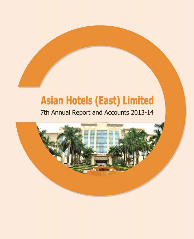# 7th Annual Report and Accounts 2013-14

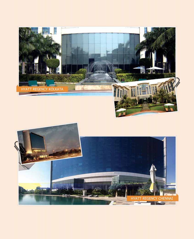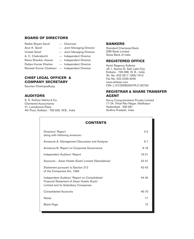# **BOARD OF DIRECTORS**

- Radhe Shyam Saraf Chairman Arun K. Saraf - - Joint Managing Director Umesh Saraf — Joint Managing Director
	-
	- -
- A. C. Chakrabortti Independent Director
- -
- Rama Shankar Jhawar Independent Director
- 
- Padam Kumar Khaitan Independent Director
- Ramesh Kumar Chokhani Independent Director
- -

# **CHIEF LEGAL OFFICER & COMPANY SECRETARY**

Saumen Chattopadhyay

# **AUDITORS**

S. S. Kothari Mehta & Co. Chartered Accountants 21, Lansdowne Place 4th Floor, Kolkata - 700 029, W.B., India

### **BANKERS**

Standard Chartered Bank IDBI Bank Limited State Bank of India

# **REGISTERED OFFICE**

Hyatt Regency Kolkata JA-1, Sector-III, Salt Lake City Kolkata - 700 098, W. B., India Tel. No. 033-2517 1009/1012 Fax No. 033-2335 8246 www.ahleast.com CIN: L15122WB2007PLC162762

# **REGISTRAR & SHARE TRANSFER AGENT**

Karvy Computershare Private Limited 17-24, Vittal Rao Nagar, Madhapur Hyderabad - 500 081 Andhra Pradesh, India

| <b>CONTENTS</b>                                                                                                                    |           |
|------------------------------------------------------------------------------------------------------------------------------------|-----------|
| Directors' Report<br>along with following annexure :                                                                               | $2 - 5$   |
| Annexure-A, Management Discussion and Analysis                                                                                     | $6 - 7$   |
| Annexure-B, Report on Corporate Governance                                                                                         | $8 - 18$  |
| Independent Auditors' Report                                                                                                       | 19-21     |
| Accounts – Asian Hotels (East) Limited (Standalone)                                                                                | $22 - 41$ |
| Statement pursuant to Section 212<br>of the Companies Act, 1956                                                                    | 42-43     |
| Independent Auditors' Report on Consolidated<br>Financial Statement of Asian Hotels (East)<br>Limited and its Subsidiary Companies | 44-45     |
| <b>Consolidated Accounts</b>                                                                                                       | 46-70     |
| <b>Notes</b>                                                                                                                       | 71        |
| <b>Blank Page</b>                                                                                                                  | 72        |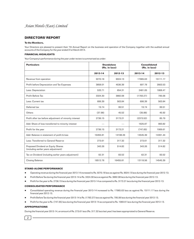### **DIRECTORS' REPORT**

#### **To the Members,**

Your Directors are pleased to present their 7th Annual Report on the business and operation of the Company together with the audited annual accounts of the Company for the year ended 31st March 2014.

#### **FINANCIAL HIGHLIGHTS**

Your Company's performance during the year under review is summarised as under:

| <b>Particulars</b>                                                         | <b>Standalone</b><br>(Rs. in lacs) |          | <b>Consolidated</b><br>(Rs. in lacs) |          |
|----------------------------------------------------------------------------|------------------------------------|----------|--------------------------------------|----------|
|                                                                            | 2013-14                            | 2012-13  | 2013-14                              | 2012-13  |
| Revenue from operation                                                     | 9270.18                            | 9024.13  | 17965.63                             | 15111.17 |
| Profit before Depreciation and Tax Expenses                                | 3858.01                            | 4536.39  | 697.78                               | 2663.53  |
| Less: Depreciation                                                         | 533.71                             | 654.31   | 2481.05                              | 1868.47  |
| Profit Before Tax                                                          | 3324.30                            | 3882.08  | (1783.27)                            | 795.06   |
| Less: Current tax                                                          | 606.39                             | 563.84   | 606.39                               | 563.84   |
| Deferred tax                                                               | 19.74                              | 99.51    | 19.74                                | 99.51    |
| Others                                                                     | (37.98)                            | 45.52    | (35.88)                              | 45.92    |
| Profit after tax before adjustment of minority interest                    | 2736.15                            | 3173.21  | (2373.52)                            | 85.79    |
| Add: Share of loss transferred to minority interest                        |                                    |          | 1625.87                              | 983.82   |
| Profit for the year                                                        | 2736.15                            | 3173.21  | (747.65)                             | 1069.61  |
| Add: Balance in statement of profit & loss                                 | 16455.81                           | 14198.26 | 14545.39                             | 14391.44 |
| Less: Transferred to General Reserve                                       | 273.61                             | 317.32   | 273.61                               | 317.32   |
| Proposed Dividend on Equity Shares<br>(including earlier years adjustment) | 343.26                             | 514.82   | 343.26                               | 514.82   |
| Tax on Dividend (including earlier years adjustment)                       | 62.31                              | 83.52    | 62.31                                | 83.52    |
| <b>Closing Balance</b>                                                     | 18512.78                           | 16455.81 | 13118.56                             | 14545.39 |

#### **STAND-ALONE PERFORMANCE**

- Operating revenue during the financial year 2013-14 increased to Rs. 9270.18 lacs as against Rs. 9024.13 lacs during the financial year 2012-13.
- Profit Before Tax during the financial year 2013-14 is Rs. 3324.30 lacs as against Rs. 3882.08 lacs during the financial year 2012-13.
- Profit for the year is Rs. 2736.15 lacs during the financial year 2013-14 as compared to Rs. 3173.21 lacs during the financial year 2012-13.

#### **CONSOLIDATED PERFORMANCE**

- Consolidated operating revenue during the financial year 2013-14 increased to Rs. 17965.63 lacs as against Rs. 15111.17 lacs during the financial year 2012-13.
- Profit Before Tax during the financial year 2013-14 is Rs. (1783.27) lacs as against Rs. 795.06 lacs during the financial year 2012-13.
- Profit for the year is Rs. (747.65) lacs during the financial year 2013-14 as compared to Rs. 1069.61 lacs during the financial year 2012-13.

#### **APPROPRIATIONS**

During the financial year 2013-14, an amount of Rs. 273.61 lacs (Rs. 317.32 lacs last year) has been appropriated to General Reserve.

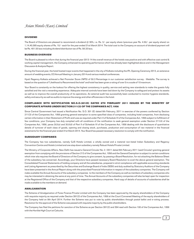#### **DIVIDEND**

The Board of Directors are pleased to recommend a dividend @ 30%, i.e. Rs. 3/- per equity share (previous year Rs. 4.50/- per equity share) on 1,14,40,585 equity shares of Rs. 10/- each for the year ended 31st March 2014. The total cost to the Company on account of dividend payment will be Rs. 401.55 lacs including dividend distribution tax of Rs. 58.33 lacs.

#### **BUSINESS OVERVIEW**

The Board is pleased to inform that during the financial year 2013-14 the overall revenue of the hotels was positive and with effective cost control & working capital management, the Company enhanced its operating performance which has already been highlighted above and in the Management Discussion & Analysis Report.

During the financial year, the hotel hosted major events that happened in the city of Kolkata including the IPL Opening Ceremony 2013, an extensive amount of wedding events, EO Annual Meeting in January 2014 and various medical conferences.

Hyatt Regency Kolkata achieved a Net Promoter Score (NPS) of 50.3 Percentage in our customer satisfaction survey - Medallia. The survey is based on the question of "Likelihood to Recommend the hotel" and hotel has been given a rating of over 5 in a scale of 10 maximum.

Your Board is constantly on the lookout for offering the highest consistency in quality, service and setting new standards to make the quests fully satisfied and the visit a rewarding experience. Adequate internal controls have been laid down by the Company to safeguard and protect its assets as well as to improve the overall productivity of its operations. An external audit has successfully been conducted to monitor hygiene standards, safety and security as well as audits to improve the energy and other efficiencies in the hotel.

#### **COMPLIANCE WITH NOTIFICATION NO.S.O.301(E) DATED 8TH FEBRUARY 2011 ISSUED BY THE MINISTRY OF CORPORATE AFFAIRS UNDER SECTION 211(3) OF THE COMPANIES ACT, 1956**

Since Central Government had issued a Notification No. S.O. 301 (E) dated 8th February, 2011 in exercise of the powers conferred by Section 211(3) of the Companies Act, 1956 granting general exemption to some specified class of companies, including hotel companies, from disclosing certain information in their Statement of Profit and Loss as required under Part-II of Schedule VI of the Companies Act, 1956 subject to fulfillment of few conditions, your Company has duly complied with all conditions of the notification to seek general exemption under Section 211(4) of the Companies Act, 1956, paras 3(i)(a) and 3(ii)(d) of Part II of Schedule VI of the Companies Act, 1956 dealing with the disclosure of quantitative details of turnover of each class of goods, opening and closing stock, purchases, production and consumption of raw material in the financial statements for the financial year ended 31st March 2014. Your Board has passed necessary resolution to comply with the notification.

#### **SUBSIDIARY COMPANIES**

The Company has two subsidiaries, namely GJS Hotels Limited, a wholly owned and a material non-listed Indian Subsidiary and Regency Convention Centre and Hotels Limited and one step down subsidiary namely Robust Hotels Private Limited.

The Ministry of Corporate Affairs, New Delhi has issued a General Circular No: 2 /2011 dated 8th February 2011 (said Circular) granting general exemption from complying with the provisions of Section 212 of the Companies Act, 1956 and the General Exemption is subject to certain conditions which inter alia requires the Board of Directors of the Company to give consent, by passing a Board Resolution, for not attaching the Balance Sheet of the subsidiary/ies concerned. Accordingly, your Directors have passed necessary Board Resolution to avail the above general exemption. The Consolidated Financial Statements of holding company and all the subsidiaries, prepared in strict compliance with applicable accounting standards and Listing Agreement as prescribed by the Securities and Exchange Board of India (SEBI) and duly audited by Statutory Auditors of the Company have been presented in the Annual Report along with the prescribed Financial Information in respect of the subsidiary companies. The Company will make available the Annual Accounts of the subsidiary companies to the members of the Company as well as members of subsidiary companies who may be interested in obtaining the same at any point of time. The Annual Accounts of the subsidiary companies will also be kept open for inspection at the Registered Office of the Company and that of the respective subsidiary companies. Hard copy of details of accounts of subsidiaries shall be made available to the members on demand.

#### **AMALGAMATION**

The Scheme of Amalgamation of Forex Finance Private Limited with the Company has been approved by the equity shareholders of the Company with requisite majority as required under Section 391(2) of the Companies Act, 1956 at the Court Convened Meeting of the equity shareholders of the Company held on 8th April 2014. Further the Scheme was put to vote by public shareholders through postal ballot and e-voting process. Resolution for the approval of the Scheme was passed with requisite majority by the public shareholders.

The Company has filed the petitions for sanction of the Scheme as per Section 391(2) and 394 read with Section 100 of the Companies Act, 1956 with the Hon'ble High Court at Calcutta.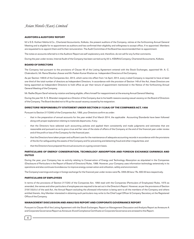#### **AUDITORS & AUDITORS' REPORT**

M/s S.S. Kothari Mehta & Co., Chartered Accountants, Kolkata, the present auditors of the Company, retires at the forthcoming Annual General Meeting and is eligible for re-appointment as auditors and has confirmed their eligibility and willingness to accept office, if re-appointed. Members are requested to re-appoint them and fix their remuneration. The Audit Committee of the Board has recommended their re-appointment.

The notes on accounts referred to in the Auditors' Report are self-explanatory and, therefore, do not call for any further comments.

During the year under review, Internal Audit of the Company has been carried out by M/s. KSMN & Company, Chartered Accountants, Kolkata.

#### **BOARD OF DIRECTORS**

The Company had pursuant to the provisions of Clause 49 of the Listing Agreement entered with the Stock Exchanges, appointed Mr. A. C. Chakrabortti, Mr. Rama Shankar Jhawar and Mr. Padam Kumar Khaitan as Independent Directors of the Company.

As per Section 149(4) of the Companies Act, 2013, which came into effect from 1st April, 2014, every Listed Company is required to have at least one-third of the total number of directors as Independent Directors. In accordance with the provision of Section 149 of the Act, these Directors are being appointed as Independent Directors to hold office as per their tenure of appointment mentioned in the Notice of the forthcoming Annual General Meeting of the Company.

Mr. Radhe Shyam Saraf retires by rotation and being eligible, offers himself for reappointment at the ensuing Annual General Meeting.

During the year Mr. S. S. Bhandari resigned as a Director of the Company due to his health reasons causing casual vacancy on the Board of Directors of the Company. The Board decided not to fill up the causal vacancy caused by his resignation.

#### **DIRECTORS' RESPONSIBILITY STATEMENT UNDER SECTION 217(2AA) OF THE COMPANIES ACT, 1956**

Pursuant to Section 217(2AA) of the Companies Act, 1956, your Directors confirm as under:

- that in the preparation of annual accounts for the year ended 31st March 2014, the applicable Accounting Standards have been followed along with proper explanation relating to materials departures, if any;
- that the Directors have selected such accounting policies and applied them consistently and made judgments and estimates that are reasonable and pursuant so as to give a true and fair view of the state of affairs of the Company at the end of the financial year under review and of the profit or loss of the Company for the financial year;
- that the Directors have taken proper and sufficient care for the maintenance of adequate accounting records in accordance with the provisions of the Act for safeguarding the assets of the Company and for preventing and detecting fraud and other irregularities; and
- that the Directors have prepared the annual accounts on a going concern basis.

#### **PARTICULARS OF ENERGY CONSERVATION, TECHNOLOGY ABSORPTION AND FOREIGN EXCHANGE EARNINGS AND OUTGO**

During the year, your Company has no activity relating to Conservation of Energy and Technology Absorption as stipulated in the Companies (Disclosure of Particulars in the Report of Board of Directors) Rules, 1988. However, your Company uses information technology extensively in its operations and also continues its endeavour to improve energy conservation and utilization, safety and environment.

The Company's earnings and outgo in foreign exchange for the financial year under review were Rs. 3355.66 lacs/ Rs. 600.55 lacs respectively.

#### **PARTICULARS OF EMPLOYEES**

In terms of the provisions of Section 217(2A) of the Companies Act, 1956 read with the Companies (Particulars of Employees) Rules, 1975 as amended, the names and other particulars of employees are required to be set out in the Director's Report. However, as per the provisions of Section 219(1)(b)(iv) of the said Act, the Annual Report excluding the aforesaid information is being sent to all the members of the Company and others entitled thereto. Any Member interested in obtaining such particulars may write to the Chief Legal Officer & Company Secretary at the Registered Office of the Company.

#### **MANAGEMENT DISCUSSION AND ANALYSIS REPORT AND CORPORATE GOVERNANCE REPORT**

Pursuant to Clause 49 of the Listing Agreement with the Stock Exchanges, Report on Management Discussion and Analysis Report as Annexure-A and Corporate Governance Report as Annexure-B and Compliance Certificate on Corporate Governance are annexed to this Report.

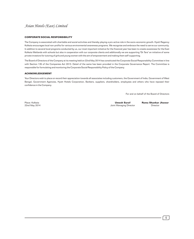#### **CORPORATE SOCIAL RESPONSIBILITY**

The Company is associated with charitable and social activities and thereby playing a pro-active role in the socio-economic growth. Hyatt Regency Kolkata encourages local non-profits for various environmental awareness programs. We recognise and embrace the need to serve our community. In addition to several local programs conducted by us, our most important initiative for the financial year has been to create awareness for the East Kolkata Wetlands with schools but also in cooperation with our corporate clients and additionally we are supporting "Ek Tara" an initiative of some private investors for tutoring of girls and young women with the aim of empowerment and making them self-supporting.

The Board of Directors of the Company at its meeting held on 22nd May 2014 has constituted the Corporate Social Responsibility Committee in line with Section 135 of the Companies Act 2013. Detail of the same has been provided in the Corporate Governance Report. The Committee is responsible for formulating and monitoring the Corporate Social Responsibility Policy of the Company.

#### **ACKNOWLEDGEMENT**

Your Directors wish to place on record their appreciation towards all associates including customers, the Government of India, Government of West Bengal, Government Agencies, Hyatt Hotels Corporation, Bankers, suppliers, shareholders, employees and others who have reposed their confidence in the Company.

For and on behalf of the Board of Directors

Joint Managing Director **Director** 

Place: Kolkata **Umesh Saraf Rama Shankar Jhawar**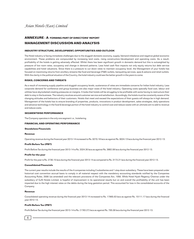# **ANNEXURE - A FORMING PART OF DIRECTORS' REPORT MANAGEMENT DISCUSSION AND ANALYSIS**

#### **INDUSTRY STRUCTURE, DEVELOPMENT, OPPORTUNITIES AND OUTLOOK**

The Hotel industry is facing immediate challenges due to the sluggish domestic economy, supply/demand imbalance and negative global economic environment. These problems are compounded by increasing land costs, rising construction/development and operating costs. As a result, profitability of the hotels is getting adversely affected. Whilst there has been significant growth in domestic demand but this is outweighted by pressure of low room rates, occupancy and change in demand patterns. Less hotel cash flow impacts not only equity returns but debt service capabilities and hotel valuations. Since there is a pressure to cut down rates to maintain occupancy level, the Management of your hotels has focused on maximizing returns from ancillary streams like food and beverage (F&B) outlets, banqueting services, spas & saloons and retail outlets. With the clarity in the political situation of the Country, the hotel industry could see the better growth in the years to come.

#### **RISKS, CONCERNS AND THREATS**

As a result of increasing supply pipeline and sluggish occupancy levels, sustenance of rates are immediate concerns for Indian hotel industry. Less corporate demand for conference and group business are also major woes of the hotel industry. Operating costs specially food cost, labour and utilities have skyrocketed creating pressures on margins. It looks that hotels will be struggling to be profitable with some having to restructure their debt to stay in the business. The industry revolves around customer service and satisfaction. Accordingly, the hotels must be constantly aware of the changing attitudes and behaviors of their customers. Hotels that meet and exceed the expectations of their guests will always be in high demand. Management of the hotels has to ensure branding of properties, products, innovations in product development, sales strategies, daily operations and advance technology in the food & beverage portion of the hotel industry to control cost and reduce waste with an ultimate aim to add to revenue and reduce costs.

#### **SEGMENTWISE PERFORMANCE**

The Company operates in the only one segment i.e., hoteliering

#### **FINANCIAL AND OPERATING PERFORMANCE**

#### **Standalone Financials**

#### **Revenue**

Operating revenue during the financial year 2013-14 increased to Rs. 9270.18 lacs as against Rs. 9024.13 lacs during the financial year 2012-13.

#### **Profit Before Tax (PBT)**

Profit Before Tax during the financial year 2013-14 is Rs. 3324.30 lacs as against Rs. 3882.08 lacs during the financial year 2012-13.

#### **Profit for the year**

Profit for the year is Rs. 2736.15 lacs during the financial year 2013-14 as compared to Rs. 3173.21 lacs during the financial year 2012-13.

#### **Consolidated Financials**

The current year results include the results of the 4 companies including 2 subsidiaries and 1 step down subsidiary. These have been prepared under historical cost convention accrual basis to comply in all material respect with the mandatory accounting standards notified by the Companies Accounting Rules, 2006 (as amended) and the relevant provisions of the Companies Act, 1956. While Hotel Hyatt Regency Chennai under the subsidiary of GJS Hotels Limited, is hopeful of improvement in its operational results but on and overall the profitability of the unit has been impacted due to the high interest rates on the debts during the long gestation period. This accounted for loss in the consolidated accounts of the Company.

#### **Revenue**

Consolidated operating revenue during the financial year 2013-14 increased to Rs. 17965.63 lacs as against Rs. 15111.17 lacs during the financial year 2012-13.

#### **Profit Before Tax (PBT)**

Profit Before Tax during the financial year 2013-14 is Rs. (1783.27) lacs as against Rs. 795.06 lacs during the financial year 2012-13.

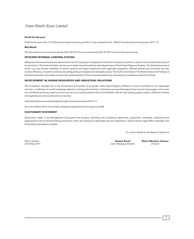#### **Profit for the year**

Profit for the year is Rs. (747.65) lacs during the financial year 2013-14 as compared to Rs. 1069.61 lacs during the financial year 2012-13.

#### **Net Worth**

The net worth in the current year stands at Rs. 84124.70 Lacs as compared to Rs. 81794.12 Lacs in the previous year.

#### **EFFICIENT INTERNAL CONTROL SYSTEM**

Adequate internal controls have been laid down by the Company to safeguard and protect its assets as well as to improve the overall productivity of its operations. The Internal Auditor carries out in-depth internal audits for each department of Hotel Hyatt Regency Kolkata. The detailed process of review not only ensures reliability of control systems and legal compliances with applicable legislation, defined policies and processes but also reviews efficiency of systems and ensures safeguarding of tangible and intangible assets. The Audit Committee of the Board reviews the findings of the Internal Auditor and closely monitors the implementation of their recommendations by reviewing the compliance reports furnished.

#### **DEVELOPMENT IN HUMAN RESOURCES AND INDUSTRIAL RELATIONS**

The Company's strength lies in the commitment and quality of its people. Hotel Hyatt Regency Kolkata is known worldwide for its impeccable services - a reflection of careful employee selection, training and motivation. Employees are provided opportunity to grow and prosper. In the mean time all efforts are being made to control cost so as to maintain present level of profitability. We are also seeking opportunities in different markets and segments to continue diversify our revenue.

Industrial relations remained stable throughout the financial year 2013-14.

As on 31st March 2014, the number of people employed by the Company was 306.

#### **CAUTIONARY STATEMENT**

Statements made in the Management Discussion and Analysis, describing the Company's objectives, projections, estimates, predictions and expectations may be forward looking statement within the meaning of applicable laws and regulations. Actual results might differ materially from those either expressed or implied.

For and on behalf of the Board of Directors

22nd May 2014 Joint Managing Director Director

Place: Kolkata **Umesh Saraf Rama Shankar Jhawar**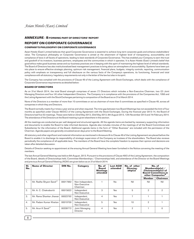#### **ANNEXURE - B FORMING PART OF DIRECTORS' REPORT**

#### **REPORT ON CORPORATE GOVERNANCE**

#### **COMPANY'S PHILOSOPHY ON CORPORATE GOVERNANCE**

Asian Hotels (East) Limited believes that good Corporate Governance is essential to achieve long term corporate goals and enhance stakeholders' value. The Company's philosophy on Corporate Governance is aimed at the attainment of highest level of transparency, accountability and compliance of laws in all facets of operations, leading to best standards of Corporate Governance. This has enabled your Company to earn the trust and goodwill of its investors, business partners, employees and the communities in which it operates. It is Asian Hotels (East) Limited's belief that good ethics make good business sense and our business practices are in keeping with this spirit of maintaining the highest level of ethical standards. The Board of Directors has also institutionalized best management practices to bring about an atmosphere of accountability. Systems have been put into place to ensure effective strategic planning, optimum risk management, financial plans, budgets, integrity controls, reporting, communication policy with emphasis on transparency and full disclosure on the various facts of the Company's operations, its functioning, financial and total compliance with all statutory/regulatory requirements not only in the letter of the law but also in its spirit.

The Company has complied with the provisions of Clause 49 of the Listing Agreement with Stock Exchanges, which deals with the compliance of Corporate Governance requirements as detailed below:

#### **BOARD OF DIRECTORS**

As on 31st March 2014, the total Board strength comprises of seven (7) Directors which includes a Non-Executive Chairman, two (2) Joint Managing Directors and four (4) other Independent Directors. The Company is in compliance with the provisions of the Companies Act, 1956 and the Listing Agreement with the Stock Exchanges pertaining to composition of the Board as on 31st March 2014.

None of the Directors is a member of more than 10 committees or act as chairman of more than 5 committees as specified in Clause 49, across all companies in which they are Directors.

The Board normally meets four times a year and as and when required. The time gap between two Board Meetings has not exceeded the limit of four months as specified under Clause 49(I)(C) of the Listing Agreement with the Stock Exchanges. During the financial year 2013-14, the Board of Directors had five (5) meetings. These were held on 22nd May 2013, 23rd May 2013, 8th August 2013, 12th November 2013 and 7th February 2014. The attendance of the Directors at the Board meeting is given elsewhere in this section.

All the meetings are conducted as per well designed and structured agenda. All the agenda items are backed by necessary supporting information and documents to enable the Board to take informed decisions. Agenda also includes minutes of the meetings of all the Board Committees and Subsidiaries for the information of the Board. Additional agenda items in the form of "Other Business" are included with the permission of the Chairman. Agenda papers are generally circulated seven days prior to the Board Meeting.

All statutory and other significant and material information as mentioned in Annexure IA to Clause 49 of the Listing Agreement are placed before the Board to enable it to discharge its responsibility of strategic supervision of the Company as trustees of the shareholders. The Board also reviews periodically the compliance of all applicable laws. The members of the Board have the complete freedom to express their opinion and decisions are taken after detailed discussion.

Details of Director seeking re-appointment at the ensuing Annual General Meeting have been furnished in the Notice convening the meeting of the members.

The last Annual General Meeting was held on 8th August, 2013. Pursuant to the provisions of Clause 49(I) of the Listing Agreement, the composition of the Board, details of Directorships held, Committee Memberships / Chairmanships held, and attendance of the Director at the Board Meetings and previous Annual General Meeting (AGM) are given below as on 31st March 2014:

| SI.<br>No. | <b>Name of Director</b>            | DIN No.  | Category                                      | No. of<br><b>Board</b><br><b>Meetings</b><br>attended | <b>Last AGM</b><br>attended | No. of other<br>Director-<br>$\mathsf{ship}(\mathsf{s})$ |                | No. of<br>Membership(s) $/$<br>Chairmanship(s) of<br><b>Board Committees, in</b><br>other Companies $#$ |
|------------|------------------------------------|----------|-----------------------------------------------|-------------------------------------------------------|-----------------------------|----------------------------------------------------------|----------------|---------------------------------------------------------------------------------------------------------|
|            |                                    |          |                                               |                                                       |                             |                                                          | <b>Member</b>  | <b>Chairman</b>                                                                                         |
| 1.         | Mr. Radhe Shyam Saraf <sup>+</sup> | 00017962 | Non-Independent,<br>Non-Executive<br>Chairman |                                                       | <b>No</b>                   | Nil                                                      | Nil            | Nil                                                                                                     |
| 2.         | Mr. A. C. Chakrabortti             | 00015622 | Independent<br>Non-Executive                  | 3                                                     | Yes                         | 5                                                        | $\overline{2}$ | $\overline{2}$                                                                                          |
| 3.         | Mr. Rama Shankar Jhawar            | 00023792 | Independent,<br>Non-Executive                 | 4                                                     | Yes                         | $\overline{7}$                                           |                |                                                                                                         |
| 4.         | Mr. Padam Kumar Khaitan            | 00019700 | Independent,<br>Non-Executive                 | 5                                                     | Yes                         | 10                                                       | $\overline{2}$ |                                                                                                         |
| 5.         | Mr. Arun K Saraf <sup>+</sup>      | 00339772 | Joint Managing<br>Director                    | 4                                                     | Yes                         | $\overline{2}$                                           |                | O                                                                                                       |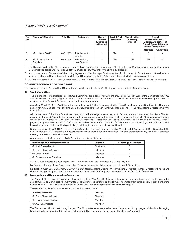| SI.<br>No. | <b>Name of Director</b>      | DIN No.  | Category                          | No. of<br><b>Board</b><br><b>Meetings</b><br>attended | <b>Last AGM</b><br>attended | No. of other<br>Director-<br>$\mathsf{ship}(\mathsf{s})$ |               | No. of<br>Membership(s) $/$<br><b>Chairmanship(s) of</b><br><b>Board Committees in</b><br>other Companies $\pi$ |
|------------|------------------------------|----------|-----------------------------------|-------------------------------------------------------|-----------------------------|----------------------------------------------------------|---------------|-----------------------------------------------------------------------------------------------------------------|
|            |                              |          |                                   |                                                       |                             |                                                          | <b>Member</b> | <b>Chairman</b>                                                                                                 |
| 6.         | Mr. Umesh Saraf <sup>+</sup> | 00017985 | Joint Managing<br><b>Director</b> | 5                                                     | Yes                         | 5                                                        |               |                                                                                                                 |
|            | Mr. Ramesh Kumar<br>Chokhani | 00582700 | Independent,<br>Non-Executive     | 4                                                     | Yes                         | Nil                                                      | Nil           | Nil                                                                                                             |

The Directorship held by Directors as mentioned above does not include Alternate Directorships and Directorships in Foreign Companies, Companies Registered under Section 25 of the Companies Act, 1956 and Private Limited Companies.

In accordance with Clause 49 of the Listing Agreement, Memberships/Chairmanships of only the Audit Committee and Shareholders'/ Investors' Grievance Committees in all Public Limited Companies [excluding Asian Hotels (East) Limited] have been considered.

No Directors other than Mr. Radhe Shyam Saraf, Mr. Arun K Saraf and Mr. Umesh Saraf are related to each other as father, sons and brothers.

#### **COMMITTEE OF BOARD OF DIRECTORS**

The Company has three (3) Board level Committee in accordance with Clause 49 of Listing Agreement with the Stock Exchanges.

#### **1) Audit Committee**

The role and the terms of reference of the Audit Committee are in conformity with the provisions of Section 292A of the Companies Act, 1956 and Clause 49 of the Listing Agreements with the Stock Exchanges. The terms of reference of the Committee are wide enough to cover the matters specified for Audit Committee under the Listing Agreements.

As on 31st March 2014, the Audit Committee comprises four (4) Directors amongst which three (3) are Independent Non-Executive Directors, namely Mr. A. C. Chakrabortti, Mr. Rama Shankar Jhawar and Mr. Ramesh Kumar Chokhani and one (1) is Joint Managing Director namely Mr. Umesh Saraf.

All the members of the Audit Committee possess sound knowledge on accounts, audit, finance, internal controls etc. Mr. Rama Shankar Jhawar, a Chartered Accountant, is a renowned financial professional in the industry. Mr. Umesh Saraf has held Managing Directorship in renowned Indian Companies. Mr. Ramesh Kumar Chokhani has 12 years of experience as a CA professional in the field of auditing, taxation, project management etc. and Mr. A. C. Chakrabortti, fellow member of the Institute of Chartered Accountants in England & Wales and India, has wide experience in diverse fields particularly pertaining to the accounts, finance and taxation.

During the financial year 2013-14, four (4) Audit Committee meetings were held on 23rd May 2013, 8th August 2013, 12th November 2013 and 7th February 2014 respectively. Necessary quorum was present for all the meetings. The time gaps between any two Audit Committee meetings were not more than four months.

Attendance of each Member at the Audit Committee meeting held during the year:

| Name of the Chairman/Member | <b>Status</b> | <b>Meetings Attended</b> |
|-----------------------------|---------------|--------------------------|
| Mr. A. C. Chakrabortti*     | Chairman      |                          |
| Mr. Rama Shankar Jhawar     | Member        |                          |
| Mr. Umesh Saraf             | Member        |                          |
| Mr. Ramesh Kumar Chokhani   | Member        |                          |

\*Mr. A. C. Chakrabortti has been appointed as Chairman of the Audit Committee w.e.f. 22nd May 2014.

Mr. Saumen Chattopadhyay, Chief Legal Officer & Company Secretary is the Secretary to the Audit Committee.

Mr. Radhe Shyam Saraf, Chairman, Mr. Arun K Saraf, Joint Managing Director, Vice President-Corporate Finance, Director of Finance and General Manager along with the Statutory and Internal Auditors of the Company attend the Meetings of the Audit Committee.

#### **2) Nomination and Remuneration Committee**

The Board of Directors of the Company at its meeting held on 22nd May 2014 changed the name of Remuneration Committee to Nomination and Remuneration Committee (the Committee). The Committee's constitution and terms of reference are in compliance with provisions of the Companies Act 2013 as well as requirement of Clause 49 of the Listing Agreement with Stock Exchanges.

The composition of the Committee as on 31st March 2014 is as under:

| Name of Member          | <b>Status</b> |
|-------------------------|---------------|
| Mr. Rama Shankar Jhawar | Chairman      |
| Mr. Padam Kumar Khaitan | Member        |
| Mr. A.C. Chakrabortti   | Member        |

The Committee did not meet during the year. The Committee when required reviews the remuneration packages of the Joint Managing Directors and recommend suitable revision to the Board. The remuneration is then subject to Members' approval.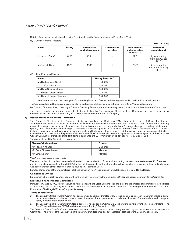Details of remuneration paid/payable to the Directors during the financial year ended 31st March 2014:

(a) Joint Managing Directors

#### **(Rs. in Lacs)**

| <b>Name</b>      | <b>Salary</b> | <b>Perquisites</b><br>and allowances | <b>Commission</b><br>payable | <b>Total amount</b><br>paid/payable<br>in 2013-14 | <b>Period of</b><br>appointment                |
|------------------|---------------|--------------------------------------|------------------------------|---------------------------------------------------|------------------------------------------------|
| Mr. Arun K Saraf | 84.20         | 45.11                                | Nil                          | 129.31                                            | 5 years starting<br>from 4th August<br>2010    |
| Mr. Umesh Saraf  | 84.20         | 45.11                                | Nil                          | 129.31                                            | 5 years starting<br>from 22nd February<br>2010 |

(b) Non-Executive Directors:

| Name                      | Sitting fees (Rs.)* |
|---------------------------|---------------------|
| Mr. Radhe Shyam Saraf     | 20,000              |
| Mr. A. C. Chakrabortti    | 1.20.000            |
| Mr. Rama Shankar Jhawar   | 1,60,000            |
| Mr. Padam Kumar Khaitan   | 1.00.000            |
| Mr. Ramesh Kumar Chokhani | 1.40.000            |

No remuneration other than sitting fees for attending Board and Committee Meetings was paid to the Non-Executive Directors.

The Company does not have any stock option plan or performance linked incentive or bonus for the Joint Managing Directors.

Mr. Saumen Chattopadhyay, Chief Legal Officer & Company Secretary acts as Secretary to the Nomination and Remuneration Committee.

There were no other shares and convertible instruments held by Non-Executive Directors of the Company. There were no pecuniary relationships or transaction between any of the Non- Executive Directors and the Company.

#### **3) Stakeholders Relationship Committee**

The Board of Directors of the Company at its meeting held on 22nd May 2014 changed the name of Share Transfer and Shareholders'/Investor's Grievance Committee to Stakeholder Relationship Committee (the Committee). The Committee is primarily responsible to carry out handling of transfer and transmission of shares, issue of duplicate/re-materialise shares and consolidation and splitting of certificates etc. and handling of shareholders'/investors' grievances/complanits. The brief terms of reference of the Committee include redressing of shareholders and investors' complaints like transfer of shares, non-receipt of Annual Reports, non-receipt of declared dividends etc. and to expedite the process of share transfer. The Committee also monitors implementation and compliance of the Company's Code of Conduct for prohibition of insider trading in pursuance of SEBI (Prohibition of Insider Trading) Regulations, 1992.

The composition of the Committee is as under:

| <b>Name of the Members</b> | <b>Status</b> |
|----------------------------|---------------|
| Mr. Padam K Khaitan        | Chairman      |
| Mr. Rama Shankar Jhawar    | Member        |
| Mr. Umesh Saraf            | Member        |

The Committee meets on need basis.

The total number of complaints received and replied to the satisfaction of shareholders during the year under review were 73. There are no pending complaints as on 31st March 2014. Further, all the requests for transfer of shares have also been processed in time and no transfer was pending for registration for more than 15 days as on 31st March 2014.

Minutes of meetings of the Stakeholders Relationship Committee/Resolutions by Circulations are circulated to the Board.

#### **Compliance Officer**

Mr. Saumen Chattopadhyay, Chief Legal Officer & Company Secretary is the Compliance Officer and acts as Secretary to the Committee.

#### **Executive Share Transfer Committee**

Pursuant to Clause 49 IV(G)(iv) of the Listing Agreement with the Stock Exchanges and to expedite the process of share transfers, the Board at its meeting held on 4th August 2012 has constituted an Executive Share Transfer Committee comprising of Vice President - Corporate Finance and Chief Legal Officer & Company Secretary.

#### **Terms of reference:**

- i) The Executive Share Transfer Committee considers and approves transfer of shares including taking note of transfer of shares in demat mode, transmission of shares, transposition of names of the shareholders, deletion of name of shareholders and change of name/surname of the shareholders;
- ii) The Executive Share Transfer Committee executes its role as per the Company's Code of Conduct for prevention of Insider Trading ("The Code") framed in terms of SEBI (Prohibition of Insider Trading) Regulations, 1992.

The Executive Share Transfer Committee meets on a need basis and at least once in every ten (10) days to dispose of the business of the Committee. The minutes of the Executive Share Transfer Committee are placed at the Board Meetings of the Company periodically.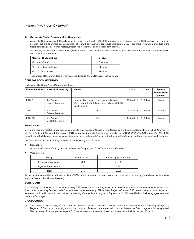#### **4. Corporate Social Responsibility Committee**

As per the Companies Act 2013, all companies having a net worth of Rs. 500 crores or more or turnover of Rs. 1000 crores or more or a net profit of Rs. 5 crores or more during any financial year will be required to constitute a Corporate Social Responsibility (CSR) Committee of the Board consisting of 3 or more directors, atleast one of whom will be an independent director.

Accordingly, the Board on 22nd May 2014, constituted the CSR Committee (the Committee) of the Board of the Company. The composition of the Committee is as under:

| <b>Name of the Members</b> | <b>Status</b> |
|----------------------------|---------------|
| Mr. Umesh Saraf            | Chairman      |
| Mr. Rama Shankar Jhawar    | Member        |
| Mr. A.C. Chakrabortti      | Member        |

The purpose of the Committee is to formulate and monitor the CSR Policy of the Company.

#### **GENERAL BODY MEETINGS**

Particulars of last three Annual General Meetings:

| <b>Financial Year</b> | <b>Nature of meeting</b>      | <b>Venue</b>                                                                                                    | <b>Date</b> | <b>Time</b> | <b>Special</b><br><b>Resolutions</b><br>passed |
|-----------------------|-------------------------------|-----------------------------------------------------------------------------------------------------------------|-------------|-------------|------------------------------------------------|
| 2010-11               | 4th Annual<br>General Meeting | Regency Ball Room, Hyatt Regency Kolkata,<br>JA-1, Sector-III, Salt Lake City, Kolkata- 700098,<br>West Bengal. | 24.08.2011  | 11.00 a.m   | None                                           |
| 2011-12               | 5th Annual<br>General Meeting | $-$ Do $-$                                                                                                      | 19.07.2012  | 11.00 a.m   | None                                           |
| 2012-13               | 6th Annual<br>General Meeting | $-$ Do $-$                                                                                                      | 08.08.2013  | 11.00 a.m   | None                                           |

#### **Postal Ballot**

During the year one resolution was passed by requisite majority as per Clause 5.16 of Securities and Exchange Board of India (SEBI) Circular No. CIR/CFD/DIL/5/2013 dated 4th February 2013 as replaced and clarified by SEBI Circular No. CIR/CFD/DIL/8/2013 dated 21st May 2013 through postal ballot and e-voting in respect of approval to the Scheme of Amalgamation between the Company and Forex Finance Private Limited.

Details of resolution passed through postal ballot and e-voting are as follows:

- **•** Description:
	- Approval to Scheme of Amalgamation between the Company and Forex Finance Private Limited.
- Voting Pattern:

| Voting                  | Number of votes | Percentage of total votes |
|-------------------------|-----------------|---------------------------|
| In favour of resolution | 233             | 94.72                     |
| Against the resolution  | 13              | 5.28                      |
| Total                   | 246             | 100.00                    |

As per requirement of above referred circulars of SEBI, promoters have not taken part in the postal ballot. Accordingly, the above resolution was approved by the public shareholders only.

#### **SUBSIDIARY**

The Company has two unlisted subsidiaries namely GJS Hotels Limited and Regency Convention Centre and Hotels Limited and one unlisted step down subsidiary namely Robust Hotels Private Limited, owning company of Hotel Hyatt Regency Chennai. GJS Hotels Limited is wholly owned and a material non-listed Indian subsidiary within the meaning of the explanations given in Explanations 1 of Clause 49(III) of the Listing Agreement with the Stock Exchanges.

#### **DISCLOSURES**

(i) There were no materially significant related party transactions that may have potential conflict with the interest of the Company at large. The Register of Contracts containing transactions in which Directors are interested is placed before the Board regularly for its approval. Transactions with related parties as per AS 18 are disclosed in the Notes to the Annual Accounts for the financial year 2013-14.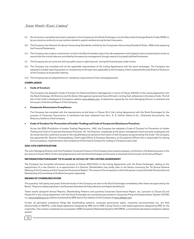- (ii) No strictures or penalties have been imposed on the Company by the Stock Exchanges or by the Securities Exchange Board of India (SEBI) or by any statutory authority on any matters related to capital markets during the last three years.
- (iii) The Company has followed all relevant Accounting Standards notified by the Companies (Accounting Standard) Rules, 2006 while preparing the Financial Statements.
- (iv) The Company has in place a mechanism to inform the Board members about the risk assessment and mitigation plans and periodical review to ensure that the critical risks are controlled by the executive management through means of a properly defined framework.
- (v) The Company has not come out with any public issue or right issue etc. during the financial year under review.
- (vi) The Company has complied with all the applicable requirements of the Listing Agreements with the stock exchanges. The Company has adopted a suitable reporting system on compliances of all major laws applicable to the Company, which is placed before the Board of Directors of the Company at its periodic meeting.
- (vii) The Company has not adopted the non-mandatory requirements of the Listing Agreement.

#### **COMPLIANCE**

#### **Code of Conduct**

The Company has adopted a Code of Conduct for Board and Senior Management in terms of Clause 49(I)(D) of the Listing Agreement with the Stock Exchange. All Directors and the Senior Management personnel have affirmed in writing their adherence to the above Code. The full text of the Code is displayed at Company's website www.ahleast.com. A declaration signed by the Joint Managing Director is attached and forms part of the Annual Report of the Company.

#### **Corporate Governance Compliance**

The Company has complied with the requirements as laid down in Clause 49 of the Listing Agreements with the Stock Exchanges for the purpose of Corporate Governance. A certificate has been obtained from M/s. S. S. Kothari Mehta & Co., Chartered Accountants, the Statutory Auditors of the Company.

#### **Code of Conduct for Prevention of Insider Trading and Code of Corporate Disclosure Practices**

As per the SEBI (Prohibition of Insider Trading) Regulations, 1992, the Company has adopted a Code of Conduct for Prevention of Insider Trading and Code of Corporate Disclosure Practices. All the Directors, employees at the senior management level and other employees and all concerned who could have access to the unpublished price sensitive information of the Company are governed by this Code. The Company has appointed Mr. Saumen Chattopadhyay, Chief Legal Officer & Company Secretary, as Compliance Officer who is responsible for setting forth procedures, implementation and compliance of the Code of Conduct for trading in Company's securities.

#### **CEO/CFO CERTIFICATION**

The Joint Managing Director and Vice President-Corporate Finance of the Company have issued necessary certificate to the Board pursuant to the provisions of Clause 49(V) of the Listing Agreements with the Stock Exchanges and the same is attached and forms part of the Annual Report.

#### **INFORMATION PURSUANT TO CLAUSE 49 (IV)(G) OF THE LISTING AGREEMENT**

The Company has furnished information pursuant to Clause 49(IV)(G)(i) of the Listing Agreements with the Stock Exchanges, relating to the appointment of a new Director or re-appointment of a Director. Shareholders may kindly refer to the Notice convening the 7th Annual General Meeting of the Company and this Corporate Governance Report. The names of the companies in which the person concerned holds Directorship and Membership of Committees of the Board are given separately.

#### **MEANS OF COMMUNICATION**

The quarterly, half-yearly and yearly financial results of the Company are sent to the Stock Exchanges immediately after these are approved by the Board. These are widely published in the Business Standard (all India editions) and Aajkal (all editions).

These results alongwith Annual Reports, Shareholding Patterns and quarterly Corporate Governance Report, etc. pursuant to Clause 52 and Clause 54 of the Listing Agreement with the Stock Exchanges are simultaneously posted on Corporate Filing and Dissemination System (CFDS) viz. www.corpfiling.co.in website maintained by SEBI and on the website of the Company at www.ahleast.com.

Further, all periodical compliance filings like shareholding patterns, corporate governance report, corporate announcements etc. are filed electronically on NEAPS, a web based application designed by NSE and on BSE Listing Centre a web based application designed by BSE for the corporates. The investor complaints are processed in SEBI Complaints Redressal Systems (SCORES), a centralized web based complaints redress system.

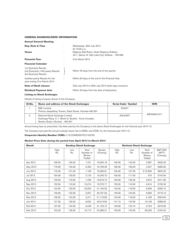#### **GENERAL SHAREHOLDERS' INFORMATION**

#### **Annual General Meeting**

| Day, Date & Time                                                                    | ÷ | Wednesday, 30th July 2014<br>At $10.00 a.m.$                                                      |
|-------------------------------------------------------------------------------------|---|---------------------------------------------------------------------------------------------------|
| <b>Venue</b>                                                                        | ÷ | Regency Ball Room, Hyatt Regency Kolkata,<br>JA-1, Sector III, Salt Lake City, Kolkata - 700 098. |
| <b>Financial Year</b>                                                               | ÷ | 31st March 2014                                                                                   |
| <b>Financial Calendar</b>                                                           | ÷ |                                                                                                   |
| 1st Ouarterly Results<br>2nd Quarterly/Half yearly Results<br>3rd Quarterly Results |   | Within 45 days from the end of the quarter                                                        |
| Audited yearly Results for the<br>year ending 31st March 2014                       | ÷ | Within 60 days of the end of the Financial Year.                                                  |
| <b>Date of Book closure</b>                                                         | ÷ | 23rd July 2014 to 30th July 2014 (both days inclusive)                                            |
| <b>Dividend Payment date</b>                                                        | ÷ | Within 30 days from the date of declaration.                                                      |

**Listing on Stock Exchanges**

Details of listing of equity shares of the Company:

| SI.No. | <b>Name and address of the Stock Exchanges</b>                                                                               | <b>Scrip Code/ Symbol</b> | <b>ISIN</b>  |
|--------|------------------------------------------------------------------------------------------------------------------------------|---------------------------|--------------|
|        | <b>BSE Limited.</b><br>Phiroze Jeejeebhoy Towers, Dalal Street, Mumbai-400 001                                               | 533227                    |              |
| 2.     | National Stock Exchange Limited.<br>Exchange Plaza, C-1, Block-G, Bandra - Kurla Complex,<br>Bandra (East), Mumbai - 400 051 | AHLEAST                   | INE926K01017 |

Annual listing fees as prescribed, has been paid by the Company to the above Stock Exchanges for the financial year 2014-15.

The Company has paid the annual custody/issuer fee to NSDL and CDSL for the financial year 2014-15.

#### **Corporate Identity Number (CIN):** L15122WB2007PLC162762

#### **Market Price Data during the period from April 2013 to March 2014**

| Month    | <b>Bombay Stock Exchange</b> |            |                                               | <b>National Stock Exchange</b> |             |            |                                               |                                                 |
|----------|------------------------------|------------|-----------------------------------------------|--------------------------------|-------------|------------|-----------------------------------------------|-------------------------------------------------|
|          | High<br>Rs.                  | Low<br>Rs. | Total<br>Number of<br><b>Shares</b><br>Traded | Sensex<br>(Closing)            | High<br>Rs. | Low<br>Rs. | Total<br>Number of<br><b>Shares</b><br>Traded | <b>S&amp;P CNX</b><br><b>NIFTY</b><br>(Closing) |
| Apr 2013 | 199.50                       | 162.05     | 7,221                                         | 19,504.18                      | 195.00      | 142.00     | 3,087                                         | 5930.20                                         |
| May 2013 | 170.00                       | 142.00     | 6,304                                         | 19,760.30                      | 185.00      | 136.00     | 3,327                                         | 5985.95                                         |
| Jun 2013 | 175.00                       | 121.00     | 1,189                                         | 19,395.81                      | 155.00      | 127.00     | 5,73,835                                      | 5842.20                                         |
| Jul 2013 | 164.00                       | 133.00     | 2,124                                         | 19,345.70                      | 160.50      | 117.00     | 973                                           | 5742.00                                         |
| Aug 2013 | 140.00                       | 116.65     | 7,449                                         | 18,619.72                      | 150.00      | 126.35     | 2,872                                         | 5471.80                                         |
| Sep 2013 | 132.90                       | 116.00     | 15,674                                        | 19,379.77                      | 125.05      | 116.00     | 6,814                                         | 5735.30                                         |
| Oct 2013 | 142.95                       | 120.00     | 23,025                                        | 21,164.52                      | 142.00      | 118.00     | 8,639                                         | 6299.15                                         |
| Nov 2013 | 140.00                       | 122.00     | 5,947                                         | 20,791.93                      | 140.00      | 124.65     | 9,084                                         | 6176.10                                         |
| Dec 2013 | 136.00                       | 124.00     | 3,311                                         | 21,170.68                      | 134.40      | 118.00     | 5,169                                         | 6304.00                                         |
| Jan 2014 | 147.00                       | 126.00     | 8,622                                         | 20,513.85                      | 141.10      | 124.00     | 19,128                                        | 6089.50                                         |
| Feb 2014 | 137.05                       | 124.50     | 8,246                                         | 21,120.12                      | 140.00      | 124.10     | 9,164                                         | 6276.95                                         |
| Mar 2014 | 152.00                       | 128.05     | 10,714                                        | 22,386.27                      | 150.00      | 122.00     | 60,226                                        | 6704.20                                         |

 $\boxed{13}$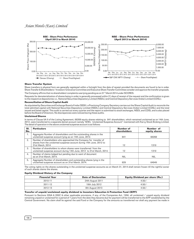

#### **Share Transfer System**

Share transfers in physical form are generally registered within a fortnight from the date of receipt provided the documents are found to be in order. Share Transfer & Shareholders'/ Investors' Grievance Committee and Executive Share Transfer Committee consider and approve the transfer proposals. The Company affirms that no shareholders' complaints was lying pending as on 31<sup>st</sup> March 2014 under SCORES.

Requests for dematerialization of shares being in order is generally processed within 21 days of receipt of the request and the confirmation is given to the respective depositories i.e., National Securities Depository Limited (NSDL) and Central Depository Services (India) Limited (CDSL).

#### **Reconciliation of Share Capital Audit**

As stipulated by Securities and Exchange Board of India (SEBI), a Practicing Company Secretary carries out the Share Capital Audit to reconcile the total admitted capital with National Securities Depository Limited (NSDL) and Central Depository Services (India) Limited (CDSL) and the total issued and listed capital. This audit is carried out every quarter and the report is submitted to stock exchanges, NSDL and CDSL and is also placed before the Board of Directors. No discrepancies were noticed during these audits.

#### **Unclaimed Shares**

14

In terms of Clause 5A II of the Listing Agreement, 66268 equity shares relating to 841 shareholders, which remained unclaimed as on 14th June, 2012, were transferred to a separate demat account namely "AHEL Unclaimed Suspense Account" maintained with Karvy Stock Broking Limited. The detail of operation in the above unclaimed suspense account is as follows:

| SI.<br>No. | <b>Particulars</b>                                                                                                                                            | Number of<br>shareholders | Number of<br>equity shares |
|------------|---------------------------------------------------------------------------------------------------------------------------------------------------------------|---------------------------|----------------------------|
|            | Aggregate Number of shareholders and the outstanding shares in the<br>unclaimed suspense account lying as on 14th June, 2012.                                 | 841                       | 66268                      |
| 2.         | Number of shareholders who approached the Company for transfer of<br>shares from the unclaimed suspense account during 14th June, 2012 to<br>31st March, 2014 | 12                        | 1319                       |
| 3.         | Number of shareholders to whom shares were transferred from the<br>unclaimed suspense account during 14th June, 2012 to 31st March, 2014.                     | 12                        | 1319                       |
| 4.         | Number of claims lodged but pending due to want of document<br>as on 31st March, 2014.                                                                        | <b>NIL</b>                | <b>NIL</b>                 |
| 5.         | Aggregate Number of shareholders and outstanding shares lying in the<br>unclaimed suspense account as on 31st March, 2014.                                    | 829                       | 64949                      |

The voting rights on the shares outstanding in the unclaimed suspense accounts as on March 31, 2014 shall remain frozen till the rightful owner of such shares claims the shares.

#### **Equity Dividend History of the Company**

| <b>Financial Year</b> | <b>Date of Declaration</b> | <b>Equity Dividend per share (Rs.)</b> |
|-----------------------|----------------------------|----------------------------------------|
| 2010-11               | 24th August 2011           | $4.50/-$                               |
| 2011-12               | 19th July 2012             | $4.50/-$                               |
| 2012-13               | 8th August 2013            | $4.50/-$                               |

#### **Transfer of unpaid/unclaimed equity dividend to Investors Education & Protection Fund (IEPF)**

Pursuant to Sections 205A & 205C & other applicable provisions, if any, of the Companies Act, 1956, all unclaimed / unpaid equity dividend remaining unpaid or unclaimed for a period of 7 years from the date they became due for payment will be transferred to the IEPF established by the Central Government. No claim shall lie against the said Fund or the Company for the amounts so transferred nor shall any payment be made in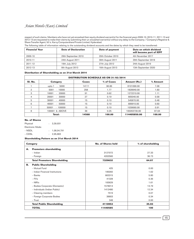respect of such claims. Members who have not yet encashed their equity dividend warrant(s) for the financial years 2009-10, 2010-11, 2011-12 and 2012-13 are requested to make their claims by submitting their un-encashed warrant(s) without any delay to the Company / Company's Registrar & Share Transfer Agent, M/s. Karvy Computershare Private Limited, Hyderabad.

The following table of information relating to the outstanding dividend accounts and the dates by which they need to be transferred:

| <b>Financial Year</b> | <b>Date of Declaration</b> | Date of payment   | Date on which dividend<br>will become part of IEPF |
|-----------------------|----------------------------|-------------------|----------------------------------------------------|
| 2009-10               | 29th September 2010        | 20th October 2010 | 4th November 2017                                  |
| 2010-11               | 24th August 2011           | 30th August 2011  | 29th September 2018                                |
| 2011-12               | 19th July 2012             | 27th July 2012    | 24th August 2019                                   |
| 2012-13               | 8th August 2013            | 16th August 2013  | 13th September 2020                                |

#### **Distribution of Shareholding as on 31st March 2014**

| DISTRIBUTION SCHEDULE AS ON 31/03/2014 |                          |              |            |                     |          |  |
|----------------------------------------|--------------------------|--------------|------------|---------------------|----------|--|
| SI. No.                                | Category                 | <b>Cases</b> | % of Cases | <b>Amount (Rs.)</b> | % Amount |  |
|                                        | 5000<br>upto 1           | 14111        | 96.86      | 8101090.00          | 7.08     |  |
| 2                                      | 5001<br>$-10000$         | 258          | 1.77       | 1828940.00          | 1.60     |  |
| 3                                      | 20000<br>10001<br>$\sim$ | 91           | 0.62       | 1272210.00          | 1.11     |  |
| 4                                      | 20001<br>30000<br>$\sim$ | 27           | 0.19       | 665040.00           | 0.58     |  |
| 5                                      | 30001<br>40000<br>$\sim$ | 15           | 0.10       | 545870.00           | 0.48     |  |
| 6                                      | 40001<br>50000<br>$\sim$ | 15           | 0.10       | 689910.00           | 0.60     |  |
|                                        | $-100000$<br>50001       | 15           | 0.10       | 1039060.00          | 0.91     |  |
| 8                                      | 100001 & ABOVE           | 36           | 0.25       | 100263730.00        | 87.64    |  |
|                                        | Total:                   | 14568        | 100.00     | 114405850.00        | 100.00   |  |

#### **No. of Shares**

| Physical         | 3.39.931      |
|------------------|---------------|
| Electronic Mode: |               |
| – NSDL           | : 1.08.04.791 |
| – CDSL           | : 2.95,863    |

#### **Shareholding Pattern as on 31st March 2014**

| <b>Category</b> |                                     | <b>No. of Shares held</b> | % of shareholding |
|-----------------|-------------------------------------|---------------------------|-------------------|
| А.              | <b>Promoters shareholding</b>       |                           |                   |
|                 | - Indian                            | 3127072                   | 27.33             |
|                 | - Foreign                           | 4202560                   | 36.73             |
|                 | <b>Total Promoters Shareholding</b> | 7329632                   | 64.07             |
| в.              | <b>Public Shareholding</b>          |                           |                   |
|                 | - Mutual Fund                       | 425                       | 0.00              |
|                 | - Indian Financial Institutions     | 185092                    | 1.62              |
|                 | - Banks                             | 663315                    | 5.80              |
|                 | $-$ FII's                           | 41328                     | 0.36              |
|                 | $-$ NRI's                           | 183629                    | 1.61              |
|                 | - Bodies Corporate (Domestic)       | 1578014                   | 13.79             |
|                 | - Individuals (Indian Public)       | 1412480                   | 12.34             |
|                 | - Clearing members                  | 7519                      | 0.07              |
|                 | - Foreign Corporate Bodies          | 38803                     | 0.34              |
|                 | – Trust                             | 348                       | 0.00              |
|                 | <b>Total Public Shareholding</b>    | 4110953                   | 35.93             |
|                 | <b>TOTAL</b>                        | 11440585                  | 100               |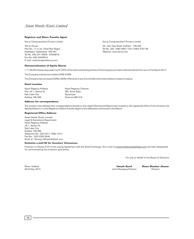#### **Registrar and Share Transfer Agent**

Madhapur, Hyderabad- 500 081 Website: www.karvy.com Tel No. 040-23114058/ 23420818, Fax No. 040-23420814 E-mail: mailmanager@karvy.com

Karvy Computershare Private Limited Karvy Computershare Private Limited Karvy Computershare Private Limited

'Karvy House' 49, Jatin Das Road, Kolkata - 700 029 Tel No. 033- 2464 4891/7231/2463-4787-89

#### **Dematerialisation of Equity Shares**

1,11,00,654 shares (equivalent to 97.03%) of the total outstanding shares of the Company are held in dematerialized form as on 31st March 2014.

The Company's shares are traded at BSE & NSE.

The Company has not issued GDRs/ADRs/Warrants or any Convertible Instruments likely to impact on equity.

#### **Hotel Location**

| Hyatt Regency Kolkata  | <b>Hyatt Regency Chennai</b> |
|------------------------|------------------------------|
| Plot JA-1, Sector III. | 365, Anna Salai,             |
| Salt Lake City         | Teynampet                    |
| Kolkata 700 098        | Chennai-600 018              |
|                        |                              |

#### **Address for correspondence**

The investor may address their correspondence directly to the Legal & Secretarial Department located at the registered office of the Company (as detailed below) or to the Registrar & Share Transfer Agent at the addresses mentioned in this Report.

#### **Registered Office Address**

Asian Hotels (East) Limited Legal & Secretarial Department Hyatt Regency Kolkata JA-1, Sector III, Salt Lake City Kolkata 700 098 Telephone No. :033-2517-1009/1012 Fax No. : 033-2335-8246 Email id : Soumya.Saha@ahleast.com

#### **Exclusive e-mail ID for Investors' Grievances**

Pursuant to Clause 47(f) of the Listing Agreement with the Stock Exchange, the e-mail id investorrelations@ahleast.com has been designated for communicating the investors' grievances.

For and on behalf of the Board of Directors

Joint Managing Director **Director** 

Place: Kolkata **Umesh Saraf Rama Shankar Jhawar**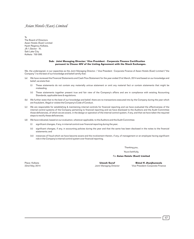To

The Board of Directors Asian Hotels (East) Limited Hyatt Regency Kolkata, JA-1,Sector - III, Salt Lake City Kolkata 700 098.

#### **Sub: Joint Managing Director/ Vice President - Corporate Finance Certification pursuant to Clause 49V of the Listing Agreement with the Stock Exchanges.**

We, the undersigned, in our capacities as the Joint Managing Director / Vice President Corporate Finance of Asian Hotels (East) Limited ("the Company") to the best of our knowledge and belief certify that:

- (a) We have reviewed the Financial Statements and Cash Flow Statement for the year ended 31st March, 2014 and based on our knowledge and belief, we state that:
	- (i) These statements do not contain any materially untrue statement or omit any material fact or contain statements that might be misleading.
	- (ii) These statements together present true and fair view of the Company's affairs and are in compliance with existing Accounting Standards, applicable laws & regulations.
- (b) We further state that to the best of our knowledge and belief, there are no transactions executed into by the Company during the year which are fraudulent, illegal or violate the Company's Code of Conduct.
- (c) We are responsible for establishing & maintaining internal controls for financial reporting and we have evaluated the effectiveness of the internal control systems of the Company pertaining to financial reporting and we have disclosed to the Auditors and the Audit Committee those deficiencies, of which we are aware, in the design or operation of the internal control system, if any, and that we have taken the required steps to rectify these deficiencies.
- (d) We have indicated, based on our evaluation, wherever applicable, to the Auditors and the Audit Committee:
	- (i) significant changes, if any, in internal control over financial reporting during the year;
	- (ii) significant changes, if any, in accounting policies during the year and that the same has been disclosed in the notes to the financial statements; and
	- (iii) instances of fraud which we have become aware and the involvement therein, if any, of management or an employee having significant role in the Company's internal control system over financial reporting.

Thanking you,

Yours faithfully,

For **Asian Hotels (East) Limited**

Place: Kolkata **Umesh Saraf Bimal K Jhunjhunwala** 22nd May 2014 Joint Managing Director Vice President-Corporate Finance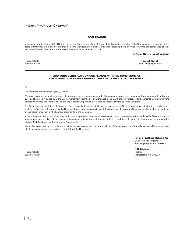#### **DECLARATION**

In compliance with Clause 49(I)(D)(ii) of the Listing Agreement, I, Umesh Saraf, Joint Managing Director of the Company hereby declare on the basis of information furnished to me that all Board Members and Senior Managerial Personnel have affirmed in writing the compliance of their respective Code of Conducts adopted by the Board for Financial Year 2013-14.

#### For **Asian Hotels (East) Limited**

Place: Kolkata **Umesh Saraf** 22nd May 2014 Joint Managing Director

#### **AUDITOR'S CERTIFICATE ON COMPLIANCE WITH THE CONDITIONS OF CORPORATE GOVERNANCE UNDER CLAUSE 49 OF THE LISTING AGREEMENT**

To

The Members of Asian Hotels (East) Limited

We have reviewed the implementation of Corporate Governance procedure by the company during the twelve-month period ended 31st March, 2014 as stipulated in clause 49 of the Listing Agreement with the Stock Exchanges in India with the relevant records/documents maintained by the company furnished to us for our review and the report of Corporate Governance as approved by the Board of Directors.

The Compliance of conditions of Corporate Governance is the responsibility of the management. Our examination was limited to procedures and implementation thereof, adopted by the Company for ensuring the compliance of the conditions of Corporate Governance. It is neither an audit, nor an expression of opinion on the financial statements of the Company.

In our opinion and to the best of our information and according to the explanations given to us and the representation made by the Directors and the management, we certify that the Company has complied in all material respects with the conditions of Corporate Governance as stipulated in Clause 49 of the above-mentioned Listing Agreement.

We further state that such compliance is neither an assurance as to the future viability of the company nor of the efficiency or effectiveness with which the management has conducted the affairs of the Company.

> For **S. S. Kothari Mehta & Co.** Chartered Accountants Firm Registration No: 000756N

Place: Kolkata Partner

**K K Tulshan** Membership No: 085033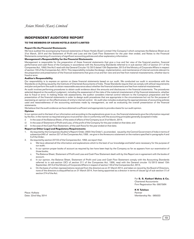### **INDEPENDENT AUDITORS' REPORT**

#### **TO THE MEMBERS OF ASIAN HOTELS (EAST) LIMITED**

#### **Report On the Financial Statements**

We have audited the accompanying financial statements of Asian Hotels (East) Limited ('the Company') which comprises the Balance Sheet as at 31st March, 2014 and the Statement of Profit and Loss and the Cash Flow Statement for the year then ended, and Notes to the Financial Statements comprising of a summary of significant accounting policies and other explanatory information.

#### **Management's Responsibility for the Financial Statements**

Management is responsible for the preparation of these financial statements that give a true and fair view of the financial position, financial performance and cash flows of the Company in accordance with the Accounting Standards referred to in sub-section (3C) of section 211 of the Companies Act, 1956 ('the Act') read with the General Circular 15/2013 dated 13th September, 2013 of the Ministry of Corporate Affairs in respect of section 133 of the Companies Act, 2013. This responsibility includes the design, implementation, and maintenance of internal controls relevant to the preparation and presentation of the financial statements that give a true and fair view and are free from material misstatements, whether due to fraud or error.

#### **Auditor's Responsibility**

Our responsibility is to express an opinion on these financial statements based on our audit. We conducted our audit in accordance with the Standards on Auditing issued by the Institute of Chartered Accountants of India. Those Standards require that we comply with ethical requirements and plan and perform the audit to obtain reasonable assurance about whether the financial statements are free from material misstatement.

An audit involves performing procedures to obtain audit evidence about the amounts and disclosures in the financial statements. The procedures selected depend on the auditor's judgment, including the assessment of the risks of the material misstatement of the financial statements, whether due to fraud or error. In making those risk assessments, the auditor considers internal control relevant to the Company's preparation and fair presentation of the financial statements in order to design audit procedures that are appropriate in the circumstances but not for the purpose of expressing an opinion on the effectiveness of entity's internal control. An audit also includes evaluating the appropriateness of accounting policies used and reasonableness of the accounting estimates made by management, as well as evaluating the overall presentation of the financial statements.

We believe that the audit evidence we have obtained is sufficient and appropriate to provide a basis for our audit opinion.

#### **Opinion**

In our opinion and to the best of our information and according to the explanations given to us, the financial statements give the information required by the Act, in the manner so required and give a true and fair view in conformity with the accounting principles generally accepted in India:

- i) In the case of the Balance Sheet, of the state of affairs of the Company as at 31st March, 2014;
- ii) In the case of Statement of Profit and Loss, of the profit of the Company for the year ended on that date; and
- iii) In the case of the Cash Flow Statement, of the cash flows for the year ended on that date.

#### **Report on Other Legal and Regulatory Requirements**

- 1. As required by the Companies (Auditor's Report) Order, 2003 ('the Order'), as amended, issued by the Central Government of India in terms of subsection(4A) of section 227 of the Companies Act,1956 , we give in the Annexure a statement on the matters specified in paragraphs 4 and 5 of the Order;
- 2. As required by section 227(3) of the Companies Act, 1956, we report that:
	- a. We have obtained all the information and explanations which to the best of our knowledge and belief were necessary for the purpose of our audit;
	- b. In our opinion proper books of account as required by law have been kept by the Company so far as appears from our examination of those books;
	- c. The Balance Sheet, Statement of Profit and Loss and Cash Flow Statement dealt with by this Report are in agreement with the books of account;
	- d. In our opinion, the Balance Sheet, Statement of Profit and Loss and Cash Flow Statement comply with the Accounting Standards referred to in sub-section (3C) of section 211 of the Companies Act, 1956, read with the General circular 15/2013 dated 13th September, 2013 of the Ministry of Corporate Affairs in respect of section 133 of the Companies Act, 2013,
	- e. On the basis of written representations received from the directors as on 31 March 2014, and taken on record by the Board of Directors, none of the directors is disqualified as on 31 March 2014, from being appointed as a director in terms of clause (g) of sub-section (1) of section 274 of the Act.

For **S. S. Kothari Mehta & Co.** Chartered Accountants Firm Registration No: 000756N

Place: Kolkata Partner

**K K Tulshan** Date: 22nd May 2014 Membership No: 085033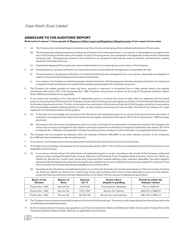20

#### **ANNEXURE TO THE AUDITORS' REPORT**

#### **Referred to in clause 1 of paragraph of 'Report on Other Legal and Regulatory Requirements' of our report of even date**

- 1. (a) The Company has maintained proper records showing full particulars including quantitative details and situation of fixed assets.
	- (b) The Company has a phased programme of physical verification of its fixed assets which, in our opinion, is reasonable having regard to the size of the Company and the nature of its assets. As part of this programme, the management has physically verified certain fixed assets during the year. Discrepancies noticed on such verification as compared to book records were not material, and have been properly adjusted in the books of account.
	- (c) Fixed assets disposed off during the year were not substantial so as to impact going concern status of the Company.
- 2. (a) As explained to us, physical verification of inventories has been conducted by the management at reasonable intervals.
	- b) The procedures for the physical verification of inventories followed by the management are, in our opinion, reasonable and adequate in relation to the size of the Company and the nature of its business.
	- c) In our opinion, the Company is maintaining proper records of inventory. The discrepancies noticed on physical verification of inventory as compared to book records were not material and have been properly dealt with in the books of account.
- 3. The Company has neither granted nor taken any loans, secured or unsecured, to companies firms or other parties listed in the register maintained under section 301 of the Companies Act, 1956. Therefore, the provision of clause (iii) (b) to (g) of Companies (Auditor's report) Order, 2003 (as amended) are not applicable.
- 4. In our opinion and according to the information & explanations given to us during the course of audit, there are adequate internal control systems commensurate with the size of the Company and the nature of its business with regard to purchase of inventories and fixed assets and for the sale of goods and services. Further, on the basis of our examination of the books and records of the Company, carried out in accordance with the generally accepted auditing practices in India, we have neither come across nor have we been informed of any instance of a major weakness in the aforesaid internal control systems.
- 5. (a) To the best of our knowledge and according to the information and explanations given to us, we are of the opinion that the particulars of contracts or arrangements that need to be entered into the register maintained under section 301 of the Companies Act, 1956 have been so entered.
	- (b) According to the information and explanation given to us and on the basis of our examination of books and records of the Company, the value of any contract or arrangement with respect to each part required to be entered in the register maintained under section 301 of the Companies Act ,1956 does not exceed Rs. five lakhs hence the provision of clause 4 (v)(b) of the order is not applicable to the Company.
- 6. The Company has not accepted any deposits within the meaning of Section 58A,58AA or any other relevant provision of the companies Act,1956 and rules framed there under during the period.
- 7. In our opinion, the Company has an internal audit system commensurate with the size and nature of its business.
- 8. To the best of our knowledge, maintenance of cost records under section 209 (1) (d) of the Act as prescribed by the Central Government is not applicable to the Company.
- 9. (a) In our opinion and according to the information and explanations given to us and according to the records of the Company, undisputed statutory dues including Provident Fund, Investor Education and Protection Fund, Employees State Insurance, Income tax, Sales tax, Wealth tax, Service tax, Custom duty, Excise duty, Cess and other material statutory dues, wherever applicable, have been regularly deposited with the appropriate authorities during the year and there are no such undisputed statutory dues payable for a period of more than six months from the date they became payable as at 31st March,2014.
	- (b) According to the information and explanations given to us and as per the books and records examined by us, there are no dues of Income tax, Sales tax, Wealth tax, Service tax, Custom duty, Excise duty and Cess which have not been deposited on account of any dispute, except the following which have not been deposited as on 31st March, 2014 on account of disputes are given below:

| Name of the<br><b>Statute</b> | Nature of<br><b>Dues</b> | Amount<br>(ln ₹) | <b>Forum where</b><br>dispute is pending | <b>Period to which the</b><br><b>Amount relates</b> |
|-------------------------------|--------------------------|------------------|------------------------------------------|-----------------------------------------------------|
| Finance Act, 1994             | Service Tax              | 4.374.245        | Commissioner (Appeals)                   | Prior to 2004-05                                    |
| Finance Act, 1994             | Service Tax              | 10.217.937       | Service Tax Tribunal                     | 2003-04 to 2006-07                                  |
| Finance Act, 1994             | Service Tax              | 26,753,749       | Service Tax Commissioner                 | 2007-08 to 2009-10                                  |

10. The Company does not have accumulated losses as at the end of the financial year. There are no cash losses during the financial year and in the immediately preceding financial year.

11. As the Company does not have any dues payable to any Financial institutions, Banks and Debenture holder, the provision of clause 4(xi) of the Companies (Auditor's Report) Order, 2003 are not applicable to the Company.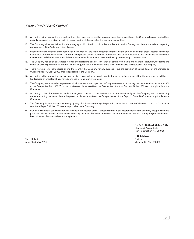- 12. According to the information and explanations given to us and as per the books and records examined by us, the Company has not granted loan and advances on the basis of security by way of pledge of shares, debenture and other securities.
- 13. The Company does not fall within the category of Chit fund / Nidhi / Mutual Benefit fund / Society and hence the related reporting requirements of the Order are not applicable.
- 14. Based on our examination of the records and evaluation of the related internal controls, we are of the opinion that proper records have been maintained of the transactions or contracts in respect of shares, securities, debentures and other Investments and timely entries have been made therein. All shares, securities, debentures and other Investments have been held by the company on its own name.
- 15. The Company has given guarantees / letter of undertaking against loan taken by others from banks and financial institution, the terms and condition of such guarantees / letter of undertaking , are not in our opinion, prima facie, prejudicial to the interest of the Company.
- 16. There were no term loans raised during the year by the Company for any purpose. Thus the provision of clause 4(xvi) of the Companies (Auditor's Report) Order, 2003 are not applicable to the Company.
- 17. According to the information and explanation given to us and on an overall examination of the balance sheet of the Company, we report that no funds raised on short term basis have been used for long term investment.
- 18. The Company has not made any preferential allotment of share to parties or Companies covered in the register maintained under section 301 of the Companies Act, 1956. Thus the provision of clause 4(xviii) of the Companies (Auditor's Report) Order,2003 are not applicable to the **Company.**
- 19. According to the information and explanations given to us and on the basis of the records examined by us, the Company has not issued any debenture during the period; hence the provision of clause 4(xix) of the Companies (Auditor's Report) Order,2003 are not applicable to the Company.
- 20. The Company has not raised any money by way of public issue during the period , hence the provision of clause 4(xx) of the Companies (Auditor's Report) Order,2003 are not applicable to the Company.
- 21. During the course of our examination of the books and records of the Company carried out in accordance with the generally accepted auditing practices in India, we have neither come across any instance of fraud on or by the Company, noticed and reported during the year, nor have we been informed of such case by the management.

For **S. S. Kothari Mehta & Co.** Chartered Accountants Firm Registration No: 000756N

**K K Tulshan**

Membership No: 085033

Place: Kolkata Partner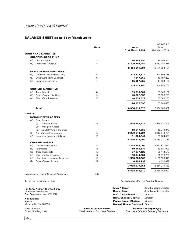### **BALANCE SHEET as at 31st March 2014**

|               |                                            |                |                        | Amount in ₹     |
|---------------|--------------------------------------------|----------------|------------------------|-----------------|
|               |                                            | <b>Note</b>    | As at                  | As at           |
|               |                                            |                | <b>31st March 2014</b> | 31st March 2013 |
|               | <b>EQUITY AND LIABILITIES</b>              |                |                        |                 |
|               | <b>SHAREHOLDERS' FUND</b>                  |                |                        |                 |
| (a)           | Share Capital                              | 3              | 114,405,850            | 114,405,850     |
| (b)           | Reserves & Surplus                         | $\overline{4}$ | 8,300,205,444          | 8,067,147,284   |
|               |                                            |                | 8,414,611,294          | 8,181,553,134   |
|               | <b>NON-CURRENT LIABILITIES</b>             |                |                        |                 |
| (a)           | Deferred Tax Liabilities (Net)             | 5              | 222,572,874            | 220,598,735     |
| (b)           | Other Long Term Liabilities                | 6              | 7,147,650              | 10,197,250      |
| (c)           | Long-term Provisions                       | $\overline{7}$ | 15,907,656             | 14,063,180      |
|               |                                            |                | 245,628,180            | 244,859,165     |
|               | <b>CURRENT LIABILITIES</b>                 |                |                        |                 |
| (a)           | <b>Trade Payables</b>                      | 8              | 89,818,964             | 63,866,127      |
| (b)           | <b>Other Current Liabilities</b>           | 9              | 43,902,053             | 33,556,290      |
| (c)           | Short - Term Provisions                    | 10             | 40,856,379             | 60,346,186      |
|               |                                            |                | 174,577,396            | 157,768,603     |
|               | <b>Total</b>                               |                | 8,834,816,870          | 8,584,180,902   |
| <b>ASSETS</b> |                                            |                |                        |                 |
|               | <b>NON-CURRENT ASSETS</b>                  |                |                        |                 |
| (a)           | <b>Fixed Assets</b>                        |                |                        |                 |
|               | (i)<br><b>Tangible Assets</b>              | 11             | 1,425,450,319          | 1,474,637,845   |
|               | (ii)<br>Intangible Assets                  |                |                        |                 |
|               | (iii)<br>Capital Work-in-Progress          |                | 19,647,762             | 15,948,040      |
| (b)           | Non-Current Investments                    | 12             | 3,369,640,784          | 3,219,640,784   |
| (c)           | Long-term Loans and Advance                | 13             | 61,500,344             | 59,704,465      |
|               | <b>CURRENT ASSETS</b>                      |                | 4,876,239,209          | 4,769,931,134   |
| (a)           | <b>Current Investments</b>                 | 14             | 2,278,842,004          | 2,573,811,662   |
| (b)           | Inventories                                | 15             | 19,205,134             | 19,521,903      |
| (c)           | Trade Receivable                           | 16             | 57,377,129             | 60,444,579      |
| (d)           | Cash and Bank Balances                     | 17             | 38,540,587             | 50,876,780      |
| (e)           | Short-term Loans and Advances              | 18             | 1,558,204,068          | 1,105,398,815   |
| (f)           | <b>Other Current Assets</b>                | 19             | 6,408,739              | 4,196,029       |
|               |                                            |                | 3,958,577,661          | 3,814,249,768   |
|               |                                            |                | 8,834,816,870          | 8,584,180,902   |
|               | Notes forming part of Financial Statements | $1 - 44$       |                        |                 |

As per our report of even date **For and on behalf of the Board of Directors** 

| For S. S. Kothari Mehta & Co.  | <b>Arun K Saraf</b>                   | Joint Managing Director |
|--------------------------------|---------------------------------------|-------------------------|
| Chartered Accountants          | <b>Umesh Saraf</b>                    | Joint Managing Director |
| Firm Registration No.: 000756N | A. C. Chakrabortti                    | Director                |
| K K Tulshan                    | Rama Shankar Jhawar                   | Director                |
| Partner                        | Padam Kumar Khaitan                   | Director                |
| Membership No. 085033          | <b>Ramesh Kumar Chokhani Director</b> |                         |
|                                |                                       |                         |

22

Place : Kolkata **Bimal K Jhunjhunwala Saumen Chattopadhyay**<br>Date : 22nd May 2014 **Bimal K Jhunjhunwala** Chief Legal Officer & Company Sec

Chief Legal Officer & Company Secretary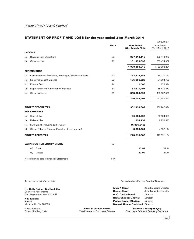### **STATEMENT OF PROFIT AND LOSS for the year ended 31st March 2014**

|     |                                                       |             |                                             | Amount in ₹                   |
|-----|-------------------------------------------------------|-------------|---------------------------------------------|-------------------------------|
|     |                                                       | <b>Note</b> | <b>Year Ended</b><br><b>31st March 2014</b> | Year Ended<br>31st March 2013 |
|     | <b>INCOME</b>                                         |             |                                             |                               |
| (a) | <b>Revenue from Operations</b>                        | 20          | 927,018,113                                 | 902,413,272                   |
| (b) | Other Income                                          | 21          | 161,470,699                                 | 237,474,982                   |
|     |                                                       |             | 1,088,488,812                               | 1,139,888,254                 |
|     | <b>EXPENDITURE</b>                                    |             |                                             |                               |
| (a) | Consumption of Provisions, Beverages, Smokes & Others | 22          | 133,374,383                                 | 114,777,720                   |
| (b) | <b>Employee Benefit Expense</b>                       | 23          | 185,806,725                                 | 184,604,786                   |
| (c) | <b>Finance Cost</b>                                   | 24          | 1,500                                       | 779,394                       |
| (d) | Depreciation and Amortization Expenses                | 11          | 53,371,201                                  | 65,430,870                    |
| (e) | Other Expenses                                        | 25          | 383,504,694                                 | 386,087,590                   |
|     |                                                       |             | 756,058,503                                 | 751,680,360                   |
|     | <b>PROFIT BEFORE TAX</b>                              |             | 332,430,309                                 | 388,207,894                   |
|     | <b>TAX EXPENSES</b>                                   |             |                                             |                               |
| (a) | <b>Current Tax</b>                                    |             | 60,639,299                                  | 56,384,086                    |
| (b) | Deferred Tax                                          |             | 1,974,139                                   | 9,950,540                     |
| (c) | MAT Credit (including earlier years)                  |             | (6,886,345)                                 |                               |
| (d) | Others (Short / (Excess) Provision of earlier years)  |             | 3,088,207                                   | 4,552,144                     |
|     | <b>PROFIT AFTER TAX</b>                               |             | 273,615,009                                 | 317,321,124                   |
|     | <b>EARNINGS PER EQUITY SHARE</b>                      | 27          |                                             |                               |
|     | <b>Basic</b><br>(a)                                   |             | 23.92                                       | 27.74                         |
|     | Diluted<br>(b)                                        |             | 23.92                                       | 27.74                         |
|     | Notes forming part of Financial Statements            | $1 - 44$    |                                             |                               |

For **S. S. Kothari Mehta & Co.**

As per our report of even date **For and on behalf of the Board of Directors** 

| <b>Arun K Saraf</b>                   | Joint Managing Director |
|---------------------------------------|-------------------------|
| <b>Umesh Saraf</b>                    | Joint Managing Director |
| A. C. Chakrabortti                    | Director                |
| <b>Rama Shankar Jhawar</b>            | Director                |
| <b>Padam Kumar Khaitan</b>            | Director                |
| <b>Ramesh Kumar Chokhani</b> Director |                         |

Partner Membership No. 085033

Chartered Accountants Firm Registration No.: 000756N

**K K Tulshan**

Place : Kolkata **Bimal K Jhunjhunwala Saumen Chattopadhyay**<br>Date : 22nd May 2014 **Saumen Chattopadhyay**<br>Vice President - Corporate Finance Chief Legal Officer & Company Sec

Chief Legal Officer & Company Secretary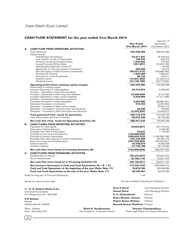# **CASH FLOW STATEMENT for the year ended 31st March 2014**

|    |                                                                                                                                                                                                                                                    | <b>Year Ended</b><br><b>31st March, 2014</b>                                                   | Amount in ₹<br>Year Ended<br>31st March, 2013                                       |
|----|----------------------------------------------------------------------------------------------------------------------------------------------------------------------------------------------------------------------------------------------------|------------------------------------------------------------------------------------------------|-------------------------------------------------------------------------------------|
| А. | <b>CASH FLOW FROM OPERATING ACTIVITIES</b><br>Profit before tax                                                                                                                                                                                    | 332,430,309                                                                                    | 388,207,894                                                                         |
|    | Adjustment for:<br>Depreciation/amortization<br>Loss/(profit) on sale of fixed assets<br>Provision for bad and doubtful debts<br><b>Excess Provision Written Back</b><br>Miscellaneous Balances written off                                        | 53,371,201<br>109,533<br>1,043,565<br>(357, 487)                                               | 65,430,870<br>663,574<br>142,030<br>(15, 297, 136)<br>40,005                        |
|    | Adjustment to Carrying amount of investment<br>Net loss/(gain) on sale of current investments<br>Provision for Gratuity<br>Provision for Leave Encashment<br>Interest income<br>Dividend income                                                    | 406.588<br>(99,537,572)<br>1,935,580<br>98,755<br>(12,651,589)<br>(47, 146, 798)               | 64.219<br>(105, 865, 540)<br>1,864,947<br>194,511<br>(21,032,314)<br>(94, 772, 592) |
|    | <b>Operating profit before working capital changes</b>                                                                                                                                                                                             | 229,702,085                                                                                    | 219,640,468                                                                         |
|    | Movements in working capital :<br>Increase/(decrease) in trade payables<br>Increase / (decrease) in long-term provisions                                                                                                                           | 26,310,324                                                                                     | 3,096,484                                                                           |
|    | Increase / (decrease) in other long-term liabilities<br>Increase/(decrease) in other current liabilities<br>Increase / (decrease) in short-term provisions                                                                                         | (3,049,600)<br>9,229,869                                                                       | 10.197.250<br>(17, 471, 486)                                                        |
|    | Decrease/(increase) in trade receivables<br>Decrease/(increase) in inventories<br>Decrease / (increase) in other current assets<br>Decrease / (increase) in long term loans and advances<br>Decrease / (increase) in short-term loans and advances | 2,023,885<br>316,769<br>38,400<br>(5,455,256)                                                  | (29,885,491)<br>(2,307,463)<br>33,603,713<br>120,900<br>(4,444,617)                 |
|    | Cash generated from /(used in) operations<br>Less: Direct taxes paid (net of refunds)                                                                                                                                                              | 259,116,476<br>58,675,440                                                                      | 212,549,758<br>68,705,490                                                           |
|    | Net cash flow from/ (used in) Operating Activities (A)                                                                                                                                                                                             | 200,441,036                                                                                    | 143,844,268                                                                         |
| В. | <b>CASH FLOWS FROM INVESTING ACTIVITIES</b><br>Payments for fixed assets<br>Decrease in Capital Advance<br>Proceeds from sale of fixed assets                                                                                                      | (8,026,867)<br>33,937                                                                          | (34,716,815)<br>3,249,784<br>1,178,500                                              |
|    | Purchase of non-current investments<br>Purchase of current investments<br>Proceeds from sale/maturity of current investments<br>Short term loans and advances given<br>Interest received<br>Dividend received                                      | (150,000,000)<br>(550, 642, 353)<br>944,742,998<br>(447, 350, 000)<br>10,438,879<br>47,146,798 | (1, 245, 090, 738)<br>797,867,176<br>(323,510,947)<br>16,993,409<br>94,772,592      |
|    | Net cash flow from/(used in) Investing Activities (B)                                                                                                                                                                                              | (153,656,608)                                                                                  | (689, 257, 039)                                                                     |
| C. | <b>CASH FLOWS FROM FINANCING ACTIVITIES</b><br>Dividend paid on shares<br>Tax on dividend paid                                                                                                                                                     | (50, 370, 507)<br>(8,750,114)                                                                  | (50,905,372)<br>(8,351,770)                                                         |
|    | Net cash flow from/(used in) in Financing Activities (C)                                                                                                                                                                                           | (59, 120, 621)                                                                                 | (59, 257, 142)                                                                      |
|    | Net increase/(decrease) in Cash and Cash Equivalents $(A + B + C)$<br>Cash and Cash Equivalents at the beginning of the year (Refer Note 17)<br>Cash and Cash Equivalents at the end of the year (Refer Note 17)                                   | (12, 336, 193)<br>50,876,780<br>38,540,587                                                     | (604, 669, 913)<br>655,546,693<br>50,876,780                                        |
|    | Notes forming part of Financial Statements                                                                                                                                                                                                         | $1 - 44$                                                                                       |                                                                                     |

As per our report of even date **For and on behalf of the Board of Directors** 

| For S. S. Kothari Mehta & Co.  |                             | <b>Arun K Saraf</b>                   | Joint Managing Director     |
|--------------------------------|-----------------------------|---------------------------------------|-----------------------------|
| <b>Chartered Accountants</b>   |                             | <b>Umesh Saraf</b>                    | Joint Managing Director     |
| Firm Registration No.: 000756N |                             | A. C. Chakrabortti                    | Director                    |
| <b>K K Tulshan</b>             |                             | <b>Rama Shankar Jhawar</b>            | Director                    |
| Partner                        |                             | <b>Padam Kumar Khaitan</b>            | Director                    |
| Membership No. 085033          |                             | <b>Ramesh Kumar Chokhani Director</b> |                             |
| Place: Kolkata                 | <b>Bimal K Jhunjhunwala</b> |                                       | <b>Saumen Chattopadhyay</b> |

24

Date : 22nd May 2014 Vice President - Corporate Finance Chief Legal Officer & Company Secretary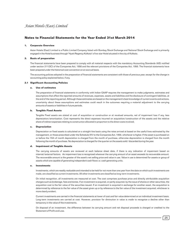#### **1. Corporate Overview**

Asian Hotels (East) Limited is a Public Limited Company listed with Bombay Stock Exchange and National Stock Exchange and is primarily engaged in the Hotel business through "Hyatt Regency Kolkata" a five-star Hotel situated in the city of Kolkata.

#### **2. Basis of preparation**

The financial statements have been prepared to comply with all material respects with the mandatory Accounting Standards (AS) notified under section 211(3C) of the Companies Act, 1956 and the relevant provisions of the Companies Act, 1956. The financial statements have been prepared under the historical cost convention on an accrual basis.

The accounting policies adopted in the preparation of financial statements are consistent with those of previous year, except for the change in accounting policy explained below, if any.

#### **2.1 Significant Accounting Policies**

#### **a. Use of estimates**

The preparation of financial statements in conformity with Indian GAAP requires the management to make judgments, estimates and assumptions that affect the reported amounts of revenues, expenses, assets and liabilities and the disclosure of contingent liabilities, at the end of the reporting period. Although these estimates are based on the management's best knowledge of current events and actions, uncertainty about these assumptions and estimates could result in the outcomes requiring a material adjustment to the carrying amounts of assets or liabilities in future periods.

#### **b. Tangible Fixed Assets**

Tangible Fixed assets are stated at cost of acquisition or construction or at revalued amounts, net of impairment loss if any, less depreciation/amortization. Cost represents the direct expenses incurred on acquisition/construction of the assets and the relative share of indirect expenses relating to construction allocated in proportion to the direct costs involved.

#### **c. Depreciation**

Depreciation on fixed assets is calculated on a straight-line basis using the rates arrived at based on the useful lives estimated by the management, or those prescribed under the Schedule XIV to the Companies Act, 1956, whichever is higher. If the asset is purchased on or before the 15th of month depreciation is charged from the month of purchase, otherwise depreciation is charged from the month following the month of purchase. No depreciation is charged for the quarter on the assets sold/ discarded during the year.

#### **d. Impairment of Tangible Assets**

The carrying amounts of assets are reviewed at each balance sheet date, if there is any indication of impairment based on internal/external factors. An impairment loss is recognized wherever the carrying amount of an asset exceeds its recoverable amount. The recoverable amount is the greater of the asset's net selling price and value in use. Value in use is determined for assets or group of assets which are capable of generating independent cash flows i.e. cash generating units.

#### **e. Investments**

Investments, which are readily realizable and intended to be held for not more than one year from the date on which such investments are made, are classified as current investments. All other investments are classified as long-term investments.

On initial recognition, all investments are measured at cost. The cost comprises purchase price and directly attributable acquisition charges such as brokerage, fees and duties. If an investment is acquired, or partly acquired, by the issue of shares or other securities, the acquisition cost is the fair value of the securities issued. If an investment is acquired in exchange for another asset, the acquisition is determined by reference to the fair value of the asset given up or by reference to the fair value of the investment acquired, whichever is more clearly evident.

Current investments are carried in the financial statements at lower of cost and fair value determined on an individual investment basis. Long-term investments are carried at cost. However, provision for diminution in value is made to recognize a decline other than temporary in the value of the investments.

On disposal of an investment, the difference between its carrying amount and net disposal proceeds is charged or credited to the Statement of Profit and Loss.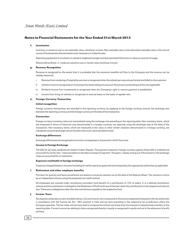#### **Notes to Financial Statements for the Year Ended 31st March 2013**

#### **f. Inventories**

Inventory is valued at cost or net realizable value, whichever is lower. Net realizable value is the estimated realizable value in the normal course of business less the estimated costs necessary to make the sale.

Operating equipment in circulation is valued at weighted average cost less estimated diminution in value on account of usage.

Shares held as Stock- in -trade are valued at cost or market value whichever is lower.

#### **g. Revenue Recognition**

Revenue is recognized to the extent that it is probable that the economic benefits will flow to the Company and the revenue can be reliably measured.

- i. Revenue from rendering of hospitality services is recognized when the related services are performed and billed to the customer.
- Ii. Interest income is recognized on time proportion basis taking into account the amount outstanding and the rate applicable.
- iii. Dividend income from investments is recognized when the Company's right to receive payment is established.
- iv. Income from hiring of vehicles is recognized on accrual basis on the basis of agreed rate.

#### **h. Foreign Currency Transaction**

#### **Initial recognition**

Foreign currency transactions are recorded in the reporting currency, by applying to the foreign currency amount the exchange rate between the reporting currency and the foreign currency at the date of the transaction.

#### **Conversion**

Foreign currency monetary items are retranslated using the exchange rate prevailing at the reporting date. Non-monetary items, which are measured in terms of historical cost denominated in a foreign currency, are reported using the exchange rate at the date of the transaction. Non-monetary items, which are measured at fair value or other similar valuation denominated in a foreign currency, are translated using the exchange rate at the date when such value was determined.

#### **Exchange differences**

Exchange differences are recognized as income or as expenses in the period in which they arise.

#### **Income in Foreign Exchange**

The bills for services rendered are raised in Indian Rupees. The payment received in foreign currency against these bills is credited and accounted for at the rate / rates prevalent on the date of receipt of payment. The gains / losses arising out of fluctuation in the exchange rates are accounted for on realization.

#### **Expenses remittable in foreign exchange**

These are charged based on invoices (including for earlier years) as approved and accepted by the appropriate authorities as applicable.

#### **i. Retirement and other employee benefits**

Provision for gratuity and leave encashment are based on actuarial valuation as on the date of the Balance Sheet. The valuation is done by an independent actuary using the projected unit credit method.

All employees are covered under contributory provident fund benefit of a contribution of 12% of salary. It is a defined contribution scheme and the contribution is charged to the Statement of Profit and Loss of the year when the contributions to the respective funds are due. There are no obligations other than the contributions payable to the respective fund.

#### **j. Income Taxes**

Tax expense comprises current and deferred tax. Current income-tax is measured at the amount expected to be paid to the tax authorities in accordance with the Income-tax Act, 1961 enacted in India and tax laws prevailing in the respective tax jurisdictions where the Company operates. The tax rates and tax laws used to compute the amount are those that are enacted or substantively enacted, at the reporting date. Current income tax relating to items recognized directly in equity is recognized in equity and not in the statement of profit and loss.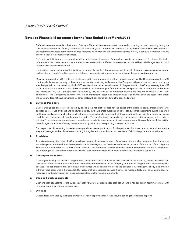Deferred income taxes reflect the impact of timing differences between taxable income and accounting income originating during the current year and reversal of timing differences for the earlier years. Deferred tax is measured using the tax rates and the tax laws enacted or substantively enacted at the reporting date. Deferred income tax relating to items recognized directly in equity is recognized in equity and not in the statement of profit and loss.

Deferred tax liabilities are recognized for all taxable timing differences. Deferred tax assets are recognized for deductible timing differences only to the extent that there is reasonable certainty that sufficient future taxable income will be available against which such deferred tax assets can be realized.

Deferred tax assets and deferred tax liabilities are offset, if a legally enforceable right exists to set-off current tax assets against current tax liabilities and the deferred tax assets and deferred taxes relate to the same taxable entity and the same taxation authority.

Minimum alternate tax (MAT) paid in a year is charged to the statement of profit and loss as current tax. The Company recognizes MAT credit available as an asset only to the extent that there is convincing evidence that the Company will pay normal income tax during the specified period, i.e., the period for which MAT credit is allowed to be carried forward. In the year in which the Company recognizes MAT credit as an asset in accordance with the Guidance Note on Accounting for Credit Available in respect of Minimum Alternative Tax under the Income-tax Act, 1961, the said asset is created by way of credit to the statement of profit and loss and shown as "MAT Credit Entitlement." The Company reviews the "MAT credit entitlement" asset at each reporting date and writes down the asset to the extent the Company does not have convincing evidence that it will pay normal tax during the specified period.

#### **k. Earnings Per Share**

Basic earnings per share are calculated by dividing the net profit or loss for the period attributable to equity shareholders (after deducting preference dividends and attributable taxes) by the weighted average number of equity shares outstanding during the period. Partly paid equity shares are treated as a fraction of an equity share to the extent that they are entitled to participate in dividends relative to a fully paid equity share during the reporting period. The weighted average number of equity shares outstanding during the period is adjusted for events such as bonus issue, bonus element in a rights issue, share split, and reverse share split (consolidation of shares) that have changed the number of equity shares outstanding, without a corresponding change in resources.

For the purpose of calculating diluted earnings per share, the net profit or loss for the period attributable to equity shareholders and the weighted average number of shares outstanding during the period are adjusted for the effects of all dilutive potential equity shares.

#### **l. Provisions**

A provision is recognized when the Company has a present obligation as a result of past event, it is probable that an outflow of resources embodying economic benefits will be required to settle the obligation and a reliable estimate can be made of the amount of the obligation. Provisions are not discounted to their present value and are determined based on the best estimate required to settle the obligation at the reporting date. These estimates are reviewed at each reporting date and adjusted to reflect the current best estimates.

#### **m. Contingent Liabilities**

A contingent liability is a possible obligation that arises from past events whose existence will be confirmed by the occurrence or nonoccurrence of one or more uncertain future events beyond the control of the Company or a present obligation that is not recognized because it is not probable that an outflow of resources will be required to settle the obligation. A contingent liability also arises in extremely rare cases where there is a liability that cannot be recognized because it cannot be measured reliably. The Company does not recognize a contingent liability but discloses its existence in the financial statements.

#### **n. Cash and Cash Equivalents**

Cash and cash equivalents for the purposes of cash flow statement comprises cash at bank and in hand and short-term investments with an original maturity of three months or less.

#### **o. Dividend**

Dividend recommended by the Board of Directors, if any, is provided for in the accounts pending shareholders' approval.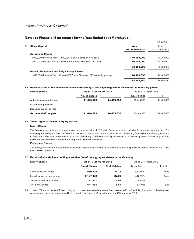|    |                                                                                |                        | Amount in ₹     |
|----|--------------------------------------------------------------------------------|------------------------|-----------------|
| 3. | <b>Share Capital</b>                                                           | As at                  | As at           |
|    |                                                                                | <b>31st March 2014</b> | 31st March 2013 |
|    | <b>Authorised Shares</b>                                                       |                        |                 |
|    | 14,000,000 (Previous Year: 14,000,000) Equity Shares of ₹10 each               | 140,000,000            | 140.000.000     |
|    | 1,000,000 (Previous Year: 1,000,000) Preference Shares of ₹10 each             | 10,000,000             | 10.000.000      |
|    |                                                                                | 150,000,000            | 150.000.000     |
|    | <b>Issued, Subscribed and fully Paid-up Shares</b>                             |                        |                 |
|    | 11,440,585 (Previous Year: 11,440,585) Equity Shares of ₹10 each fully paid up | 114.405.850            | 114.405.850     |
|    |                                                                                | 114.405.850            | 114.405.850     |

#### **3.1 Reconciliation of the number of shares outstanding at the beginning and at the end of the reporting period**

| <b>Equity Shares</b>         | As at 31st March 2014 |             | As at 31st March 2013 |             |  |
|------------------------------|-----------------------|-------------|-----------------------|-------------|--|
|                              | <b>No. of Shares</b>  |             | No. of Shares         |             |  |
| At the beginning of the year | 11,440,585            | 114,405,850 | 11.440.585            | 114,405,850 |  |
| Issued during the year       |                       |             |                       |             |  |
| Deducted during the year     |                       |             |                       |             |  |
| At the end of the year       | 11.440.585            | 114,405,850 | 11.440.585            | 114,405,850 |  |

#### **3.2 Terms/rights attached to Equity Shares**

#### **Equity Shares**

The Company has one class of equity shares having a par value of ₹10 each. Each shareholder is eligible for one vote per share held. The dividend proposed by the Board of Directors is subject to the approval of the shareholders in the ensuing Annual General Meeting, except in case of interim dividend. In the event of liquidation, the equity shareholders are eligible to receive the remaining assets of the Company after distribution of all preferential amounts, in proportion to their shareholding.

#### **Preference Shares**

The rights, preferences and restrictions attached to the preference shares are in accordance with the provisions of the Companies Act, 1956, unless stated otherwise.

#### **3.3 Details of shareholders holding more than 5% of the aggregate shares in the Company**

| <b>Equity Shares</b>          | As at 31st March 2014 |              | As at 31st March 2013 |              |  |
|-------------------------------|-----------------------|--------------|-----------------------|--------------|--|
|                               | <b>No. of Shares</b>  | % of Holding | No. of Shares         | % of Holding |  |
| Saraf Industries Limited      | 3,630,630             | 31.73        | 3.630.630             | 31.73        |  |
| Forex Finance Private Limited | 3.127.072             | 27.33        | 3.127.072             | 27.33        |  |
| Jesmin Investments Limited    | 121.851               | 1.07         | 693.851               | 6.06         |  |
| Axis Bank Limited             | 641.695               | 5.61         | 636.065               | 5.56         |  |

**3.4** 1,14,01,782 equity shares of ₹10 each fully paid up have been issued during the fiscal year ended 31st March 2010 pursuant to the scheme of Arrangement and Demerger approved by the Hon'ble High Court of Delhi vide order dated 13th January 2010.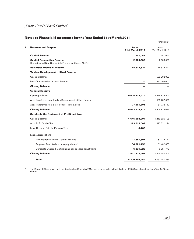|                                                                                            |                                 | Amount in ₹              |
|--------------------------------------------------------------------------------------------|---------------------------------|--------------------------|
| 4.<br><b>Reserves and Surplus</b>                                                          | As at<br><b>31st March 2014</b> | As at<br>31st March 2013 |
| <b>Capital Reserve</b>                                                                     | 141,043                         | 141,043                  |
| <b>Capital Redemption Reserve</b><br>(for redeemed Non Convertible Preference Shares-NCPS) | 2,000,000                       | 2,000,000                |
| <b>Securities Premium Account</b>                                                          | 14,612,822                      | 14,612,822               |
| <b>Tourism Development Utilised Reserve</b>                                                |                                 |                          |
| <b>Opening Balance</b>                                                                     |                                 | 533,202,000              |
| Less: Transferred to General Reserve                                                       |                                 | 533,202,000              |
| <b>Closing Balance</b>                                                                     |                                 |                          |
| <b>General Reserve</b>                                                                     |                                 |                          |
| <b>Opening Balance</b>                                                                     | 6,404,812,615                   | 5,839,878,503            |
| Add: Transferred from Tourism Development Utilised Reserve                                 |                                 | 533,202,000              |
| Add: Transferred from Statement of Profit & Loss                                           | 27,361,501                      | 31,732,112               |
| <b>Closing Balance</b>                                                                     | 6,432,174,116                   | 6,404,812,615            |
| <b>Surplus in the Statement of Profit and Loss</b>                                         |                                 |                          |
| <b>Opening Balance</b>                                                                     | 1,645,580,804                   | 1,419,826,195            |
| Add: Profit for the Year                                                                   | 273,615,009                     | 317,321,124              |
| Less: Dividend Paid for Previous Year                                                      | 3,768                           |                          |
| Less: Appropriations-                                                                      |                                 |                          |
| Amount transferred to General Reserve                                                      | 27,361,501                      | 31,732,112               |
| Proposed final dividend on equity shares*                                                  | 34,321,755                      | 51,482,633               |
| Corporate Dividend Tax (including earlier years adjustment)                                | 6,231,326                       | 8,351,770                |
| <b>Closing Balance</b>                                                                     | 1,851,277,463                   | 1,645,580,804            |
| Total                                                                                      | 8,300,205,444                   | 8,067,147,284            |

\* The Board of Directors at their meeting held on 22nd May 2014 has recommended a final dividend of ₹3.00 per share (Previous Year ₹4.50 per share)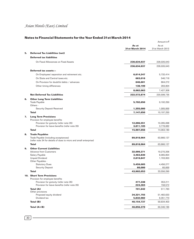### **Notes to Financial Statements for the Year Ended 31st March 2014**

|    |                                                                                                            |                        | Amount in₹      |
|----|------------------------------------------------------------------------------------------------------------|------------------------|-----------------|
|    |                                                                                                            | As at                  | As at           |
|    |                                                                                                            | <b>31st March 2014</b> | 31st March 2013 |
| 5. | <b>Deferred Tax Liabilities (net)</b>                                                                      |                        |                 |
|    | <b>Deferred tax liabilities</b>                                                                            |                        |                 |
|    | On Fiscal Allowances on Fixed Assets                                                                       | 230,634,937            | 228,026,043     |
|    |                                                                                                            | 230,634,937            | 228,026,043     |
|    | Deferred tax assets :-                                                                                     |                        |                 |
|    | On Employees' separation and retirement etc.                                                               | 6,614,247              | 5,732,414       |
|    | On State and Central taxes etc.                                                                            | 663,016                | 546,718         |
|    | On Provision for doubtful debts / advances                                                                 | 646,601                | 864,272         |
|    | Other timing differences                                                                                   | 138,199                | 283,904         |
|    |                                                                                                            | 8,062,063              | 7,427,308       |
|    | <b>Net Deferred Tax Liabilities</b>                                                                        |                        | 220,598,735     |
|    |                                                                                                            | 222,572,874            |                 |
| 6. | <b>Other Long Term Liabilities</b><br>Trade Payable                                                        | 5,792,650              | 9,192,250       |
|    | Others -                                                                                                   |                        |                 |
|    | <b>Security Deposit Received</b>                                                                           | 1,355,000              | 1,005,000       |
|    | <b>Total</b>                                                                                               | 7,147,650              | 10,197,250      |
| 7. | <b>Long Term Provisions</b>                                                                                |                        |                 |
|    | Provision for employee benefits                                                                            |                        |                 |
|    | Provision for gratuity (refer note 26)                                                                     | 12,096,551             | 10,285,098      |
|    | Provision for leave benefits (refer note 26)                                                               | 3,811,105              | 3,778,082       |
|    | Total                                                                                                      | 15,907,656             | 14,063,180      |
| 8. | <b>Trade Payables</b>                                                                                      |                        |                 |
|    | Trade Payable (including acceptances)<br>(refer note 34 for details of dues to micro and small enterprise) | 89,818,964             | 63,866,127      |
|    | Total                                                                                                      | 89,818,964             | 63,866,127      |
| 9. | <b>Other Current Liabilities</b>                                                                           |                        |                 |
|    | <b>Advance from Customers</b>                                                                              | 32,099,371             | 19,270,206      |
|    | Salary Payable                                                                                             | 3,463,830              | 8,065,854       |
|    | <b>Unpaid Dividend</b>                                                                                     | 2,819,847              | 1,703,953       |
|    | Other Payables -<br><b>Statutory Dues</b>                                                                  | 5,459,005              | 4,456,277       |
|    | Security Deposit                                                                                           | 60,000                 | 60,000          |
|    | <b>Total</b>                                                                                               | 43,902,053             | 33,556,290      |
|    | 10. Short Term Provisions                                                                                  |                        |                 |
|    | Provision for employee benefits                                                                            |                        |                 |
|    | Provision for gratuity (refer note 26)                                                                     | 477,338                | 353,211         |
|    | Provision for leave benefits (refer note 26)                                                               | 224,304                | 158,572         |
|    | <b>Total (A)</b><br>Other provisions                                                                       | 701,642                | 511,783         |
|    | Proposed equity dividend                                                                                   | 34,321,755             | 51,482,633      |
|    | Dividend tax                                                                                               | 5,832,982              | 8,351,770       |
|    | <b>Total (B)</b>                                                                                           | 40,154,737             | 59,834,403      |
|    | Total $(A+B)$                                                                                              | 40,856,379             | 60,346,186      |
|    |                                                                                                            |                        |                 |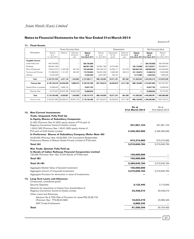# **Notes to Financial Statements for the Year Ended 31st March 2014**

#### Amount in  $\bar{z}$

#### **11. Fixed Assets**

|                               | Gross Carrying Value<br>Depreciation |            |                                 |                                     |                                    |                                   |                                 |                  |                  |                                                                     |
|-------------------------------|--------------------------------------|------------|---------------------------------|-------------------------------------|------------------------------------|-----------------------------------|---------------------------------|------------------|------------------|---------------------------------------------------------------------|
| Particulars                   | Balance<br>as at<br>1st April 2013   | Additions  | Deduction<br>during the<br>year | Balance<br>as at<br>31st March 2014 | Balance<br>as at<br>1st April 2013 | Depreciation<br>for the<br>period | Deduction<br>during the<br>year | Balance<br>as at | Balance<br>as at | Balance<br>as at<br>31st March 2014 31st March 2014 31st March 2013 |
| <b>Tangible Assets</b>        |                                      |            |                                 |                                     |                                    |                                   |                                 |                  |                  |                                                                     |
| Lease Hold Land               | 255,755,628                          |            | $\hspace{0.05cm}$               | 255,755,628                         |                                    |                                   |                                 |                  | 255,755,628      | 255,755,628                                                         |
| <b>Buildings</b>              | 994,901,359                          |            | $\overbrace{\qquad \qquad }^{}$ | 994,901,359                         | 163,961,788                        | 16,216,900                        |                                 | 180,178,688      | 814,722,671      | 830,939,571                                                         |
| Plant & Equipment             | 729,812,270                          | 3,195,798  | 561,375                         | 732,446,693                         | 359,758,707                        | 34,326,117                        | 441,079                         | 393,643,745      | 338,802,948      | 370,053,563                                                         |
| <b>Furniture and Fixtures</b> | 173,085,832                          | 1,131,347  | 463,487                         | 173,753,693                         | 159,481,994                        | 2,062,993                         | 440,313                         | 161,104,674      | 12,649,018       | 13,603,838                                                          |
| Vehicles                      | 10,232,339                           |            |                                 | 10,232,339                          | 5,947,094                          | 765,191                           |                                 | 6,712,285        | 3,520,054        | 4,285,245                                                           |
| Total                         | 2,163,787,428                        | 4,327,145  | 1,024,862                       | 2,167,089,711                       | 689,149,583                        | 53,371,201                        | 881,392                         | 741,639,392      | 1,425,450,319    | 1,474,637,845                                                       |
| Previous Year                 | 2,135,103,479                        | 34,543,222 | 5,859,273                       | 2,163,787,428                       | 627,735,912                        | 65,430,870                        | 4,017,199                       | 689,149,583      | 1,474,637,845    | 1,507,367,567                                                       |
| Capital Work-in-progress      | 15,948,040                           | 3,699,722  |                                 | 19,647,762                          |                                    |                                   |                                 |                  | 19,647,762       | 15,948,040                                                          |
| Previous Year                 | 15,774,447                           | 20,815,792 | 20,642,199                      | 15,948,040                          |                                    |                                   |                                 |                  | 15,948,040       | 15,774,447                                                          |
| Total                         | 2.179.735.468                        | 8,026,867  | 1,024,862                       | 2.186.737.473                       | 689,149,583                        | 53,371,201                        | 881,392                         | 741.639.392      | 1,445,098,081    | 1,490,585,885                                                       |
| Previous Year                 | 2,150,877,926                        | 55,359,014 | 26,501,472                      | 2,179,735,468                       | 627,735,912                        | 65,430,870                        | 4,017,199                       | 689,149,583      | 1,490,585,885    | 1,523,142,014                                                       |

|     |                                                                                                                                   | As at<br><b>31st March 2014</b> | As at<br>31st March 2013 |
|-----|-----------------------------------------------------------------------------------------------------------------------------------|---------------------------------|--------------------------|
|     | <b>12. Non-Current Investments</b>                                                                                                |                                 |                          |
|     | <b>Trade, Unquoted, Fully Paid Up</b>                                                                                             |                                 |                          |
|     | <b>In Equity Shares of Subsidiary Companies</b>                                                                                   |                                 |                          |
|     | 91,652 (Previous Year 91,652) equity shares of ₹10 each of<br>Regency Convention Centre & Hotels Limited                          | 257,901,724                     | 257,901,724              |
|     | 1,09,61,000 (Previous Year 1,09,61,000) equity shares of<br>₹10 each of GJS Hotels Limited                                        | 2,346,365,000                   | 2,346,365,000            |
|     | In Preference Shares of Subsidiary Company (Refer Note 40)                                                                        |                                 |                          |
|     | 43,00,000 (Previous Year 43,00,000) 12% Cumulative Redeemable<br>Preference Shares of Robust Hotels Private Limited of ₹100 each. | 615,374,060                     | 615,374,060              |
|     | Total (A)                                                                                                                         | 3,219,640,784                   | 3,219,640,784            |
|     | <b>Non Trade, Quoted, Fully Paid up</b>                                                                                           |                                 |                          |
|     | In Bonds of Indian Railways Financial Corporation Limited<br>150,000 (Previous Year: NIL) 8.23% Bonds of ₹1000 each               | 150,000,000                     |                          |
|     | Total (B)                                                                                                                         | 150,000,000                     |                          |
|     | Total $(A+B)$                                                                                                                     | 3,369,640,784                   | 3,219,640,784            |
|     | Aggregate Market Value of Quoted Investment                                                                                       | 150,000,000                     |                          |
|     | Aggregate amount of Unquoted Investment                                                                                           | 3,219,640,784                   | 3,219,640,784            |
|     | Aggregate Provision for diminution in value of Investments                                                                        |                                 |                          |
| 13. | <b>Long Term Loans and Advances</b><br>(Unsecured, considered good)                                                               |                                 |                          |
|     | <b>Security Deposits</b>                                                                                                          | 3,132,445                       | 3,170,845                |
|     | Advance for acquisition of shares from shareholders of<br>Regency Convention Centre & Hotels Limited                              | 33,448,275                      | 33,448,275               |
|     | Other Loans and Advances:                                                                                                         |                                 |                          |
|     | Advance Tax & TDS (Net of Provision for taxes ₹26,26,99,733<br>(Previous Year - ₹19,88,52,568)                                    | 18,033,279                      | 23,085,345               |
|     | <b>MAT Credit Entitlement</b>                                                                                                     | 6,886,345                       |                          |
|     | <b>Total</b>                                                                                                                      | 61,500,344                      | 59,704,465               |
|     |                                                                                                                                   |                                 |                          |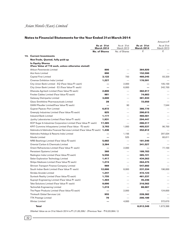### **Notes to Financial Statements for the Year Ended 31st March 2014**

|     |                                                                                       |                                 |                          |                                 | Amount in ₹              |  |
|-----|---------------------------------------------------------------------------------------|---------------------------------|--------------------------|---------------------------------|--------------------------|--|
|     |                                                                                       | As at 31st<br><b>March 2014</b> | As at 31st<br>March 2013 | As at 31st<br><b>March 2014</b> | As at 31st<br>March 2013 |  |
|     |                                                                                       | <b>No. of Shares</b>            | No. of Shares            | ₹                               | ₹                        |  |
| 14. | <b>Current Investments</b>                                                            |                                 |                          |                                 |                          |  |
|     | Non-Trade, Quoted, fully paid-up                                                      |                                 |                          |                                 |                          |  |
|     | <b>In Equity Shares</b><br>(Face Value of $\bar{z}$ 10 each, unless otherwise stated) |                                 |                          |                                 |                          |  |
|     | Ahlcon Parenterals Limited                                                            | 800                             |                          | 364,920                         |                          |  |
|     | <b>Atul Auto Limited</b>                                                              | 890                             |                          | 152,590                         |                          |  |
|     | Capital First Limited                                                                 | 3,122                           | 700                      | 460,245                         | 93,329                   |  |
|     | Cinemax Exhibition India Limited                                                      | 1,227                           |                          | 170,591                         |                          |  |
|     | City Union Bank Limited - EQ (Face Value ₹1 each)                                     |                                 | 2,000                    |                                 | 105,100                  |  |
|     | City Union Bank Limited - E2 (Face Value ₹1 each)                                     |                                 | 6,000                    |                                 | 242,700                  |  |
|     | Dhanuka Agritech Limited (Face Value ₹2 each)                                         | 2,800                           |                          | 362,917                         |                          |  |
|     | Finolex Cables Limited (Face Value ₹2 each)                                           | 981                             |                          | 74,683                          |                          |  |
|     | Gateway Distriparks Limited                                                           | 3,600                           |                          | 381,933                         |                          |  |
|     | Glaxo Smithkline Pharmaceuticals Limited                                              | 28                              |                          | 72,050                          |                          |  |
|     | GMM Pfaudler Limited(Face Value ₹2 each)                                              |                                 | 90                       |                                 | 7,544                    |  |
|     | Gujarat Pipavav Port Limited                                                          | 6,872                           |                          | 386,770                         |                          |  |
|     | Greenply Industries Limited (Face Value ₹5 each)                                      | 825                             |                          | 290,615                         |                          |  |
|     | Indusind Bank Limited                                                                 | 1,177                           |                          | 460,561                         |                          |  |
|     | Jyothy Laboratories Limited (Face Value ₹1 each)                                      | 1,931                           |                          | 294,447                         |                          |  |
|     | KCP Sugar & Industries Corporation Limited (Face Value ₹1 each)                       | 17,365                          |                          | 286,517                         |                          |  |
|     | KPIT Cummins Infosystems Limited (Face Value - ₹2 each)                               | 3,793                           | 1,000                    | 405,537                         | 96,700                   |  |
|     | Mahindra & Mahindra Financial Services Limited (Face Value ₹2 each) 1,436             |                                 |                          | 352,812                         |                          |  |
|     | Mahindra Holidays & Resorts India Limited                                             |                                 | 1,156                    |                                 | 297,034                  |  |
|     | Mazda Limited                                                                         |                                 | 525                      |                                 | 60,611                   |  |
|     | NRB Bearkings Limited (Face Value ₹2 each)                                            | 5,682                           |                          | 181,540                         |                          |  |
|     | Oriental Carbon & Chemicals Limited                                                   | 3,364                           |                          | 341,527                         |                          |  |
|     | Orient Refractories Limited (Face Value ₹1 each)                                      |                                 | 2,000                    |                                 | 77,100                   |  |
|     | Persistent Systems Limited                                                            | 360                             |                          | 189,783                         |                          |  |
|     | Redington India Limited (Face Value ₹2 each)                                          | 5,556                           |                          | 385,721                         |                          |  |
|     | Selan Exploration Technology Limited                                                  | 1,417                           |                          | 434,263                         |                          |  |
|     | Shilpa Medicare Limited (Face Value ₹2 each)                                          | 1,274                           |                          | 264,475                         |                          |  |
|     | Shriram Transport Finance Company Limited                                             | 969                             |                          | 547,692                         |                          |  |
|     | South Indian Bank Limited (Face Value ₹1 each)                                        | 12,000                          | 8,000                    | 237,334                         | 196,000                  |  |
|     | <b>Strides Arcolab Limited</b>                                                        | 1,247                           |                          | 472,123                         |                          |  |
|     | Sunteck Reality Limited (Face Value ₹2 each)                                          | 1,755                           |                          | 461,237                         |                          |  |
|     | Suprajit Engineering Limited (Face Value ₹1 each)                                     | 1,404                           |                          | 45,346                          |                          |  |
|     | Take Solutions Limited (Face Value ₹1 each)                                           | 9,690                           |                          | 316,562                         |                          |  |
|     | Technofab Engineering Limited                                                         | 1,219                           |                          | 88,987                          |                          |  |
|     | The Paper Products Limited (Face Value ₹2 each)                                       |                                 | 2,000                    |                                 | 124,600                  |  |
|     | Thinksoft Global Services Ltd.                                                        | 955                             |                          | 228,382                         |                          |  |
|     | <b>TTK Prestige Limited</b>                                                           | 70                              |                          | 200,189                         |                          |  |
|     | Wintac Limited                                                                        |                                 | 4,000                    |                                 | 372,670                  |  |
|     |                                                                                       |                                 |                          |                                 |                          |  |
|     | <b>Total</b>                                                                          |                                 |                          | 8,912,349                       | 1,673,388                |  |

(Market Value as on 31st March 2014 is ₹1,21,65,268/- (Previous Year - ₹16,93,984/-))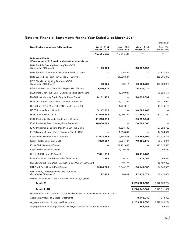|                                                                                      |                                 |                          |                                 | Amount in ₹              |
|--------------------------------------------------------------------------------------|---------------------------------|--------------------------|---------------------------------|--------------------------|
| Non-Trade, Unquoted, fully paid-up                                                   | As at 31st<br><b>March 2014</b> | As at 31st<br>March 2013 | As at 31st<br><b>March 2014</b> | As at 31st<br>March 2013 |
|                                                                                      | <b>No. of Units</b>             | No. of Units             | ₹                               | ₹                        |
| <b>In Mutual Funds</b><br>(Face Value of ₹10 each, unless otherwise stated)          |                                 |                          |                                 |                          |
| Birla Sun Life Floating Rate Long Term-DDR<br>(Face Value ₹100 each)                 | 1,129,063                       |                          | 113,352,493                     |                          |
| Birla Sun Life Cash Plus -DDR (Face Value ₹100 each)                                 |                                 | 926.469                  |                                 | 92,827,546               |
| Birla Sunlife Fixed Term Plan-Series ET - Growth                                     |                                 | 21,296,534               |                                 | 212,965,340              |
| DSP BlackRock Liquidity Fund-Inst.-DDR<br>(Face Value ₹1000 each)                    | 89,655                          | 378,714                  | 89,683,203                      | 378,833,966              |
| DSP BlackRock Short Term Fund Regular Plan- Growth                                   | 11,252,127                      |                          | 224,673,474                     |                          |
| DWS Insta Cash Plus Fund - DDR (Face Value ₹100 each)                                |                                 | 1,700,037                |                                 | 170,520,541              |
| DWS Short Maturity Fund - Regular Plan - Growth                                      | 8,101,478                       |                          | 170,650,337                     |                          |
| HDFC FMP 370D April 2012(1)-Growth-Series XXI                                        |                                 | 11,021,399               |                                 | 110,213,990              |
| HDFC FMP 391D March 2012(1)-Growth Series XXI                                        |                                 | 1,784,913                |                                 | 17,849,130               |
| HDFC Income Fund - Growth                                                            | 5,117,276                       |                          | 140,696,443                     |                          |
| HDFC Liquid Fund - DDR                                                               | 11,949,393                      | 13,440,752               | 121,862,234                     | 137,071,480              |
| ICICI Prudential Dynamic Bond Fund - (Growth)                                        | 11,208,615                      |                          | 150,297,441                     |                          |
| ICICI Prudential Fixed Maturity Plan-Series 68                                       | 10,000,000                      |                          | 100,000,000                     |                          |
| ICICI Prudential Long Term Plan Premium Plus-Cumul                                   |                                 | 11,523,403               |                                 | 137,228,750              |
| <b>IDFC Money Manager Fund - Treasury Plan A - DDR</b>                               |                                 | 11,386,844               |                                 | 114,664,377              |
| Kotak Bond Scheme Plan A - Growth                                                    | 21,903,566                      | 9,565,503                | 742,783,504                     | 323,338,723              |
| Kotak Floater Long Term-DDR                                                          | 4,869,657                       | 16,234,734               | 49,085,170                      | 163,642,871              |
| Kotak FMP Series 80-Growth                                                           |                                 | 37,751,658               |                                 | 377,516,580              |
| Kotak FMP Series 89-Growth                                                           |                                 | 4,270,835                |                                 | 42,708,350               |
| Kotak FMP Series 106-Growth                                                          | 7,341,116                       |                          | 73,411,160                      |                          |
| Pramerica Liquid Fund (Face Value ₹1000 each)                                        | 1,369                           | 6,200                    | 1,812,084                       | 7,704,396                |
| SBI Ultra Short Term Debt Fund-DDR (Face Value ₹1000 each)                           |                                 | 10,474                   |                                 | 10,487,092               |
| UTI Bond Fund-Growth Plan-Regular                                                    | 5,544,223                       | 5,544,223                | 194,145,538                     | 194,145,538              |
| UTI Treasury Advantage Fund-Inst. Plan-DDR<br>(Face Value ₹1000 each)                | 97,429                          | 80,402                   | 97,476,574                      | 80,419,604               |
| (Market Value as on 31st March 2014 is ₹2,33,18,29,389/-)                            |                                 |                          |                                 |                          |
| Total (B)                                                                            |                                 |                          | 2,269,929,655                   | 2,572,138,274            |
| Total $(A+B)$                                                                        |                                 |                          | 2,278,842,004                   | 2,573,811,662            |
| Basis of Valuation - Lower of Cost or Market Value on an individual investment basis |                                 |                          |                                 |                          |
| Aggregate Amount of Quoted Investments                                               | 8,912,349                       | 1,673,388                |                                 |                          |
| Aggregate Amount of Unquoted Investments                                             |                                 |                          | 2,269,929,655                   | 2,572,138,274            |
| Aggregate amount of Adjustments to Carrying amount of Current Investments            |                                 |                          | 406,588                         | 64,219                   |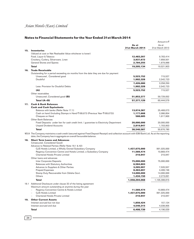### **Notes to Financial Statements for the Year Ended 31st March 2014**

|      |                                                                                                                                                                                                                      | As at<br><b>31st March 2014</b> | Amount in ₹<br>As at<br>31st March 2013 |
|------|----------------------------------------------------------------------------------------------------------------------------------------------------------------------------------------------------------------------|---------------------------------|-----------------------------------------|
| 15.  | <b>Inventories</b>                                                                                                                                                                                                   |                                 |                                         |
|      | (Valued at cost or Net Realisable Value whichever is lower)<br>Food, Liquor & Tobacco                                                                                                                                | 12,483,207                      | 9,783,414                               |
|      | Crockery, Cutlery, Silverware, Linen                                                                                                                                                                                 | 3,937,672                       | 7,858,501                               |
|      | General Stores and Spares                                                                                                                                                                                            | 2,784,255                       | 1,879,988                               |
|      | <b>Total</b>                                                                                                                                                                                                         | 19,205,134                      | 19,521,903                              |
| 16.  | <b>Trade Receivable</b>                                                                                                                                                                                              |                                 |                                         |
|      | Outstanding for a period exceeding six months from the date they are due for payment                                                                                                                                 |                                 |                                         |
|      | Unsecured, Considered good                                                                                                                                                                                           | 5,523,752                       | 715,527                                 |
|      | Doubtful                                                                                                                                                                                                             | 1,902,328                       | 2,542,723                               |
|      |                                                                                                                                                                                                                      | 7,426,080                       | 3,258,250                               |
|      | Less: Provision for Doubtful Debts                                                                                                                                                                                   | 1,902,328                       | 2,542,723                               |
|      | (A)                                                                                                                                                                                                                  | 5,523,752                       | 715,527                                 |
|      | Other receivables                                                                                                                                                                                                    |                                 |                                         |
|      | Unsecured , Considered good (B)                                                                                                                                                                                      | 51,853,377                      | 59,729,052                              |
|      | Total $(A+B)$                                                                                                                                                                                                        | 57,377,129                      | 60,444,579                              |
| 17.  | <b>Cash &amp; Bank Balances</b>                                                                                                                                                                                      |                                 |                                         |
|      | <b>Cash and Cash Equivalents</b>                                                                                                                                                                                     |                                 |                                         |
|      | Balance with banks (Refer Note 17.1)                                                                                                                                                                                 | 13,974,387                      | 25,468,073                              |
|      | Cash on hand (Including Stamps in Hand ₹189,673 (Previous Year ₹189,673))<br>Cheques on Hand                                                                                                                         | 1,177,668                       | 2,086,854                               |
|      | <b>Other Bank Balances</b>                                                                                                                                                                                           | 568,685                         | 1,617,900                               |
|      | Fixed Deposits- under lien for cash credit limit / guarantee to Electricity Department                                                                                                                               | 20,000,000                      | 20,000,000                              |
|      | <b>Unpaid Dividend Accounts</b>                                                                                                                                                                                      | 2,819,847                       | 1,703,953                               |
|      | <b>Total</b>                                                                                                                                                                                                         | 38,540,587                      | 50,876,780                              |
|      | 17.1 The Company maintains a cash credit (secured against Fixed Deposit Receipt) and collection account with IDBI Bank Ltd. As at the reporting<br>date, the Company has in aggregate an overall favourable balance. |                                 |                                         |
| 18.  | <b>Short Term Loans and Advances</b>                                                                                                                                                                                 |                                 |                                         |
|      | (Unsecured, Considered Good)                                                                                                                                                                                         |                                 |                                         |
|      | Advance to Related Parties (Refer Note 18.1 & 42)                                                                                                                                                                    |                                 |                                         |
|      | GJS Hotels Limited, a Wholly Owned Subsidiary Company                                                                                                                                                                | 1,437,675,000                   | 991,025,000                             |
|      | Regency Convention Centre and Hotels Limited, a Subsidiary Company                                                                                                                                                   | 11,569,474                      | 10,869,474                              |
|      | <b>Chartered Hotels Private Limited</b><br>Other loans and advances                                                                                                                                                  | 210,947                         | 210,947                                 |
|      | Inter Corporate Deposits                                                                                                                                                                                             | 75,000,000                      | 75,000,000                              |
|      | <b>Balances with Statutory Authorities</b>                                                                                                                                                                           | 6,584,803                       |                                         |
|      | Advance to Suppliers & Other Parties                                                                                                                                                                                 | 3,265,997                       | 7,520,557                               |
|      | <b>Prepaid Expenses</b>                                                                                                                                                                                              | 8,463,697                       | 4,499,746                               |
|      | Stamp Duty Recoverable from Odisha Govt.                                                                                                                                                                             | 14,000,000                      | 14,000,000                              |
|      | Others                                                                                                                                                                                                               | 1,434,150                       | 2,273,091                               |
|      | <b>Total</b>                                                                                                                                                                                                         | 1,558,204,068                   | 1,105,398,815                           |
| 18.1 | Additional Disclosure under clause 32 of the listing agreement<br>Maximum amount outstanding at anytime during the year                                                                                              |                                 |                                         |
|      | Regency Convention Centre & Hotels Limited                                                                                                                                                                           | 11,569,474                      | 10,869,474                              |
|      | <b>GJS Hotels Limited</b>                                                                                                                                                                                            | 1,437,675,000                   | 991,025,000                             |
|      | <b>Chartered Hotels Private Limited</b>                                                                                                                                                                              | 210,947                         | 210,947                                 |
| 19.  | <b>Other Current Assets</b>                                                                                                                                                                                          |                                 |                                         |
|      | Interest accrued but not due                                                                                                                                                                                         | 1,859,424                       | 157,124                                 |
|      | Interest accrued and due                                                                                                                                                                                             | 4,549,315                       | 4,038,905                               |
|      | Total                                                                                                                                                                                                                | 6,408,739                       | 4,196,029                               |
|      |                                                                                                                                                                                                                      |                                 |                                         |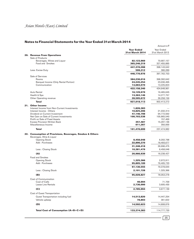|                                                                                                                                 |                                             | Amount in ₹                           |
|---------------------------------------------------------------------------------------------------------------------------------|---------------------------------------------|---------------------------------------|
|                                                                                                                                 | <b>Year Ended</b><br><b>31st March 2014</b> | Year Ended<br>31st March 2013         |
| <b>20. Revenue From Operations</b>                                                                                              |                                             |                                       |
| Sale of Products                                                                                                                |                                             |                                       |
| Beverages, Wines and Liquor<br>Food and Smokes                                                                                  | 82,123,969<br>365,246,319                   | 70,687,157<br>327,455,885             |
|                                                                                                                                 | 447,370,288                                 | 398,143,042                           |
| Less: Excise Duty                                                                                                               | 599,312                                     | 380,289                               |
| Sale of Services                                                                                                                | 446,770,976                                 | 397,762,753                           |
| Rooms                                                                                                                           | 384,230,016                                 | 398,392,642                           |
| Banquet Income (Only Rental Portion)                                                                                            | 24,245,254                                  | 23,030,495                            |
| Communication                                                                                                                   | 13,683,070                                  | 13,225,824                            |
|                                                                                                                                 | 422,158,340                                 | 434,648,961                           |
| Auto Rental                                                                                                                     | 16,129,979                                  | 16,465,645                            |
| Health & Spa                                                                                                                    | 13,363,146                                  | 14,277,757                            |
| Other Operating revenue                                                                                                         | 28,595,672                                  | 39,258,156                            |
| <b>Total</b>                                                                                                                    | 927,018,113                                 | 902,413,272                           |
| 21. Other Income                                                                                                                |                                             |                                       |
| Interest Income from Non-Current Investments                                                                                    | 1,826,383                                   |                                       |
| Interest Income - Others                                                                                                        | 10,825,206                                  | 21,032,314                            |
| Dividend on Current Investment                                                                                                  | 47,146,798                                  | 94,772,592                            |
| Net Gain on Sale of Current Investments                                                                                         | 100,703,538                                 | 105,865,540                           |
| Profit on Sale of Fixed Assets<br><b>Excess Provision Written Back</b>                                                          | 357,487                                     | 157,400                               |
| Miscellaneous Income                                                                                                            | 611,287                                     | 15,297,136<br>350,000                 |
| Total                                                                                                                           | 161,470,699                                 | 237,474,982                           |
| 22. Consumption of Provisions, Beverages, Smokes & Others<br>Beverages, Wine & Liquor<br><b>Opening Stock</b><br>Add: Purchases | 8,458,048<br>22,890,370<br>31,348,418       | 8,202,798<br>18,493,677<br>26,696,475 |
| Less: Closing Stock                                                                                                             | 10,381,479                                  | 8,458,048                             |
| (A)                                                                                                                             | 20,966,939                                  | 18,238,427                            |
| Food and Smokes                                                                                                                 |                                             |                                       |
| <b>Opening Stock</b>                                                                                                            | 1,325,366                                   | 2,972,911                             |
| Add: Purchases                                                                                                                  | 95,805,189                                  | 76,405,733                            |
|                                                                                                                                 | 97,130,555                                  | 79,378,644                            |
| Less: Closing Stock                                                                                                             | 2,101,728                                   | 1,325,366                             |
| (B)                                                                                                                             | 95,028,827                                  | 78,053,278                            |
| Cost of Communication                                                                                                           |                                             |                                       |
| Cost of Calls                                                                                                                   | 49,994                                      | 71,709                                |
| Lease Line Rentals                                                                                                              | 2,736,000                                   | 3,605,430                             |
| (C)                                                                                                                             | 2,785,994                                   | 3,677,139                             |
| Cost of Guest Transportation                                                                                                    |                                             |                                       |
| Guest Transportation including fuel                                                                                             | 14,513,820                                  | 14,447,254                            |
| Vehicle upkeep                                                                                                                  |                                             |                                       |
|                                                                                                                                 | 78,803                                      | 361,622                               |
| (D)                                                                                                                             | 14,592,623                                  | 14,808,876                            |
| <b>Total Cost of Consumption (A+B+C+D)</b>                                                                                      | 133,374,383                                 | 114,777,720                           |
|                                                                                                                                 |                                             |                                       |

## **Notes to Financial Statements for the Year Ended 31st March 2014**

 $\boxed{35}$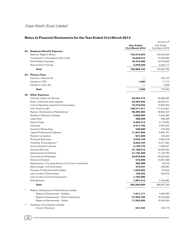### **Notes to Financial Statements for the Year Ended 31st March 2014**

|         |                                                       |                                             | Amount in ₹                   |
|---------|-------------------------------------------------------|---------------------------------------------|-------------------------------|
|         |                                                       | <b>Year Ended</b><br><b>31st March 2014</b> | Year Ended<br>31st March 2013 |
|         | 23. Employee Benefit Expenses                         |                                             |                               |
|         | Salaries, Wages & Bonus                               | 153,512,504                                 | 152,943,829                   |
|         | Contribution to Provident & other funds               | 10,835,515                                  | 10,320,885                    |
|         | <b>Staff Welfare Expenses</b>                         | 18,479,486                                  | 16,019,355                    |
|         | Recruitment & Training                                | 2,979,220                                   | 5,320,717                     |
|         | <b>Total</b>                                          | 185,806,725                                 | 184,604,786                   |
|         | <b>24. Finance Cost</b>                               |                                             |                               |
|         | Interest on Service Tax                               |                                             | 756,734                       |
|         | Interest on TDS                                       | 1,500                                       | 17,712                        |
|         | Interest on Entry Tax                                 |                                             | 4,948                         |
|         | <b>Total</b>                                          | 1,500                                       | 779,394                       |
|         | 25. Other Expenses                                    |                                             |                               |
|         | Contract Labour and Service                           | 29,204,219                                  | 26,884,293                    |
|         | Room, Catering & other supplies                       | 43,304,262                                  | 44,632,471                    |
|         | Linen & Operating equipments Consumption              | 10,279,564                                  | 14,582,433                    |
|         | Fuel, Power & Light                                   | 108,211,311                                 | 111,670,867                   |
|         | Repairs, Maintenance & Refurbishing*                  | 46,495,962                                  | 36,802,523                    |
|         | Satellite & Television Charges                        | 4,956,003                                   | 5,040,383                     |
|         | Lease Rent                                            | 308,268                                     | 308,268                       |
|         | Rates & Taxes                                         | 6,493,414                                   | 8,178,262                     |
|         | Insurance                                             | 2,417,105                                   | 4,581,622                     |
|         | <b>Directors' Sitting Fees</b>                        | 540,000                                     | 515,000                       |
|         | Legal & Professional Expenses                         | 11,937,666                                  | 8,844,797                     |
|         | Payment to Auditors                                   | 837,500                                     | 784,023                       |
|         | Printing & Stationery                                 | 3,978,149                                   | 2,502,378                     |
|         | Travelling & Conveyance**                             | 9,504,754                                   | 10,217,303                    |
|         | <b>Communication Expenses</b>                         | 2,130,770                                   | 1,584,627                     |
|         | <b>Technical Services</b>                             | 31,188,514                                  | 33,632,302                    |
|         | Advertisement & Publicity                             | 31,152,388                                  | 31,148,783                    |
|         | Commission & Brokerage                                | 34,978,849                                  | 30,524,565                    |
|         | Charity & Donation                                    | 573,500                                     | 10,031,500                    |
|         | Adjustments to Carrying Amount of Current Investments | 406,588                                     | 64,219                        |
|         | Bank charges and Commission                           | 379,431                                     | 403,082                       |
|         | Provision for Bad & Doubtful Debts                    | 1,043,565                                   | 142,030                       |
|         | Loss on sale of Fixed Assets                          | 109,533                                     | 820,974                       |
|         | Loss on sale of Current Investments                   | 1,165,966                                   |                               |
|         | Miscellaneous                                         | 1,907,413                                   | 2,190,885                     |
|         | <b>Total</b>                                          | 383,504,694                                 | 386,087,590                   |
| $\star$ | Repairs, Maintenance & Refurbishing includes          |                                             |                               |
|         | Repairs & Maintenance - Building                      | 7,617,171                                   | 4,859,083                     |
|         | Repairs & Maintenance - Plant & Machinery             | 21,595,765                                  | 16,679,086                    |
|         | Repairs & Maintenance - Others                        | 17,283,026                                  | 15,264,354                    |
| $***$   | Travelling & Conveyance includes                      |                                             |                               |
|         | <b>Travel of Directors</b>                            | 672,762                                     | 764,179                       |
|         |                                                       |                                             |                               |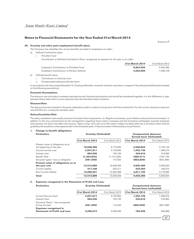### **Notes to Financial Statements for the Year Ended 31st March 2014**

Amount in  $\bar{z}$ 

#### **26. Gratuity and other post-employment benefit plans**

The Company has classified the various benefits provided to employees as under:-

- a) Defined contribution plans
	- i. Provident fund

Contribution to Defined Contribution Plans, recognized as expense for the year is as under:-

|                                                  | <b>31st March 2014</b> | 31st March 2013 |
|--------------------------------------------------|------------------------|-----------------|
| Employer's Contribution to Provident Fund        | 6.824.504              | 6.453.480       |
| <b>Employer's Contribution to Pension Scheme</b> | 2.042.009              | 1.938.128       |

#### b) Defined benefit plans

- i. Contribution to Gratuity fund
- ii. Compensated absences Earned leave

In accordance with Accounting Standard 15, Employee Benefits, actuarial valuation was done in respect of the aforesaid defined plans based on the following assumptions: -

#### **Economic Assumptions**

The discount rate and salary increases assumed are key financial assumptions and should be considered together; it is the difference or 'gap' between these rates which is more important than the individual rates in isolation.

#### **Discount Rate**

The discounting rate is based on the gross redemption yield on medium to long-term risk free investments. For the current valuation a discount rate of 8.50 % p.a. compound, has been used.

#### **Salary Escalation Rate**

The salary escalation rate usually consists of at least three components, viz. Regular increments, price inflation and promotional increases. In addition to this any commitments by the management regarding future salary increases and the Company's philosophy towards employee remuneration are also to be taken into account. Again a long- term view as to the trend in salary increase rates has to be taken rather than be guided by the escalation rates experienced in the immediate past, if they have been influenced by unusual factors.

#### **i. Change in benefit obligations:**

| <b>Particulars</b>                        | <b>Gratuity (Unfunded)</b> |                 |                        | <b>Compensated absences</b><br><b>Earned leave (Unfunded)</b> |  |
|-------------------------------------------|----------------------------|-----------------|------------------------|---------------------------------------------------------------|--|
|                                           | <b>31st March 2014</b>     | 31st March 2013 | <b>31st March 2014</b> | 31st March 2013                                               |  |
| Present value of obligations as at        |                            |                 |                        |                                                               |  |
| the beginning of the year                 | 10,638,309                 | 8,773,362       | 3.936.654              | 3,742,143                                                     |  |
| Current service cost                      | 2,647,817                  | 2,740,684       | 1,252,739              | 1,488,975                                                     |  |
| Interest cost                             | 904,256                    | 745.736         | 334.616                | 318,082                                                       |  |
| Benefit Paid                              | (1, 354, 935)              | (1,731,893)     | (685, 571)             | (745, 178)                                                    |  |
| Actuarial (gain)/ loss on obligation      | (261, 558)                 | 110.420         | (803,029)              | (867, 368)                                                    |  |
| <b>Present value of obligations as at</b> |                            |                 |                        |                                                               |  |
| the year end                              | 12,573,889                 | 10,638,309      | 4,035,409              | 3,936,654                                                     |  |
| Current liability                         | 477,338                    | 353,211         | 224,304                | 158,572                                                       |  |
| Non-Current liability                     | 12,096,551                 | 10,285,098      | 3,811,105              | 3,778,082                                                     |  |
| <b>Total</b>                              | 12.573.889                 | 10.638.309      | 4.035.409              | 3.936.654                                                     |  |

#### **ii. Expenses recognized in the Statement of Profit and Loss:**

|                        |                 | <b>Compensated absences</b><br><b>Earned leave (unfunded)</b> |                 |  |
|------------------------|-----------------|---------------------------------------------------------------|-----------------|--|
| <b>31st March 2014</b> | 31st March 2013 | <b>31st March 2014</b>                                        | 31st March 2013 |  |
| 2,647,817              | 2.740.684       | 1,252,739                                                     | 1,488,975       |  |
| 904.256                | 745.736         | 334.616                                                       | 318,082         |  |
| (261, 558)             | 110.420         | (803.029)                                                     | (867, 368)      |  |
| 3,290,515              | 3.596.840       | 784.326                                                       | 939,689         |  |
|                        |                 | <b>Gratuity (Unfunded)</b>                                    |                 |  |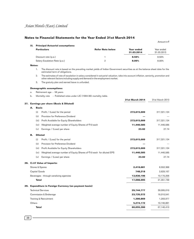### **Notes to Financial Statements for the Year Ended 31st March 2014**

|        |                                         |                                                                                                                                 |                                 | Amount in $\bar{z}$      |
|--------|-----------------------------------------|---------------------------------------------------------------------------------------------------------------------------------|---------------------------------|--------------------------|
| iii.   | <b>Principal Actuarial assumptions:</b> |                                                                                                                                 |                                 |                          |
|        | <b>Particulars</b>                      | <b>Refer Note below</b>                                                                                                         | <b>Year ended</b><br>31.03.2014 | Year ended<br>31.03.2013 |
|        | Discount rate (p.a.)                    |                                                                                                                                 | 8.50%                           | 8.50%                    |
|        | Salary Escalation Rate (p.a.)           | 2                                                                                                                               | 8.00%                           | 8.00%                    |
| Notes: |                                         |                                                                                                                                 |                                 |                          |
|        | ι.<br>estimated term of obligations.    | The discount rate is based on the prevailing market yields of Indian Government securities as at the balance sheet date for the |                                 |                          |

2. The estimates of rate of escalation in salary considered in actuarial valuation, take into account inflation, seniority, promotion and other relevant factors including supply and demand in the employment market.

3. The gratuity plan and earned leave is unfunded.

#### **Demographic assumptions:**

- a. Retirement age : 58 years
- b. Mortality rate : Published rates under LIC (1994-96) mortality table.

|     |        |                      |                                                                      | <b>31st March 2014</b> | 31st March 2013                                   |
|-----|--------|----------------------|----------------------------------------------------------------------|------------------------|---------------------------------------------------|
| 27. |        |                      | <b>Earnings per share (Basic &amp; Diluted)</b>                      |                        |                                                   |
|     | А.     | <b>Basic</b>         |                                                                      |                        | 317,321,124<br>317,321,124<br>11,440,585<br>27.74 |
|     |        | (i)                  | Profit / (Loss) for the period                                       | 273,615,009            |                                                   |
|     |        | (ii)                 | Provision for Preference Dividend                                    |                        |                                                   |
|     |        | (iii)                | Profit Available for Equity Shareholders                             | 273,615,009            |                                                   |
|     |        | (iv)                 | Weighted average number of Equity Shares of ₹10 each                 | 11,440,585             |                                                   |
|     |        | (v)                  | Earnings / (Loss) per share                                          | 23.92                  |                                                   |
|     | В.     |                      | <b>Diluted</b>                                                       |                        |                                                   |
|     |        | (i)                  | Profit / (Loss) for the period                                       | 273,615,009            | 317,321,124                                       |
|     |        | (iii)                | Provision for Preference Dividend                                    |                        |                                                   |
|     |        | (iii)                | Profit Available for Equity Shareholders                             | 273,615,009            | 317,321,124                                       |
|     |        | (iv)                 | Weighted average number of Equity Shares of ₹10 each for diluted EPS | 11,440,585             | 11,440,585                                        |
|     |        | (v)                  | Earnings / (Loss) per share                                          | 23.92                  | 27.74                                             |
|     |        |                      | 28. C.I.F. Value of Imports:                                         |                        |                                                   |
|     |        |                      | Stores & Spares                                                      | 2,419,681              | 8,552,366                                         |
|     |        | <b>Capital Goods</b> |                                                                      | 748,218                | 2,629,167                                         |
|     |        |                      | Beverages - through canalizing agencies                              | 13,930,196             | 10,170,206                                        |
|     |        | <b>Total</b>         |                                                                      | 17,098,095             | 21,351,739                                        |
| 29. |        |                      | <b>Expenditure in Foreign Currency (on payment basis)</b>            |                        |                                                   |
|     |        |                      | <b>Technical Services</b>                                            | 29,744,777             | 39,095,010                                        |
|     |        |                      | Commission & Brokerage                                               | 23,735,572             | 16,010,541                                        |
|     |        |                      | Training & Recruitment                                               | 1,300,869              | 1,293,977                                         |
|     | Others |                      |                                                                      | 5,274,172              | 10,746,881                                        |
|     |        | <b>Total</b>         |                                                                      | 60,055,390             | 67,146,410                                        |
|     |        |                      |                                                                      |                        |                                                   |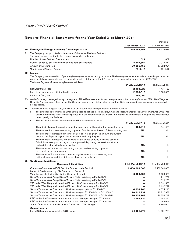### **Notes to Financial Statements for the Year Ended 31st March 2014**

| Amount in $\bar{z}$ |
|---------------------|
| 31st March 2013     |
| 348.533.629         |
|                     |
| 659                 |
| 3.938.872           |
| 17.724.924          |
| 2011-12             |
|                     |

#### **32. Leases:**

The Company has entered into Operating lease agreements for letting out space. The lease agreements are made for specific period as per agreement. Lease payments received recognized in the Statement of Profit & Loss for the year ended amounted to Rs. 5,238,915/-. The future Payments for operating lease are as follows:

|                                                   | 31 st March 2014 | 31st March 2013          |
|---------------------------------------------------|------------------|--------------------------|
| Not Later than 1 year                             | 2.184.022        | 1,431,150                |
| Later than one year and not later than five years | 2.338.312        | 1.085.000                |
| Later than five years                             | 1.590.000        | $\overline{\phantom{a}}$ |

**33.** As the Company is engaged in only one segment of Hotel Business, the disclosure requirements of Accounting Standard (AS-17) on "Segment Reporting" are not applicable. Further the Company operates only in India; hence additional information under geographical segments is also not applicable.

34. The disclosures relating to Micro, Small & Medium Enterprises Development Act, 2006 are as under :-

i. The amount due to Micro and Small Enterprises as defined in "The Micro, Small and Medium Enterprises Development Act, 2006" has been determined to the extent such parties have been identified on the basis of information collected by the management. This has been relied upon by the Auditors.

| н. | The disclosures relating to Micro and Small Enterprises are as under :- |
|----|-------------------------------------------------------------------------|
|    |                                                                         |
|    |                                                                         |

|                                                                                                                                                                                                                  | <b>31st March 2014</b> | 31st March 2013 |
|------------------------------------------------------------------------------------------------------------------------------------------------------------------------------------------------------------------|------------------------|-----------------|
| The principal amount remaining unpaid to supplier as at the end of the accounting year.                                                                                                                          | 463,615                | 341,453         |
| The interest due thereon remaining unpaid to Supplier as at the end of the accounting year.                                                                                                                      | <b>NIL</b>             | <b>NIL</b>      |
| The amount of interest paid in terms of Section 16 alongwith the amount of payment<br>made to the Supplier beyond the appointed day during the year.                                                             | <b>NIL</b>             | <b>NIL</b>      |
| The amount of interest due and payable for the period of delay in making payment<br>(which have been paid but beyond the appointed day during the year) but without<br>adding interest specified under this Act. | <b>NIL</b>             | <b>NIL</b>      |
|                                                                                                                                                                                                                  |                        |                 |
| The amount of interest accrued during the year and remaining unpaid at<br>the end of the accounting year.                                                                                                        | <b>NIL</b>             | <b>NIL</b>      |
| The amount of further interest due and payable even in the succeeding year,<br>until such date when interest dues as above are actually paid.                                                                    | <b>NIL</b>             | <b>NIL</b>      |
| 35. Contingent Liabilities:                                                                                                                                                                                      |                        |                 |
| <b>Contingent Liabilities</b>                                                                                                                                                                                    | <b>31st March 2014</b> | 31st March 2013 |
| Corporate Guarantee to IDBI Bank for Robust Hotels Pvt. Ltd.                                                                                                                                                     | 2,400,000,000          | 2,400,000,000   |
| Letter of Credit issued by IDBI Bank Ltd. in favour of                                                                                                                                                           |                        |                 |
| West Bengal Electricity Distribution Company Limited                                                                                                                                                             | 6,000,000              | 6,000,000       |
| Sales Tax under West Bengal Sales Tax Act, 1994 pertaining to F.Y. 2007-08                                                                                                                                       |                        | 211,767         |
| Sales Tax under West Bengal Sales Tax Act, 1994 pertaining to F.Y. 2008-09                                                                                                                                       |                        | 528,286         |
| VAT under West Bengal Value Added Tax Act, 2003 pertaining to F.Y. 2006-07                                                                                                                                       |                        | 2,531,538       |
| VAT under West Bengal Value Added Tax Act, 2003 pertaining to F.Y. 2008-09                                                                                                                                       |                        | 2,197,722       |
| Service Tax under the Finance Act, 1994 pertaining to prior to F.Y. 2004-05                                                                                                                                      | 4,374,245              | 4,374,245       |
| Service Tax under the Finance Act, 1994 pertaining to F.Y. 2003-04 to F.Y. 2006-07                                                                                                                               | 10,217,937             | 10,217,937      |
| Service Tax under the Finance Act, 1994 pertaining to F.Y. 2007-08 to F.Y. 2009-10                                                                                                                               | 26,753,749             | 26,753,749      |
| ESIC under the Employees' State Insurance Act, 1948 pertaining to F.Y. 2004-05                                                                                                                                   | 2,180,235              | 2,180,235       |
| ESIC under the Employees' State Insurance Act, 1948 pertaining to F.Y. 2007-08                                                                                                                                   |                        | 243,659         |
| States Consumer Disputes Redressal Commission West Bengal                                                                                                                                                        |                        | 9,800,000       |
| <b>Commitments</b>                                                                                                                                                                                               |                        |                 |
| Export Obligation in respect of EPCG Licences                                                                                                                                                                    | 24,301,279             | 24,301,279      |
|                                                                                                                                                                                                                  |                        |                 |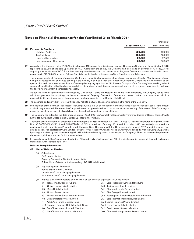### **Notes to Financial Statements for the Year Ended 31st March 2014**

|     |                                                     |                        | Amount in $\bar{\tau}$ |
|-----|-----------------------------------------------------|------------------------|------------------------|
|     |                                                     | <b>31st March 2014</b> | 31st March 2013        |
| 36. | <b>Payment to Auditors</b>                          |                        |                        |
|     | <b>Statutory Audit Fees</b>                         | 600,000                | 500,000                |
|     | Tax Audit Fees<br>-                                 | 150,000                | 150,000                |
|     | Fees for other services<br>$\overline{\phantom{0}}$ | 27.500                 | 27,500                 |
|     | Reimbursement of Expenses<br>-                      | 60,000                 | 106,523                |

37. As on date, the Company holds 91,652 Equity shares of ₹10 each of its subsidiaries, Regency Convention Centre and Hotels Limited (RCC), representing 58.99% of the paid up capital of RCC. Apart from the above, the Company had also made an advance of ₹33,448,275 for acquiring further shares of RCC from their existing shareholders and paid advances to Regency Convention Centre and Hotels Limited amounting to `11,569,474 up to the Balance Sheet date which has been disclosed as Short Term Loans and Advances.

The principal assets of Regency Convention Centre and Hotels Limited comprise of an interest in a parcel of land at Mumbai, such interest being the subject matter of dispute pending in the Bombay High Court. However Regency Convention Centre and Hotels Limited, as per opinion obtained, has a reasonable chance of winning the ongoing legal dispute. Such assets form part of the Company's undertaking at book values. Meanwhile the authorities have offered alternate land and negotiations on commercial terms are in progress. Consequently in view of the above, no impairment is considered necessary.

As per the terms of agreement with the Regency Convention Centre and Hotels Limited and its shareholders, the Company has to make additional payment for acquiring the balance shares of Regency Convention Centre and Hotels Limited, the amount of which is unascertainable and dependent on the outcome of the dispute pending in the Bombay High Court.

- **38.** The leasehold land upon which Hotel Hyatt Regency Kolkata is situated has been registered in the name of the Company.
- **39.** In the opinion of the Board, all the assets of the Company have a value on realization in ordinary course of business at least equal to the amount at which they are stated. Therefore, the Company has not recognised any loss on impairment in respect of any of the assets of the Company. In respect of subsidiaries, such decision is based on the audited accounts of the subsidiaries.
- **40.** The Company has extended the date of redemption of 43,00,000 12% Cumulative Redeemable Preference Shares of Robust Hotels Private Limited to July 5, 2016 unless mutually agreed upon for further rollover.
- **41.** The Board of Directors of the Company at their meeting held on 26th November 2012 and 23rd May 2013 and in consideration of SEBI Circular Nos. CIR/CFD/DIL/5/2013 and CIR/CFD/DIL/8/2013 dated 4th February 2013 and 21st May 2013 respectively, approved the amalgamation of Forex Finance Private Limited, Promoter Body Corporate with the Company w.e.f. 1st April 2012 (appointed date). Post amalgamation, Robust Hotels Private Limited, owner of Hyatt Regency Chennai, will be a wholly owned subsidiary of the Company; partially by having direct holding and balance through GJS Hotels Limited (wholly owned subsidiary of the Company). The Company is in the process of obtaining regulatory approvals for the amalgamation.
- **42.** In accordance with the Accounting Standard on "Related Party Disclosures" (AS-18), the disclosures in respect of Related Parties and transactions with them are as follows: -

#### **Related Party Disclosures**

#### **(i) List of Related Parties**

- (a) Subsidiaries : GJS Hotels Limited Regency Convention Centre & Hotels Limited Robust Hotels Private Limited (subsidiary of GJS Hotels Limited)
- (b) Key Management Personnel : Radhe Shyam Saraf, Chairman Umesh Saraf, Joint Managing Director Arun Kumar Saraf, Joint Managing Director
- (c) Entities over which directors or their relatives can exercise significant influence/control :
	-
	- (ii) Unison Hotels Private Limited (xii) Juniper Investments Limited
	-
	- (iv) Unison Power Limited (xiv) Blue Energy Private Limited
	- (v) Unison Hotels South Private Limited (xv) Footsteps of Buddha Hotels Private Limited
	-
	- (vii) Yak & Yeti Hotels Limited, Nepal (xvii) Samra Importex Private Limited
	- (viii) Taragaon Regency Hotels Limited, Nepal (xviii)Forex Finance Private Limited
	- (ix) Saraf Investments Limited, Mauritius (xix) Saraf Hotels Limited, Mauritius
	- (x) Saraf Industries Limited, Mauritius (xx) Chartered Hampi Hotels Private Limited
- (i) Nepal Travel Agency Pvt. Ltd. (xi) Sara Hospitality Limited, Hong Kong
	-
- (iii) Vedic Hotels Limited (xiii) Chartered Hotels Private Limited
	-
	-
- (vi) Juniper Hotels Private Limited (xvi) Sara International limited, Hong Kong
	-
	-
	-
	-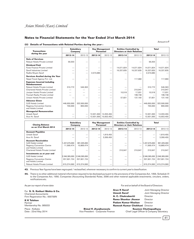## **Notes to Financial Statements for the Year Ended 31st March 2014**

#### Amount in  $\bar{\tau}$

|  | (ii) Details of Transactions with Related Parties during the year : |  |  |  |  |
|--|---------------------------------------------------------------------|--|--|--|--|
|  |                                                                     |  |  |  |  |

| <b>Transactions</b>                                                                                         | <b>Subsidiary</b><br>Company |                        | <b>Key Management</b><br><b>Personnel</b> |                                    | <b>Entities Controlled by</b><br><b>Directors or their Relatives</b> |                          | <b>Total</b>                          |                          |
|-------------------------------------------------------------------------------------------------------------|------------------------------|------------------------|-------------------------------------------|------------------------------------|----------------------------------------------------------------------|--------------------------|---------------------------------------|--------------------------|
| during the year                                                                                             | 2013-14                      | 2012-13                | 2013-14                                   | 2012-13                            | 2013-14                                                              | 2012-13                  | 2013-14                               | 2012-13                  |
| <b>Sale of Services</b><br>Robust Hotels Private Limited                                                    | 59,203                       |                        |                                           |                                    |                                                                      |                          | 59,203                                |                          |
| <b>Dividend Paid</b><br>Forex Finance Private Limited<br>Saraf Industries Limited<br>Radhe Shyam Saraf      |                              | --                     | 2,573,685                                 | —<br>$\overline{\phantom{0}}$<br>– | 14.071.824<br>16,337,835                                             | 14.071.824<br>16,337,835 | 14.071.824<br>16,337,835<br>2,573,685 | 14,071,824<br>16,337,835 |
| <b>Services Availed during the Year</b><br>Nepal Travel Agency Pvt. Ltd.                                    |                              |                        |                                           |                                    |                                                                      | 117,960                  |                                       | 117,960                  |
| <b>Expenses Incurred including</b><br><b>Reimbursement</b>                                                  |                              |                        |                                           |                                    |                                                                      |                          |                                       |                          |
| Robust Hotels Private Limited<br>Chartered Hotels Private Limited                                           | 310.772                      | 546.363                |                                           | –                                  |                                                                      | 210,947                  | 310,772                               | 546.363<br>210,947       |
| Juniper Hotels Private Limited<br>Triumph Realty Private Limited                                            |                              |                        | --                                        | —<br>–                             | 10,518                                                               | 17,031<br>198,748        | 10,518                                | 17,031<br>198,748        |
| Unison Hotels Private Limited                                                                               |                              |                        |                                           | --                                 | 57,821                                                               | 137,192                  | 57,821                                | 137,192                  |
| <b>Advance Given</b><br><b>GJS Hotels Limited</b><br><b>Regency Convention Centre</b><br>and Hotels Limited | 446.650.000<br>700,000       | 322.500.000<br>800,000 |                                           |                                    |                                                                      |                          | 446,650,000<br>700,000                | 322,500,000<br>800,000   |
| <b>Managerial Remuneration</b><br>Umesh Saraf<br>Arun Kr. Saraf                                             |                              |                        | 12,931,000<br>12,931,000                  | 14,203,455<br>15,653,455           |                                                                      |                          | 12,931,000<br>12,931,000              | 14,203,455<br>15,653,455 |

| <b>Closing Balance</b>                                                                                                                                       | <b>Subsidiary</b><br>Company |                              | <b>Key Management</b><br>Personnel |              | <b>Entities Controlled by</b><br><b>Directors or their Relatives</b> |                              | <b>Total</b>                           |                                      |
|--------------------------------------------------------------------------------------------------------------------------------------------------------------|------------------------------|------------------------------|------------------------------------|--------------|----------------------------------------------------------------------|------------------------------|----------------------------------------|--------------------------------------|
| as on 31st March 2014                                                                                                                                        | 2013-14                      | 2012-13                      | 2013-14                            | 2012-13      | 2013-14                                                              | 2012-13                      | 2013-14                                | 2012-13                              |
| <b>Account Payables</b>                                                                                                                                      |                              |                              |                                    |              |                                                                      |                              |                                        |                                      |
| Umesh Saraf                                                                                                                                                  |                              |                              | --                                 | 1,819,455    |                                                                      |                              |                                        | 1,819,455                            |
| Arun Kr. Saraf                                                                                                                                               |                              | $\overline{\phantom{a}}$     | $\overline{\phantom{0}}$           | 3,269,455    | $-$                                                                  |                              |                                        | 3,269,455                            |
| <b>Account Receivables</b><br><b>GJS Hotels Limited</b><br><b>Regency Convention Centre</b><br>and Hotels Limited<br><b>Chartered Hotels Private Limited</b> | 1.437.675.000<br>11.569.474  | 991,025,000<br>10,869,474    |                                    | —<br>--<br>– | 210.947                                                              | $\hspace{0.05cm}$<br>210.947 | 1,437,675,000<br>11,569,474<br>210.947 | 991,025,000<br>10,869,474<br>210.947 |
| Investments as at year end<br><b>GJS Hotels Limited</b><br><b>Regency Convention Centre</b><br>and Hotels Limited                                            | 2,346,365,000<br>257,901,724 | 2,346,365,000<br>257,901,724 |                                    | $-$<br>--    |                                                                      | $\overline{\phantom{a}}$     | 2,346,365,000<br>257.901.724           | 2,346,365,000<br>257,901,724         |
| <b>Robust Hotels Private Limited</b>                                                                                                                         | 615,374,060                  | 615,374,060                  | —                                  | $-$          | $\overline{\phantom{a}}$                                             |                              | 615,374,060                            | 615,374,060                          |

**43.** Previous Year figures have been regrouped / reclassified, wherever necessary to confirm to current year's classification.

**44.** There is no other additional material information required to be disclosed pursuant to the provisions of the Companies Act, 1956, Schedule VI to the Companies Act, 1956, Companies (Accounting Standards) Rules, 2006 and other material applicable enactments, circulars, orders, notifications etc.

### For **S. S. Kothari Mehta & Co.**

Chartered Accountants Firm Registration No.: 000756N

## **K K Tulshan** Partner Membership No. 085033

As per our report of even date For and on behalf of the Board of Directors For and on behalf of the Board of Directors

| Arun K Saraf                          | Joint Managing Director |
|---------------------------------------|-------------------------|
| Umesh Saraf                           | Joint Managing Director |
| A. C. Chakrabortti                    | Director                |
| Rama Shankar Jhawar                   | Director                |
| Padam Kumar Khaitan                   | Director                |
| <b>Ramesh Kumar Chokhani Director</b> |                         |

Place : Kolkata **Bimal K Jhunjhunwala**<br>
Date : 22nd May 2014 **Saumen Chatter State Chatter School** Vice President - Corporate Finance

Saumen Chattopadhyay<br>Chief Legal Officer & Company Secretary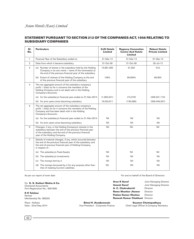## **STATEMENT PURSUANT TO SECTION 212 OF THE COMPANIES ACT, 1956 RELATING TO SUBSIDIARY COMPANIES**

| SI.<br>No.     | <b>Particulars</b>                                                                                                                                                                                               | <b>GJS Hotels</b><br>Limited | <b>Regency Convention</b><br><b>Centre And Hotels</b><br>Limited | <b>Robust Hotels</b><br><b>Private Limited</b> |
|----------------|------------------------------------------------------------------------------------------------------------------------------------------------------------------------------------------------------------------|------------------------------|------------------------------------------------------------------|------------------------------------------------|
| $\mathbf{1}$   | Financial Year of the Subsidiary ended on                                                                                                                                                                        | 31-Mar-14                    | 31-Mar-14                                                        | 31-Mar-14                                      |
| 2              | Date from which it became subsidiary                                                                                                                                                                             | 31-Oct-09                    | 31-Oct-09                                                        | 26-Jul-12                                      |
| 3              | (a) Number of shares in the subsidiary held by the Holding<br>Company in its own name $/$ name of the nominee(s) at<br>the end of the previous financial year of the subsidiary                                  | 10,961,000                   | 91,652                                                           | N.A.                                           |
|                | (b) Extent of interest of the Holding Company at the end<br>of the previous financial year of the subsidiary                                                                                                     | 100%                         | 58.994%                                                          | 68.06%                                         |
| 4              | The net aggregate amount of the subsidiary company's<br>profit / (loss) so far it concerns the members of the<br>Holding Company and is not dealt with in the Holding<br>Company's Accounts :                    |                              |                                                                  |                                                |
|                | (a) for the subsidiary's financial year ended on 31-Mar-2014                                                                                                                                                     | (1,964,541)                  | (74, 379)                                                        | (346, 341, 174)                                |
|                | (b) for prior years since becoming subsidiary                                                                                                                                                                    | 18,534,911                   | (130, 568)                                                       | (209, 446, 267)                                |
| 5              | The net aggregate amount of the subsidiary company's<br>profit / (loss) so far it concerns the members of the Holding<br>Company and has been dealt with in the Holding<br>Company's Accounts :                  |                              |                                                                  |                                                |
|                | (a) for the subsidiary's financial year ended on 31-Mar-2014                                                                                                                                                     | Nil                          | Nil                                                              | Nil                                            |
|                | (b) for prior years since becoming subsidiary                                                                                                                                                                    | Nil                          | Nil                                                              | Nil                                            |
| 6              | Changes, if any, in the Holding Company's interest in the<br>subsidiary between the end of the previous financial year<br>of the subsidiary and the end of the previous financial<br>year of the Holding Company | Nil                          | Nil                                                              | Nil                                            |
| $\overline{7}$ | Details of material changes, if any, which occurred between<br>the end of the previous financial year of the subsidiary and<br>the end of previous financial year of Holding Company,<br>in respect of :         |                              |                                                                  |                                                |
|                | (a) The subsidiary's Fixed Assets                                                                                                                                                                                | Nil                          | Nil                                                              | Nil                                            |
|                | The subsidiary's Investments<br>(b)                                                                                                                                                                              | Nil                          | Nil                                                              | Nil                                            |
|                | The moneys lent by it<br>(c)                                                                                                                                                                                     | Nil                          | Nil                                                              | Nil                                            |
|                | (d) The moneys borrowed by it for any purpose other than<br>that of meeting Current Liabilities                                                                                                                  | Nil                          | Nil                                                              | Nil                                            |

For **S. S. Kothari Mehta & Co.** Chartered Accountants

Firm Registration No.: 000756N **K K Tulshan** Partner

Membership No. 085033

As per our report of even date **For and on behalf of the Board of Directors** 

**Arun K Saraf** Joint Managing Director **Umesh Saraf** Joint Managing Director A. C. Chakrabortti Director **Rama Shankar Jhawar** Director **Padam Kumar Khaitan** Director **Ramesh Kumar Chokhani** Director

Place : Kolkata **Bimal K Jhunjhunwala Saumen Chattopadhyay**<br>Date : 22nd May 2014 **Saumen Chattopadhyay** Vice President - Corporate Finance Chief Legal Officer & Company Sec Chief Legal Officer & Company Secretary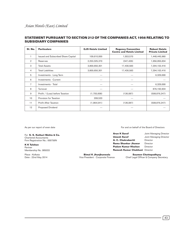## **STATEMENT PURSUANT TO SECTION 212 OF THE COMPANIES ACT, 1956 RELATING TO SUBSIDIARY COMPANIES**

| SI. No.        | <b>Particulars</b>                  | <b>GJS Hotels Limited</b> | <b>Regency Convention</b><br><b>Centre and Hotels Limited</b> | <b>Robust Hotels</b><br><b>Private Limited</b> |
|----------------|-------------------------------------|---------------------------|---------------------------------------------------------------|------------------------------------------------|
| 1              | Issued and Subscribed Share Capital | 109,610,000               | 1,553,570                                                     | 1,448,445,960                                  |
| 2              | Reserves                            | 2,253,325,370             | (347, 426)                                                    | 1,956,955,834                                  |
| 3              | <b>Total Assets</b>                 | 3,800,650,301             | 17,430,583                                                    | 7,294,102,416                                  |
| 4              | <b>Total Liabilities</b>            | 3,800,650,301             | 17,430,583                                                    | 7,294,102,416                                  |
| 5              | Investments - Long Term             |                           |                                                               | 6,329,000                                      |
| 6              | Investments - Current               |                           |                                                               |                                                |
| $\overline{7}$ | Investments - Total                 |                           |                                                               | 6,329,000                                      |
| 8              | Turnover                            |                           |                                                               | 876,192,834                                    |
| 9              | Profit / (Loss) before Taxation     | (1,755,008)               | (126,087)                                                     | (508, 876, 247)                                |
| 10             | Provision for Taxation              | 209,533                   |                                                               |                                                |
| 11             | <b>Profit After Taxation</b>        | (1,964,541)               | (126,087)                                                     | (508, 876, 247)                                |
| 12             | <b>Proposed Dividend</b>            |                           |                                                               |                                                |

## For **S. S. Kothari Mehta & Co.**

Chartered Accountants Firm Registration No.: 000756N

**K K Tulshan** Partner Membership No. 085033

Place : Kolkata **Bimal K Jhunjhunwala Saumen Chattopadhyay**<br>Date : 22nd May 2014 **Saumen Chattopadhyay** Vice President - Corporate Finance Chief Legal Officer & Company Sec

As per our report of even date For and on behalf of the Board of Directors

**Arun K Saraf Joint Managing Director Umesh Saraf** Joint Managing Director **A. C. Chakrabortti** Director **Rama Shankar Jhawar** Director **Padam Kumar Khaitan** Director **Ramesh Kumar Chokhani** Director

Chief Legal Officer & Company Secretary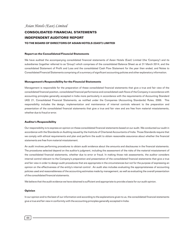## **INDEPENDENT AUDITORS' REPORT TO THE BOARD OF DIRECTORS OF ASIAN HOTELS (EAST) LIMITED CONSOLIDATED FINANCIAL STATEMENTS**

#### **Report on the Consolidated Financial Statements**

We have audited the accompanying consolidated financial statements of Asian Hotels (East) Limited (the 'Company') and its subsidiaries (together referred to as 'Group') which comprises of the consolidated Balance Sheet as at 31 March 2014, and the consolidated Statement of Profit and Loss and the consolidated Cash Flow Statement for the year then ended, and Notes to Consolidated Financial Statements comprising of a summary of significant accounting policies and other explanatory information.

#### **Management's Responsibility for the Financial Statements**

Management is responsible for the preparation of these consolidated financial statements that give a true and fair view of the consolidated financial position, consolidated financial performance and consolidated cash flows of the Company in accordance with accounting principles generally accepted in India more particularly in accordance with the requirements of Accounting Standard (AS) 21, Consolidated Financial Statements, as notified under the Companies (Accounting Standards) Rules, 2006. This responsibility includes the design, implementation and maintenance of internal controls relevant to the preparation and presentation of the consolidated financial statements that give a true and fair view and are free from material misstatements, whether due to fraud or error.

#### **Auditor's Responsibility**

Our responsibility is to express an opinion on these consolidated financial statements based on our audit. We conducted our audit in accordance with the Standards on Auditing issued by the Institute of Chartered Accountants of India. Those Standards require that we comply with ethical requirements and plan and perform the audit to obtain reasonable assurance about whether the financial statements are free from material misstatement.

An audit involves performing procedures to obtain audit evidence about the amounts and disclosures in the financial statements. The procedures selected depend on the auditor's judgment, including the assessment of the risks of the material misstatement of the consolidated financial statements, whether due to error or fraud. In making those risk assessments, the auditor considers internal control relevant to the Company's preparation and presentation of the consolidated financial statements that give a true and fair view in order to design audit procedures that are appropriate in the circumstances but not for the purpose of expressing an opinion on the effectiveness of the entity's internal control . An audit also includes evaluating the appropriateness of accounting policies used and reasonableness of the accounting estimates made by management, as well as evaluating the overall presentation of the consolidated financial statements.

We believe that the audit evidence we have obtained is sufficient and appropriate to provide a basis for our audit opinion.

#### **Opinion**

In our opinion and to the best of our information and according to the explanations given to us, the consolidated financial statements give a true and fair view in conformity with the accounting principles generally accepted in India: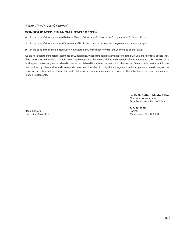## **CONSOLIDATED FINANCIAL STATEMENTS**

- a) In the case of the consolidated Balance Sheet, of the state of affairs of the Company as at 31 March 2014;
- b) In the case of the consolidated Statement of Profit and Loss, of the loss for the year ended on that date; and
- c) In the case of the consolidated Cash Flow Statement, of the cash flows for the year ended on that date.

We did not audit the financial statements of Subsidiaries, whose financial statements reflect the Group's share of total assets (net) of Rs.79,887.58 lakhs as at 31 March, 2014, total revenues of Rs.8761.92 lakhs and net cash inflows amounting to Rs.279.08 Lakhs for the year then ended; as considered in these consolidated financial statements and other related financial information which have been audited by other auditors whose reports have been furnished to us by the management and our opinion is based solely on the report of the other auditors, in so far as it relates to the amounts included in respect of the subsidiaries in these consolidated financial statements.

> For **S. S. Kothari Mehta & Co.** Chartered Accountants Firm Registration No: 000756N

**K K Tulshan** Membership No: 085033

Place: Kolkata<br>Date: 22nd May 2014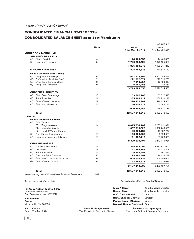## **CONSOLIDATED FINANCIAL STATEMENTS**

## **CONSOLIDATED BALANCE SHEET as at 31st March 2014**

|                                                         |                |                        | Amount in ₹     |
|---------------------------------------------------------|----------------|------------------------|-----------------|
|                                                         | <b>Note</b>    | As at                  | As at           |
|                                                         |                | <b>31st March 2014</b> | 31st March 2013 |
| EQUITY AND LIABILITIES                                  |                |                        |                 |
| <b>SHAREHOLDERS' FUND</b><br>Share Capital<br>(a)       | 4              | 114,405,850            | 114,405,850     |
| (b)<br>Reserves & Surplus                               | 5              | 7,760,783,426          | 7,876,105,360   |
|                                                         |                | 7,875,189,276          | 7,990,511,210   |
| <b>MINORITY INTEREST</b>                                |                | 408,258,338            | 570,845,119     |
| <b>NON-CURRENT LIABILITIES</b>                          |                |                        |                 |
| (a)<br>Long Term Borrowings                             | 6              | 3,457,573,866          | 3,343,055,866   |
| Deferred tax liabilities (Net)<br>(b)                   | $\overline{7}$ | 222,572,874            | 220,598,735     |
| (c)<br>Other Long Term Liabilities                      | 8              | 7,210,554              | 10,493,618      |
| (d)<br>Long-term Provisions                             | 9              | 25,941,256             | 22,246,361      |
|                                                         |                | 3,713,298,550          | 3,596,394,580   |
| <b>CURRENT LIABILITIES</b>                              |                |                        |                 |
| (a)<br>Short Term Borrowings                            | 10             | 53,862,768             | 53,817,573      |
| (b)<br><b>Trade Payables</b>                            | 11             | 285,105,412            | 236,939,117     |
| <b>Other Current Liabilities</b><br>(c)                 | 12             | 220,477,987            | 414,424,900     |
| (d)<br>Short -term Provisions                           | 13             | 40,856,379             | 60,346,186      |
|                                                         |                | 600,302,546            | 765,527,776     |
| <b>Total</b>                                            |                | 12,597,048,710         | 12,923,278,685  |
| ASSETS                                                  |                |                        |                 |
| <b>NON-CURRENT ASSETS</b>                               |                |                        |                 |
| <b>Fixed Assets</b><br>(a)                              |                |                        |                 |
| (i)<br><b>Tangible Assets</b>                           | 14             | 8,015,654,182          | 8,237,131,891   |
| (ii)<br>Intangible Assets                               |                | 1,087,319,328          | 1,092,240,993   |
| (iii) Capital Work-in-Progress                          |                | 39,239,182             | 19,537,747      |
| (b)<br>Non-Current Investments                          | 15             | 156,329,000            | 6,524,000       |
| (c)<br>Long-term Loans and Advance                      | 16             | 101,087,712            | 87,706,303      |
| <b>CURRENT ASSETS</b>                                   |                | 9,399,629,404          | 9,443,140,934   |
| (a)<br><b>Current Investments</b>                       | 17             | 2,278,842,004          | 2,573,811,662   |
| (b)<br>Inventories                                      | 18             | 27,494,142             | 30,710,808      |
| (c)<br>Trade Receivable                                 | 19             | 105,740,653            | 102,467,311     |
| (d)<br>Cash and Bank Balances                           | 20             | 93,991,497             | 78,419,289      |
| Short-term Loans and Advances<br>(e)                    | 21             | 658,552,138            | 654,293,652     |
| <b>Other Current Assets</b><br>(f)                      | 22             | 32,798,872             | 40,435,029      |
|                                                         |                | 3,197,419,306          | 3,480,137,751   |
| <b>Total</b>                                            |                | 12,597,048,710         | 12,923,278,685  |
| Notes forming part of Consolidated Financial Statements | $1 - 49$       |                        |                 |

### As per our report of even date **For and on behalf of the Board of Directors**

| For S. S. Kothari Mehta & Co.  |                             | <b>Arun K Saraf</b>                   | Joint Managing Director     |
|--------------------------------|-----------------------------|---------------------------------------|-----------------------------|
| <b>Chartered Accountants</b>   |                             | <b>Umesh Saraf</b>                    | Joint Managing Director     |
| Firm Registration No.: 000756N |                             | A. C. Chakrabortti                    | Director                    |
| <b>K K Tulshan</b>             |                             | <b>Rama Shankar Jhawar</b>            | Director                    |
| Partner                        |                             | <b>Padam Kumar Khaitan</b>            | Director                    |
| Membership No. 085033          |                             | <b>Ramesh Kumar Chokhani Director</b> |                             |
| Place: Kolkata                 | <b>Bimal K Jhunjhunwala</b> |                                       | <b>Saumen Chattopadhyay</b> |

Date : 22nd May 2014 Vice President - Corporate Finance Chief Legal Officer & Company Secretary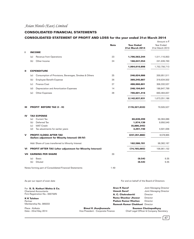## **CONSOLIDATED FINANCIAL STATEMENTS**

## **CONSOLIDATED STATEMENT OF PROFIT AND LOSS for the year ended 31st March 2014**

|             |            |                                                                                      |             |                                             | Amount in ₹                   |
|-------------|------------|--------------------------------------------------------------------------------------|-------------|---------------------------------------------|-------------------------------|
|             |            |                                                                                      | <b>Note</b> | <b>Year Ended</b><br><b>31st March 2014</b> | Year Ended<br>31st March 2013 |
| П           |            | <b>INCOME</b>                                                                        |             |                                             |                               |
|             | (a)        | <b>Revenue from Operations</b>                                                       | 23          | 1,796,563,344                               | 1,511,116,953                 |
|             | (b)        | Other Income                                                                         | 24          | 168,047,554                                 | 241,639,760                   |
|             |            |                                                                                      |             | 1,964,610,898                               | 1,752,756,713                 |
| ш           |            | <b>EXPENDITURE</b>                                                                   |             |                                             |                               |
|             | (a)        | Consumption of Provisions, Beverages, Smokes & Others                                | 25          | 246,024,986                                 | 200,951,511                   |
|             | (b)        | <b>Employee Benefit Expense</b>                                                      | 26          | 369,245,887                                 | 318,634,502                   |
|             | (c)        | <b>Finance Cost</b>                                                                  | 27          | 488,960,801                                 | 306,332,537                   |
|             | (d)        | Depreciation and Amortization Expenses                                               | 14          | 248,104,841                                 | 186,847,799                   |
|             | (e)        | Other Expenses                                                                       | 28          | 790,601,416                                 | 660,484,837                   |
|             |            |                                                                                      |             | 2,142,937,931                               | 1,673,251,186                 |
| Ш           |            | <b>PROFIT BEFORE TAX (I - II)</b>                                                    |             | (178, 327, 033)                             | 79,505,527                    |
| <b>IV</b>   |            | <b>TAX EXPENSE</b>                                                                   |             |                                             |                               |
|             | (a)        | <b>Current Tax</b>                                                                   |             | 60,639,299                                  | 56,384,086                    |
|             | (b)<br>(c) | Deferred Tax<br><b>MAT Credit</b>                                                    |             | 1,974,139<br>(6,886,345)                    | 9,950,540                     |
|             | (d)        | Tax adustments for earlier years                                                     |             | 3,297,740                                   | 4,591,936                     |
| $\mathbf v$ |            | <b>PROFIT/(LOSS) AFTER TAX</b><br>(before adjustment for Minority Interest) (III-IV) |             | (237, 351, 866)                             | 8,578,965                     |
|             |            | Add: Share of Loss transferred to Minority Interest                                  |             | 162,586,781                                 | 98,382,187                    |
| vı          |            | <b>PROFIT AFTER TAX (after adjustment for Minority Interest)</b>                     |             | (74, 765, 085)                              | 106,961,152                   |
| VII         |            | <b>EARNING PER SHARE</b>                                                             | 29          |                                             |                               |
|             | (a)        | <b>Basic</b>                                                                         |             | (6.54)                                      | 9.35                          |
|             | (b)        | <b>Diluted</b>                                                                       |             | (6.54)                                      | 9.35                          |
|             |            | Notes forming part of Consolidated Financial Statements                              | $1 - 49$    |                                             |                               |

As per our report of even date For and on behalf of the Board of Directors

| For S. S. Kothari Mehta & Co.<br><b>Chartered Accountants</b><br>Firm Registration No.: 000756N | <b>Arun K Saraf</b><br><b>Umesh Saraf</b>                         | A. C. Chakrabortti                                       | Joint Managing Director<br>Joint Managing Director<br>Director         |
|-------------------------------------------------------------------------------------------------|-------------------------------------------------------------------|----------------------------------------------------------|------------------------------------------------------------------------|
| <b>KK Tulshan</b><br>Partner<br>Membership No. 085033                                           |                                                                   | <b>Rama Shankar Jhawar</b><br><b>Padam Kumar Khaitan</b> | Director<br>Director                                                   |
| Place: Kolkata<br>Date: 22nd May 2014                                                           | <b>Bimal K Jhunjhunwala</b><br>Vice President - Corporate Finance | <b>Ramesh Kumar Chokhani Director</b>                    | <b>Saumen Chattopadhyay</b><br>Chief Legal Officer & Company Secretary |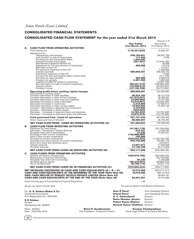## **CONSOLIDATED FINANCIAL STATEMENTS**

### **CONSOLIDATED CASH FLOW STATEMENT for the year ended 31st March 2014**

|                |                                                                                                                                                                                                                                                                                                                                                                      | <b>Year Ended</b><br><b>31st March, 2014</b>                                                     | Amount in ₹<br>Year Ended<br>31st March, 2013                                           |
|----------------|----------------------------------------------------------------------------------------------------------------------------------------------------------------------------------------------------------------------------------------------------------------------------------------------------------------------------------------------------------------------|--------------------------------------------------------------------------------------------------|-----------------------------------------------------------------------------------------|
| А.             | <b>CASH FLOW FROM OPERATING ACTIVITIES</b><br>Profit before tax                                                                                                                                                                                                                                                                                                      | (178, 327, 033)                                                                                  | 79,505,527                                                                              |
|                | Adjustment for:<br>Depreciation/amortization<br>Loss/(profit) on sale of fixed assets<br>Provision for bad and doubtful debts<br>Excess Provision written back                                                                                                                                                                                                       | 248,104,841<br>117,446<br>1.043.565<br>(357, 487)                                                | 186,847,799<br>2,356<br>(15, 344, 735)                                                  |
|                | Miscellaneous Balance Written off<br>Adjustment to Carrying Amount of Investment<br>Bad Debt written off                                                                                                                                                                                                                                                             | 406,588                                                                                          | 40,005<br>64,219<br>412,617                                                             |
|                | Pre operative expenses written off<br>Interest expenses<br>Preliminary expenses written off                                                                                                                                                                                                                                                                          | 488,959,301                                                                                      | 5.048.898<br>305,553,142<br>17,680                                                      |
|                | Provision for bad and doubtful debts written back<br>Provision for leave benefits<br>Provision for gratuity<br>Liability provided for statutory authorities<br>Net loss/(gain) on sale of current investments                                                                                                                                                        | 483,386<br>3,401,368<br>(99, 537, 572)                                                           | (211, 418)<br>3,036,978<br>1,890,349<br>(6,281,799)<br>(105,865,540)                    |
|                | Interest income<br>Dividend income                                                                                                                                                                                                                                                                                                                                   | (16, 298, 014)<br>(47, 146, 798)                                                                 | (22, 322, 601)<br>(94, 772, 592)                                                        |
|                | Operating profit before working capital changes                                                                                                                                                                                                                                                                                                                      | 400,849,591                                                                                      | 337,620,885                                                                             |
|                | Movements in working capital:<br>Increase/(decrease) in trade payables<br>Increase/(decrease) in other current liabilities<br>Increase/(decrease) in other long term liabilities<br>Decrease/(increase) in trade receivables<br>Decrease/(increase) in inventories<br>Decrease/(increase) in other current assets<br>Increase / (Decrease) in Advance from Customers | 48,523,782<br>(51,610,297)<br>(3,049,600)<br>(4,316,907)<br>3,216,666<br>10,293,094<br>2,724,986 | 66,121,070<br>25,326,337<br>10,197,250<br>(43, 355, 255)<br>(4, 189, 317)<br>21,824,182 |
|                | Increase / (Decrease) in Stale cheque<br>Decrease / (increase) in Stale cheque<br>Decrease / (increase) in long term loans and advances<br>Decrease / (increase) in short term loans and advances                                                                                                                                                                    | (233, 464)<br>(3,763,342)<br>(4,872,979)                                                         | (10, 762, 359)<br>(15, 778, 498)                                                        |
|                | Cash generated from /(used in) operations<br>Direct taxes paid (net of refunds)                                                                                                                                                                                                                                                                                      | 397,761,530<br>66,666,607                                                                        | 387,004,295<br>68,705,490                                                               |
|                | NET CASH FLOW FROM/ (USED IN) OPERATING ACTIVITIES (A)                                                                                                                                                                                                                                                                                                               | 331,094,923                                                                                      | 318,298,805                                                                             |
| в.             | <b>CASH FLOW FROM INVESTING ACTIVITIES</b><br>Payments for fixed assets<br>Decrease / (Increase) in Capital Advance<br>Proceeds from sale of fixed assets<br>Purchase of Non-current investments<br>Sale of Non-current investments                                                                                                                                  | (41, 561, 778)<br>612,337<br>37,430<br>(150,000,000)<br>195,000                                  | (181, 204, 594)<br>2,229,784<br>10,253,931                                              |
|                | Purchase of current investments<br>Proceeds from sale/maturity of current investments<br>Short term loans and advances given<br>Interest received                                                                                                                                                                                                                    | (550, 642, 353)<br>944,742,998<br>13,641,077                                                     | (1, 245, 100, 738)<br>797,867,176<br>(210, 947)<br>17,894,606                           |
|                | Dividend received<br><b>NET CASH FLOW FROM/(USED IN) INVESTING ACTIVITIES (B)</b>                                                                                                                                                                                                                                                                                    | 47,146,798<br>264,171,509                                                                        | 94,772,592<br>(503, 498, 190)                                                           |
| $\mathbf{C}$ . | <b>CASH FLOWS FROM FINANCING ACTIVITIES</b>                                                                                                                                                                                                                                                                                                                          |                                                                                                  |                                                                                         |
|                | Interest and finance charges paid<br>Repayment of long term borrowings<br>Proceeds from short term borrowings                                                                                                                                                                                                                                                        | (520, 618, 798)<br>45,195                                                                        | (352, 959, 378)<br>(32, 142, 000)<br>5,180,588                                          |
|                | Dividend paid on shares<br>Tax on dividend paid                                                                                                                                                                                                                                                                                                                      | (50.370.507)<br>(8,750,114)                                                                      | (50, 905, 372)<br>(8,351,770)                                                           |
|                | NET CASH FLOW FROM/(USED IN) IN FINANCING ACTIVITIES (C)                                                                                                                                                                                                                                                                                                             | (579, 694, 224)                                                                                  | (439, 177, 932)                                                                         |
|                | NET INCREASE/(DECREASE) IN CASH AND CASH EQUIVALENTS (A + B + C)<br><b>CASH AND CASH EOUIVALENTS AT THE BEGINNING OF THE YEAR (Refer Note 20)</b><br>ADD: CASH INFLOW OF ROBUST HOTELS PRIVATE LIMITED (Refer Note 43)                                                                                                                                               | 15,572,208<br>78,419,289                                                                         | (624, 377, 317)<br>656,131,819<br>46,664,787                                            |
|                | <b>CASH AND CASH EQUIVALENTS AT THE END OF THE YEAR (Refer Note 20)</b>                                                                                                                                                                                                                                                                                              | 93,991,497                                                                                       | 78,419,289                                                                              |
|                | Notes forming part of Consolidated Financial Statements                                                                                                                                                                                                                                                                                                              | $1 - 49$                                                                                         |                                                                                         |

As per our report of even date **For and on behalf of the Board of Directors** 

For **S. S. Kothari Mehta & Co.** Chartered Accountants Firm Registration No.: 000756N **K K Tulshan** Partner Membership No. 085033 Place : Kolkata **Bimal K Jhunjhunwala**<br>
Date : 22nd May 2014 **Bimal K Jhunjhunwala** Saumen Chattopadhyay<br>Chief Legal Officer & Company Secretary **Arun K Saraf Joint Managing Director**<br> **Umesh Saraf Joint Managing Director Joint Managing Director A. C. Chakrabortti** Director<br>**Rama Shankar Jhawar** Director **Rama Shankar Jhawar Padam Kumar Khaitan** Director **Ramesh Kumar Chokhani** Director

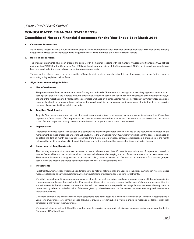### **CONSOLIDATED FINANCIAL STATEMENTS**

### **Consolidated Notes to Financial Statements for the Year Ended 31st March 2014**

#### **1. Corporate Information**

Asian Hotels (East) Limited is a Public Limited Company listed with Bombay Stock Exchange and National Stock Exchange and is primarily engaged in the Hotel business through "Hyatt Regency Kolkata" a five-star Hotel situated in the city of Kolkata.

#### **2. Basis of preparation**

The financial statements have been prepared to comply with all material respects with the mandatory Accounting Standards (AS) notified under section 211(3C) of the Companies Act, 1956 and the relevant provisions of the Companies Act, 1956. The financial statements have been prepared under the historical cost convention on an accrual basis.

The accounting policies adopted in the preparation of financial statements are consistent with those of previous year, except for the change in accounting policy explained below, if any.

#### **3. Significant Accounting Policies**

#### **a. Use of estimates**

The preparation of financial statements in conformity with Indian GAAP requires the management to make judgments, estimates and assumptions that affect the reported amounts of revenues, expenses, assets and liabilities and the disclosure of contingent liabilities, at the end of the reporting period. Although these estimates are based on the management's best knowledge of current events and actions, uncertainty about these assumptions and estimates could result in the outcomes requiring a material adjustment to the carrying amounts of assets or liabilities in future periods.

#### **b. Tangible Fixed Assets**

Tangible Fixed assets are stated at cost of acquisition or construction or at revalued amounts, net of impairment loss if any, less depreciation/amortization. Cost represents the direct expenses incurred on acquisition/construction of the assets and the relative share of indirect expenses relating to construction allocated in proportion to the direct costs involved.

#### **c. Depreciation**

Depreciation on fixed assets is calculated on a straight-line basis using the rates arrived at based on the useful lives estimated by the management, or those prescribed under the Schedule XIV to the Companies Act, 1956, whichever is higher. If the asset is purchased on or before the 15th of month depreciation is charged from the month of purchase, otherwise depreciation is charged from the month following the month of purchase. No depreciation is charged for the quarter on the assets sold/ discarded during the year.

#### **d. Impairment of Tangible Assets**

The carrying amounts of assets are reviewed at each balance sheet date if there is any indication of impairment based on internal/external factors. An impairment loss is recognized wherever the carrying amount of an asset exceeds its recoverable amount. The recoverable amount is the greater of the asset's net selling price and value in use. Value in use is determined for assets or group of assets which are capable of generating independent cash flows i.e. cash generating units.

#### **e. Investments**

Investments, which are readily realizable and intended to be held for not more than one year from the date on which such investments are made, are classified as current investments. All other investments are classified as long-term investments.

On initial recognition, all investments are measured at cost. The cost comprises purchase price and directly attributable acquisition charges such as brokerage, fees and duties. If an investment is acquired, or partly acquired, by the issue of shares or other securities, the acquisition cost is the fair value of the securities issued. If an investment is acquired in exchange for another asset, the acquisition is determined by reference to the fair value of the asset given up or by reference to the fair value of the investment acquired, whichever is more clearly evident.

Current investments are carried in the financial statements at lower of cost and fair value determined on an individual investment basis. Long-term investments are carried at cost. However, provision for diminution in value is made to recognize a decline other than temporary in the value of the investments.

On disposal of an investment, the difference between its carrying amount and net disposal proceeds is charged or credited to the Statement of Profit and Loss.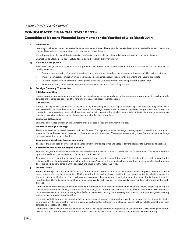### **CONSOLIDATED FINANCIAL STATEMENTS**

#### **Consolidated Notes to Financial Statements for the Year Ended 31st March 2014**

#### **f. Inventories**

Inventory is valued at cost or net realizable value, whichever is lower. Net realizable value is the estimated realizable value in the normal course of business less the estimated costs necessary to make the sale.

Operating equipment in circulation is valued at weighted average cost less estimated diminution in value on account of usage.

Shares held as Stock- in -trade are valued at cost or market value whichever is lower.

#### **g. Revenue Recognition**

Revenue is recognized to the extent that it is probable that the economic benefits will flow to the Company and the revenue can be reliably measured.

- i. Revenue from rendering of hospitality services is recognized when the related services are performed and billed to the customer.
- ii. Interest income is recognized on time proportion basis taking into account the amount outstanding and the rate applicable.
- iii. Dividend income from investments is recognized when the Company's right to receive payment is established.
- iv. Income from hiring of vehicles is recognized on accrual basis on the basis of agreed rate.

#### **h. Foreign Currency Transaction**

#### **Initial recognition**

Foreign currency transactions are recorded in the reporting currency, by applying to the foreign currency amount the exchange rate between the reporting currency and the foreign currency at the date of the transaction.

#### **Conversion**

Foreign currency monetary items are retranslated using the exchange rate prevailing at the reporting date. Non-monetary items, which are measured in terms of historical cost denominated in a foreign currency, are reported using the exchange rate at the date of the transaction. Non-monetary items, which are measured at fair value or other similar valuation denominated in a foreign currency, are translated using the exchange rate at the date when such value was determined.

#### **Exchange differences**

Exchange differences are recognized as income or as expenses in the period in which they arise.

#### **Income in Foreign Exchange**

The bills for services rendered are raised in Indian Rupees. The payment received in foreign currency against these bills is credited and accounted for at the rate / rates prevalent on the date of receipt of payment. The gains / losses arising out of fluctuation in the exchange rates are accounted for on realization.

#### **Expenses remittable in foreign exchange**

These are charged based on invoices (including for earlier years) as approved and accepted by the appropriate authorities as applicable.

#### **i. Retirement and other employee benefits**

Provision for gratuity and leave encashment are based on actuarial valuation as on the date of the Balance Sheet. The valuation is done by an independent actuary using the projected unit credit method.

All employees are covered under contributory provident fund benefit of a contribution of 12% of salary. It is a defined contribution scheme and the contribution is charged to the Profit and Loss Account of the year when the contributions to the respective funds are due. There are no obligations other than the contributions payable to the respective fund.

#### **j. Income Taxes**

Tax expense comprises current and deferred tax. Current income-tax is measured at the amount expected to be paid to the tax authorities in accordance with the Income-tax Act, 1961 enacted in India and tax laws prevailing in the respective tax jurisdictions where the Company operates. The tax rates and tax laws used to compute the amount are those that are enacted or substantively enacted, at the reporting date. Current income tax relating to items recognized directly in equity is recognized in equity and not in the statement of profit and loss.

Deferred income taxes reflect the impact of timing differences between taxable income and accounting income originating during the current year and reversal of timing differences for the earlier years. Deferred tax is measured using the tax rates and the tax laws enacted or substantively enacted at the reporting date. Deferred income tax relating to items recognized directly in equity is recognized in equity and not in the statement of profit and loss.

Deferred tax liabilities are recognized for all taxable timing differences. Deferred tax assets are recognized for deductible timing differences only to the extent that there is reasonable certainty that sufficient future taxable income will be available against which such deferred tax assets can be realized.

Deferred tax assets and deferred tax liabilities are offset, if a legally enforceable right exists to set-off current tax assets against current tax liabilities and the deferred tax assets and deferred taxes relate to the same taxable entity and the same taxation authority.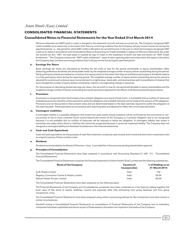### **CONSOLIDATED FINANCIAL STATEMENTS**

### **Consolidated Notes to Financial Statements for the Year Ended 31st March 2014**

Minimum alternate tax (MAT) paid in a year is charged to the statement of profit and loss as current tax. The Company recognizes MAT credit available as an asset only to the extent that there is convincing evidence that the Company will pay normal income tax during the specified period, i.e., the period for which MAT credit is allowed to be carried forward. In the year in which the Company recognizes MAT credit as an asset in accordance with the Guidance Note on Accounting for Credit Available in respect of Minimum Alternative Tax under the Income-tax Act, 1961, the said asset is created by way of credit to the statement of profit and loss and shown as "MAT Credit Entitlement." The Company reviews the "MAT credit entitlement" asset at each reporting date and writes down the asset to the extent the Company does not have convincing evidence that it will pay normal tax during the specified period.

#### **k. Earnings Per Share**

Basic earnings per share are calculated by dividing the net profit or loss for the period attributable to equity shareholders (after deducting preference dividends and attributable taxes) by the weighted average number of equity shares outstanding during the period. Partly paid equity shares are treated as a fraction of an equity share to the extent that they are entitled to participate in dividends relative to a fully paid equity share during the reporting period. The weighted average number of equity shares outstanding during the period is adjusted for events such as bonus issue, bonus element in a rights issue, share split, and reverse share split (consolidation of shares) that have changed the number of equity shares outstanding, without a corresponding change in resources.

For the purpose of calculating diluted earnings per share, the net profit or loss for the period attributable to equity shareholders and the weighted average number of shares outstanding during the period are adjusted for the effects of all dilutive potential equity shares.

#### **l. Provisions**

A provision is recognized when the Company has a present obligation as a result of past event, it is probable that an outflow of resources embodying economic benefits will be required to settle the obligation and a reliable estimate can be made of the amount of the obligation. Provisions are not discounted to their present value and are determined based on the best estimate required to settle the obligation at the reporting date. These estimates are reviewed at each reporting date and adjusted to reflect the current best estimates.

#### **m. Contingent Liabilities**

A contingent liability is a possible obligation that arises from past events whose existence will be confirmed by the occurrence or nonoccurrence of one or more uncertain future events beyond the control of the Company or a present obligation that is not recognized because it is not probable that an outflow of resources will be required to settle the obligation. A contingent liability also arises in extremely rare cases where there is a liability that cannot be recognized because it cannot be measured reliably. The Company does not recognize a contingent liability but discloses its existence in the financial statements.

#### **n. Cash and Cash Equivalents**

Cash and cash equivalents for the purposes of cash flow statement comprises cash at bank and in hand and short term investments with an original maturity of three months or less.

#### **o. Dividend**

Dividend recommended by the Board of Directors, if any, is provided for in the accounts pending shareholders approval.

#### **p. Principles of Consolidation**

The Consolidated Financial Statements have been prepared in accordance with Accounting Standard 21 (AS 21) "Consolidated Financial Statements".

The Consolidated Financial Statements comprise the financial statements of Asian Hotels (East) Limited and the following subsidiaries:-

| <b>Name of the Company</b>                 | Country of<br>Incorporation | % of Holding as on<br>31-March 2014 |
|--------------------------------------------|-----------------------------|-------------------------------------|
| <b>GJS Hotels Limited</b>                  | India                       | 100                                 |
| Regency Convention Centre & Hotels Limited | India                       | 58.99                               |
| <b>Robust Hotels Private Limited</b>       | India                       | 68.06                               |

The Consolidated Financial Statements have been prepared on the following basis:

The Financial Statements of the Company and its subsidiaries companies have been combined on a line basis by adding together the book value of like items of assets, liabilities, income and expenses after fully eliminating intra group balances and intra group transactions, if any.

The Consolidated Financial Statements have been prepared using uniform accounting policies for like transactions and other events in similar circumstances.

Goodwill arising in Consolidated Financial Statements on consolidation of Financial Statements of the Company and its subsidiary companies have been capitalised and shown as part of fixed assets to the extent not impaired in the books of the Company.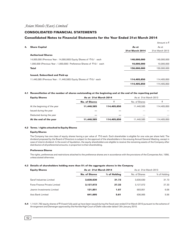## **CONSOLIDATED FINANCIAL STATEMENTS**

### **Consolidated Notes to Financial Statements for the Year Ended 31st March 2014**

|    |                                                                      |                        | Amount in $\bar{\tau}$ |  |
|----|----------------------------------------------------------------------|------------------------|------------------------|--|
| 4. | <b>Share Capital</b>                                                 | As at                  | As at                  |  |
|    |                                                                      | <b>31st March 2014</b> | 31st March 2013        |  |
|    | <b>Authorised Shares</b>                                             |                        |                        |  |
|    | 14,000,000 (Previous Year: 14,000,000) Equity Shares of ₹10/- each   | 140,000,000            | 140.000.000            |  |
|    | 1,000,000 (Previous Year: 1,000,000) Preference Shares of ₹10/- each | 10.000.000             | 10.000.000             |  |
|    | <b>Total</b>                                                         | 150,000,000            | 150,000,000            |  |
|    | <b>Issued, Subscribed and Paid-up</b>                                |                        |                        |  |
|    | 11,440,585 (Previous Year: 11,440,585) Equity Shares of ₹10/- each   | 114.405.850            | 114.405.850            |  |
|    |                                                                      | 114.405.850            | 114.405.850            |  |
|    |                                                                      |                        |                        |  |

#### **4.1 Reconciliation of the number of shares outstanding at the beginning and at the end of the reporting period**

| <b>Equity Shares</b>         | As at 31st March 2014 |             | As at 31st March 2013 |             |  |
|------------------------------|-----------------------|-------------|-----------------------|-------------|--|
|                              | <b>No. of Shares</b>  |             | No. of Shares         |             |  |
| At the beginning of the year | 11.440.585            | 114.405.850 | 11.440.585            | 114,405,850 |  |
| Issued during the year       |                       |             |                       |             |  |
| Deducted during the year     |                       |             |                       |             |  |
| At the end of the year       | 11.440.585            | 114,405,850 | 11.440.585            | 114.405.850 |  |

#### **4.2 Terms / rights attached to Equity Shares**

#### **Equity Shares**

The Company has one class of equity shares having a par value of ₹10 each. Each shareholder is eligible for one vote per share held. The dividend proposed by the Board of Directors is subject to the approval of the shareholders in the ensuing Annual General Meeting, except in case of interim dividend. In the event of liquidation, the equity shareholders are eligible to receive the remaining assets of the Company after distribution of all preferential amounts, in proportion to their shareholding.

#### **Preference Shares**

The rights, preferences and restrictions attached to the preference shares are in accordance with the provisions of the Companies Act, 1956, unless stated otherwise.

#### **4.3 Details of shareholders holding more than 5% of the aggregate shares in the Company**

| <b>Equity Shares</b>          | As at 31st March 2014                |       | As at 31st March 2013 |              |  |
|-------------------------------|--------------------------------------|-------|-----------------------|--------------|--|
|                               | <b>No. of Shares</b><br>% of Holding |       | No. of Shares         | % of Holding |  |
| Saraf Industries Limited      | 3,630,630                            | 31.73 | 3.630.630             | 31.73        |  |
| Forex Finance Private Limited | 3.127.072                            | 27.33 | 3.127.072             | 27.33        |  |
| Jesmin Investments Limited    | 121.851                              | 1.07  | 693.851               | 6.06         |  |
| Axis Bank Limited             | 641.695                              | 5.61  | 636,065               | 5.56         |  |

4.4 1,14,01,782 equity shares of  $\bar{z}$ 10 each fully paid up have been issued during the fiscal year ended 31st March 2010 pursuant to the scheme of Arrangement and Demerger approved by the Hon'ble High Court of Delhi vide order dated 13th January 2010.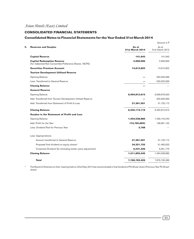## **CONSOLIDATED FINANCIAL STATEMENTS**

### **Consolidated Notes to Financial Statements for the Year Ended 31st March 2014**

| <b>Reserves and Surplus</b>                                                                 | As at<br><b>31st March 2014</b> | As at           |
|---------------------------------------------------------------------------------------------|---------------------------------|-----------------|
|                                                                                             |                                 | 31st March 2013 |
| <b>Capital Reserve</b>                                                                      | 141,043                         | 141,043         |
| <b>Capital Redemption Reserve</b><br>(for redeemed Non Convertible Preference Shares -NCPS) | 2,000,000                       | 2,000,000       |
| <b>Securities Premium Account</b>                                                           | 14,612,822                      | 14,612,822      |
| <b>Tourism Development Utilised Reserve</b>                                                 |                                 |                 |
| <b>Opening Balance</b>                                                                      |                                 | 533,202,000     |
| Less: Transferred to General Reserve                                                        |                                 | 533,202,000     |
| <b>Closing Balance</b>                                                                      |                                 |                 |
| <b>General Reserve</b>                                                                      |                                 |                 |
| <b>Opening Balance</b>                                                                      | 6,404,812,615                   | 5,839,878,503   |
| Add: Transferred from Tourism Development Utilised Reserve                                  |                                 | 533,202,000     |
| Add: Transferred from Statement of Profit & Loss                                            | 27,361,501                      | 31,732,112      |
| <b>Closing Balance</b>                                                                      | 6,432,174,116                   | 6,404,812,615   |
| <b>Surplus in the Statement of Profit and Loss</b>                                          |                                 |                 |
| <b>Opening Balance</b>                                                                      | 1,454,538,880                   | 1,439,144,243   |
| Add: Profit for the Year                                                                    | (74, 765, 085)                  | 106,961,152     |
| Less: Dividend Paid for Previous Year                                                       | 3,768                           |                 |
| Less: Appropriations-                                                                       |                                 |                 |
| Amount transferred to General Reserve                                                       | 27,361,501                      | 31,732,112      |
| Proposed final dividend on equity shares*                                                   | 34,321,755                      | 51,482,633      |
| Corporate Dividend Tax (including earlier years adjustment)                                 | 6,231,326                       | 8,351,770       |
| <b>Closing Balance</b>                                                                      | 1,311,855,445                   | 1,454,538,880   |
| <b>Total</b>                                                                                | 7,760,783,426                   | 7,876,105,360   |

\* The Board of Directors at their meeting held on 22nd May 2014 has recommended a final dividend of ₹3.00 per share (Previous Year ₹4.50 per share)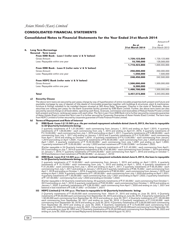### **CONSOLIDATED FINANCIAL STATEMENTS**

#### **Consolidated Notes to Financial Statements for the Year Ended 31st March 2014**

|    |                                                       |                                 | Amount in ₹              |
|----|-------------------------------------------------------|---------------------------------|--------------------------|
|    |                                                       | As at<br><b>31st March 2014</b> | As at<br>31st March 2013 |
| 6. | <b>Long Term Borrowings</b>                           |                                 |                          |
|    | <b>Secured - Term Loans</b>                           |                                 |                          |
|    | From IDBI Bank - Loan I (refer note 'a' & 'b' below)  |                                 |                          |
|    | Gross Amount                                          | 1,729,123,866                   | 1,729,123,866            |
|    | Less: Repayable within one year                       | 10,700,000                      | 128,568,000              |
|    |                                                       | 1,718,423,866                   | 1,600,555,866            |
|    | From IDBI Bank - Loan II (refer note 'a' & 'b' below) |                                 |                          |
|    | Gross Amount                                          | 250,000,000                     | 250,000,000              |
|    | Less: Repayable within one year                       | 1,550,000                       | 7,500,000                |
|    |                                                       | 248.450.000                     | 242.500.000              |
|    | From HDFC Bank (refer note 'a' & 'b' below)           |                                 |                          |
|    | Gross Amount                                          | 1,500,000,000                   | 1,500,000,000            |
|    | Less: Repayable within one year                       | 9,300,000                       |                          |
|    |                                                       | 1,490,700,000                   | 1.500.000.000            |
|    | Total                                                 | 3,457,573,866                   | 3.343.055.866            |
|    |                                                       |                                 |                          |

#### **a) Security Clause**

The above term loans are secured by pari passu charge by way of hypothecation of entire movable properties both present and future and equitable mortgage by way of deposit of title deeds of immovable properties together with buildings & structures, plant & machineries,<br>furniture & fittings installed/to be installed thereon situated at 365 Anna Salai, Teyn both present and future, ranking pari passu with each other. The Term Loan I from IDBI Bank Ltd is further secured by corporate guarantee of Asian Hotels (East) Limited and Term Loan II is further secured by Corporate Guarantee of Asian Hotels (East) Limited. The term loan from HDFC Limited is further secured by corporate guarantee of Forex Finance Private Limited.

#### **b) Terms of Repayment and Rate of Interest**

**i) IDBI Bank -Loan-I @ 12.50% p.a.: As per revised repayment schedule dated June 6, 2013, the loan is repayable in 32 Quarterly Instalments being:**

2 quarterly instalments of ₹ 1,07,00,000/- each commencing from January 1, 2015 and ending on April 1,2015, 4 quarterly instalments of ₹ 1,09,00,000/- each commencing from July 1, 2015 and ending on April 01, 2016, 4 qua

(Earlier repayable in 24 Quarterly Instalments being: 6 quarterly instalments of  $\bar{z}$  3,21,42,000/- each commencing from April1, 2013 and ending on July 1, 2014,6 quarterly instalments of Rs. 6,42,86,000/- each commencing from October 1, 2014 and ending<br>on January 1, 2016,11 quarterly instalments of ₹ 9,64,29,000/- each commencing from April 1, 201

## **ii) IDBI Bank -Loan-II @ 12.50% p.a.: As per revised repayment schedule dated June 6, 2013, the loan is repayable in 32 Quarterly Instalments being:**

2 quarterly instalments of  $\bar{\tau}$  15,50,000/- each commencing from January 1, 2015 and ending on April 1,2015, 4 quarterly instalments of ₹ 15,75,000/- each commencing from July 1, 2015 and ending on April 1, 2016, 4 quarterly instalments of<br>₹ 31,25,000/- each commencing from July 1, 2016 and ending on April 1, 2017, 3 quarterly instalments o commencing from July 1, 2017 and ending on January 1,2018 and 3 quartely instalments of ₹68,75,000⁄- each commencing from<br>April 1, 2018 and ending on October 1 ,2018, 6 quarterly instalments of ₹88,50,000⁄- each commencin ending on April 1,2020, 4 quarterly instalments of₹1,00,00,000/- each commencing from July 1,2020 and ending on April 1,2021,<br>4 quarterly instalments of₹1,50,00,000/- each commencing from July 1,2021 and ending on April 1 of ` 1,87,50,000/- commencing from July 1,2022 and ending on October 1,2022.

(Earlier repayable in 32 Quarterly instalments being: 20 quarterly instalments of ₹ 37,50,000/- each commencing from October 1,<br>2013 and ending on July 1, 2018, 6 quarterly instalments of ₹ 83,33,000/- each commencing fro January 1, 2020, 5 quarterly instalments of ₹ 2,08,33,000/- each commencing from April 1, 2020 and ending on July 1, 2021 and<br>balance in last instalment of ₹ 2,08,37,000/- on October 1, 2021)

#### **iii) HDFC Limited @ 14.19% p.a.: The loan is repayable in 42 Quarterly Instalments being:**

2 Quarterly instalments of ₹ 93,00,000 each commencing from March 31, 2015 and ending on June 30, 2015, 4 Quarterly instalments of ₹ 93,00,000 each commencing from September 30, 2015 and ending on June 30, 2016, 4 Quarte 2021 and ending on June 30, 2022 and 12 Quarterly instalments of₹ 6,25,50,000 each commencing from September 30, 2022 and<br>ending on June 30, 2025 as per revised Repayments Schedule letter dated August 16, 2012.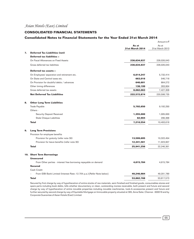## **CONSOLIDATED FINANCIAL STATEMENTS**

### **Consolidated Notes to Financial Statements for the Year Ended 31st March 2014**

|    |                                                                         |                        | Amount in₹      |
|----|-------------------------------------------------------------------------|------------------------|-----------------|
|    |                                                                         | As at                  | As at           |
|    |                                                                         | <b>31st March 2014</b> | 31st March 2013 |
| 7. | <b>Deferred Tax Liabilities (net)</b>                                   |                        |                 |
|    | <b>Deferred tax liabilities :-</b>                                      |                        |                 |
|    | On Fiscal Allowances on Fixed Assets                                    | 230,634,937            | 228,026,043     |
|    | Gross deferred tax liabilities                                          | 230,634,937            | 228,026,043     |
|    | Deferred tax assets :-                                                  |                        |                 |
|    | On Employees' separation and retirement etc.                            | 6,614,247              | 5,732,414       |
|    | On State and Central taxes etc.                                         | 663,016                | 546,718         |
|    | On Provision for doubtful debts / advances                              | 646,601                | 864,272         |
|    | Other timing differences                                                | 138,199                | 283,904         |
|    | Gross deferred tax assets                                               | 8,062,063              | 7,427,308       |
|    | <b>Net Deferred Tax Liabilities</b>                                     | 222,572,874            | 220,598,735     |
| 8. | <b>Other Long Term Liabilities</b>                                      |                        |                 |
|    | Trade Payable                                                           | 5,792,650              | 9,192,250       |
|    | Others -                                                                |                        |                 |
|    | <b>Security Deposit Received</b>                                        | 1,355,000              | 1,005,000       |
|    | <b>Stale Cheque Liabilities</b>                                         | 62,904                 | 296,368         |
|    | <b>Total</b>                                                            | 7,210,554              | 10,493,618      |
| 9. | <b>Long Term Provisions</b>                                             |                        |                 |
|    | Provision for employee benefits                                         |                        |                 |
|    | Provision for gratuity (refer note 30)                                  | 13,599,695             | 10,322,454      |
|    | Provision for leave benefits (refer note 30)                            | 12,341,561             | 11,923,907      |
|    | <b>Total</b>                                                            | 25,941,256             | 22,246,361      |
|    | 10. Short Term Borrowings                                               |                        |                 |
|    | <b>Unsecured</b>                                                        |                        |                 |
|    | From Other parties - interest free borrowing repayable on demand        | 4,615,784              | 4,615,784       |
|    | <b>Secured</b>                                                          |                        |                 |
|    | Cash Credit                                                             |                        |                 |
|    | From IDBI Bank Limited (Interest Rate : 12.75% p.a.) {Refer Note below} | 49,246,984             | 49,201,789      |
|    | Total                                                                   | 53,862,768             | 53,817,573      |
|    |                                                                         |                        |                 |

Secured by first charge by way of hypothecation of entire stocks of raw materials, semi finished and finished goods, consumables stores and spare parts including book debts, bills whether documentary or clean, outstanding monies receivable, both present and future and second charge by way of hypothecation of entire movable properties including movable machineries, tools & accessories present and future and further secured by second charge by way of Equitable Mortgage on Immovable property situated at 365, Anna Salai, Chennai - 600018 and by Corporate Guarantee of Asian Hotels (East) Limited.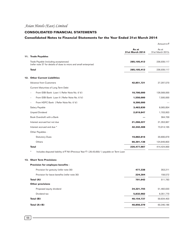## **CONSOLIDATED FINANCIAL STATEMENTS**

### **Consolidated Notes to Financial Statements for the Year Ended 31st March 2014**

|                                                                                                            |                                 | Amount in ₹               |
|------------------------------------------------------------------------------------------------------------|---------------------------------|---------------------------|
|                                                                                                            | As at<br><b>31st March 2014</b> | As at<br>31st March 2013. |
| 11. Trade Payables                                                                                         |                                 |                           |
| Trade Payable (including acceptances)<br>(refer note 37 for details of dues to micro and small enterprise) | 285,105,412                     | 236,939,117               |
| <b>Total</b>                                                                                               | 285,105,412                     | 236,939,117               |
| <b>Other Current Liabilities</b><br>12.                                                                    |                                 |                           |
| <b>Advance from Customers</b>                                                                              | 42,851,721                      | 27,297,570                |
| Current Maturities of Long Term Debt                                                                       |                                 |                           |
| From IDBI Bank - Loan I (Refer Note No. 6 'b')                                                             | 10,700,000                      | 128,568,000               |
| From IDBI Bank - Loan II ( Refer Note No. 6 'b')<br>$\overline{\phantom{0}}$                               | 1,550,000                       | 7,500,000                 |
| From HDFC Bank (Refer Note No. 6 'b')                                                                      | 9,300,000                       |                           |
| Salary Payable                                                                                             | 3,463,830                       | 8,065,854                 |
| <b>Unpaid Dividend</b>                                                                                     | 2,819,847                       | 1,703,953                 |
| Book Overdraft with a Bank                                                                                 |                                 | 364,709                   |
| Interest accrued but not due                                                                               | 21,266,227                      | 21,353,967                |
| Interest accrued and due *                                                                                 | 42,342,408                      | 73,914,165                |
| Other Payables -                                                                                           |                                 |                           |
| <b>Statutory Dues</b>                                                                                      | 19,882,816                      | 20,806,879                |
| Others                                                                                                     | 66,301,138                      | 124,849,803               |
| <b>Total</b>                                                                                               | 220,477,987                     | 414,424,900               |

\* Includes disputed liability of  $\bar{\tau}$  Nil (Previous Year  $\bar{\tau}$  1,28,43,650/-) payable on Term Loan

### **13. Short Term Provisions**

| <b>Provision for employee benefits -</b>     |            |            |
|----------------------------------------------|------------|------------|
| Provision for gratuity (refer note 30)       | 477,338    | 353,211    |
| Provision for leave benefits (refer note 30) | 224,304    | 158,572    |
| Total (A)                                    | 701,642    | 511,783    |
| <b>Other provisions</b>                      |            |            |
| Proposed equity dividend                     | 34,321,755 | 51,482,633 |
| Dividend tax                                 | 5,832,982  | 8,351,770  |
| Total (B)                                    | 40,154,737 | 59,834,403 |
| Total $(A+B)$                                | 40,856,379 | 60,346,186 |
|                                              |            |            |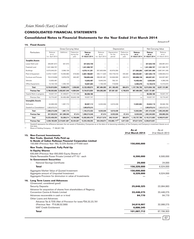## **CONSOLIDATED FINANCIAL STATEMENTS**

### **Consolidated Notes to Financial Statements for the Year Ended 31st March 2014**

Amount in  $\bar{z}$ 

#### **14. Fixed Assets**

|                               | Gross Carrying Value               |                             |                                 | Depreciation                      |                                    |                                   |                                 | Net Carrying Value                |                                   |                                   |
|-------------------------------|------------------------------------|-----------------------------|---------------------------------|-----------------------------------|------------------------------------|-----------------------------------|---------------------------------|-----------------------------------|-----------------------------------|-----------------------------------|
| Particulars                   | Balance<br>as at<br>1st April 2013 | <b>Additions</b>            | Deduction<br>during the<br>year | Balance<br>as at<br>31 March 2014 | Balance<br>as at<br>1st April 2013 | Depreciation<br>for the<br>period | Deduction<br>during the<br>year | Balance<br>as at<br>31 March 2014 | Balance<br>as at<br>31 March 2014 | Balance<br>as at<br>31 March 2013 |
| <b>Tangible Assets</b>        |                                    |                             |                                 |                                   |                                    |                                   |                                 |                                   |                                   |                                   |
| Lease Hold Land               | 326.991.814                        | 631.915                     | $\overline{\phantom{m}}$        | 327,623,729                       |                                    |                                   |                                 |                                   | 327,623,729                       | 326,991,814                       |
| Freehold Land                 | 1.541.566.797                      |                             | $\overline{\phantom{0}}$        | 1,541,566,797                     |                                    |                                   |                                 |                                   | 1,541,566,797                     | 1,541,566,797                     |
| <b>Buildings</b>              | 4,075,545,251                      | 3,596,100                   | $\overline{\phantom{0}}$        | 4.079.141.351                     | 207,603,906                        | 63,976,356                        | $\qquad \qquad$                 | 271,580,262                       | 3,807,561,089                     | 3,867,941,345                     |
| Plant & Equipment             | 2.378.114.847                      | 10,250,083                  | 576.063                         | 2,387,788,867                     | 440.111.634                        | 120.778.418                       | 444.361                         | 560,445,691                       | 1,827,343,176                     | 1,938,003,213                     |
| <b>Furniture and Fixtures</b> | 753,319,658                        | 3,979,278                   | 463,487                         | 756,835,449                       | 208,391,851                        | 54,946,590                        | 440,313                         | 262,898,128                       | 493,937,321                       | 544,927,807                       |
| Vehicles                      | 13,925,487                         |                             |                                 | 13,925,487                        | 9,640,242                          | 765,191                           | $\overline{\phantom{0}}$        | 10,405,433                        | 3,520,054                         | 4,285,245                         |
| <b>Office Equipments</b>      | 15,152,100                         | 1,405,194                   | $\overline{\phantom{0}}$        | 16,557,294                        | 1,736,430                          | 718,848                           | $\qquad \qquad$                 | 2.455.278                         | 14.102.016                        | 13,415,670                        |
| Total                         | 9,104,615,954                      | 19,862,570                  | 1,039,550                       | 9,123,438,974                     | 867,484,063                        | 241,185,403                       | 884,674                         | 1,107,784,792                     | 8,015,654,182                     | 8,237,131,891                     |
| Previous Year                 |                                    | 3,766,353,855 5,352,957,043 | 14,694,944                      | 9.104.615.954                     | 634.282.260                        | 237.951.621                       | 4.749.818                       | 867,484,063                       | 8.237.131.891                     |                                   |
| Capital Work-in-progress      | 19.537.747                         | 31,428,871                  | 11.727.436                      | 39,239,182                        |                                    |                                   | $\overline{\phantom{0}}$        | -                                 | 39,239,182                        | 19,537,747                        |
| Previous Year                 | 15,774,447                         | 24,405,499                  | 20,642,199                      | 19,537,747                        |                                    |                                   |                                 |                                   | 19,537,747                        | 15,774,447                        |
| <b>Intangible Assets</b>      |                                    |                             |                                 |                                   |                                    |                                   |                                 |                                   |                                   |                                   |
| Softwares                     | 34,599,339                         | 1,997,773                   |                                 | 36,597,112                        | 6,033,556                          | 6,919,438                         |                                 | 12,952,994                        | 23,644,118                        | 28,565,783                        |
| Goodwill on Consolidation*    | 1.063.675.210                      |                             |                                 | 1,063,675,210                     |                                    |                                   | $\qquad \qquad$                 |                                   | 1.063.675.210                     | 1.063.675.210                     |
| Total                         | 1,098,274,549                      | 1,997,773                   | $\overline{\phantom{0}}$        | 1,100,272,322                     | 6,033,556                          | 6,919,438                         | $\overline{\phantom{m}}$        | 12,952,994                        | 1,087,319,328                     | 1,092,240,993                     |
| Previous Year                 | 257,052,618                        | 841,289,345                 | 67.414                          | 1.098.274.549                     | 67.414                             | 6,033,556                         | 67.414                          | 6.033.556                         | 1.092.240.993                     | 256,985,204                       |
| Total                         | 10,222,428,250                     | 53,289,214                  | 12,766,986                      | 10,262,950,478                    | 873,517,619                        | 248,104,841                       | 884,674                         | 1,120,737,786                     | 9,142,212,692                     | 9,348,910,631                     |
| Previous Year                 | 4,039,180,920                      | 6,218,651,887               | 35,404,557                      | 10,222,428,250                    | 634,349,674                        | 243,985,177**                     | 4,817,232                       | 873,517,619                       | 9,348,910,631                     |                                   |

\* Goodwill represents the difference between the net assets of Subsidiary Companies as at the date of its becoming subsidiary of the Company and Company's investment therein as at that date.<br>that date.<br>\*\* Share of Holding

|                                                                                                                                                                                               | As at<br><b>31st March 2014</b> | As at<br>31st March 2013 |
|-----------------------------------------------------------------------------------------------------------------------------------------------------------------------------------------------|---------------------------------|--------------------------|
| <b>15. Non-Current Investments</b><br>Non Trade, Quoted, Fully Paid up<br>In Bonds of Indian Railways Financial Corporation Limited<br>150,000 (Previous Year: NIL) 8,23% Bonds of ₹1000 each | 150,000,000                     |                          |
| <b>Non Trade, Unquoted, Fully Paid Up</b><br><b>In Equity Shares</b>                                                                                                                          |                                 |                          |
| 630,000 (Previous Year 650,000) Equity Shares of<br>Maple Renewable Power Private Limited of ₹10/- each                                                                                       | 6,300,000                       | 6,500,000                |
| <b>In Government Securities</b><br>National Savings Certificate                                                                                                                               | 29,000                          | 24,000                   |
| <b>Total</b>                                                                                                                                                                                  | 156,329,000                     | 6,524,000                |
| Aggregate Market Value of Quoted Investment<br>Aggregate amount of Unquoted Investment<br>Aggregate Provision for diminution in value of Investments                                          | 150,000,000<br>6,329,000        | 6,524,000                |
| 16. Long Term Loans and Advances<br>(Unsecured, considered good)                                                                                                                              |                                 |                          |
| <b>Security Deposits</b><br>Advance for acquisition of shares from shareholders of Regency                                                                                                    | 25,848,325                      | 22,084,983               |
| <b>Convention Centre &amp; Hotels Limited</b>                                                                                                                                                 | 33,448,275                      | 33,448,275               |
| Advances recoverable in cash or in kind<br>Other Loans and Advances:<br>Advance Tax & TDS (Net of Provision for taxes ₹26,32,23,781                                                           | 84,770                          | 84.770                   |
| (Previous Year - ₹19,88,52,568)                                                                                                                                                               | 34,819,997                      | 32,088,275               |
| <b>MAT Credit Entitlement</b>                                                                                                                                                                 | 6,886,345                       |                          |
|                                                                                                                                                                                               | 101,087,712                     | 87,706,303               |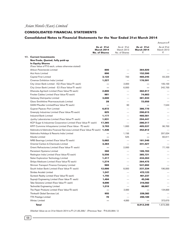## **CONSOLIDATED FINANCIAL STATEMENTS**

### **Consolidated Notes to Financial Statements for the Year Ended 31st March 2014**

|     |                                                                           |                                                         |                                           |                                      | Amount in ₹                   |
|-----|---------------------------------------------------------------------------|---------------------------------------------------------|-------------------------------------------|--------------------------------------|-------------------------------|
|     |                                                                           | As at 31st<br><b>March 2014</b><br><b>No. of Shares</b> | As at 31st<br>March 2013<br>No. of Shares | As at 31st<br><b>March 2014</b><br>₹ | As at 31st<br>March 2013<br>₹ |
| 17. | <b>Current Investments</b>                                                |                                                         |                                           |                                      |                               |
|     | Non-Trade, Quoted, fully paid-up                                          |                                                         |                                           |                                      |                               |
|     | <b>In Equity Shares</b>                                                   |                                                         |                                           |                                      |                               |
|     | (Face Value of ₹10 each, unless otherwise stated)                         |                                                         |                                           |                                      |                               |
|     | Ahlcon Parenterals Limited                                                | 800                                                     |                                           | 364,920                              |                               |
|     | Atul Auto Limited                                                         | 890                                                     |                                           | 152,590                              |                               |
|     | Capital First Limited                                                     | 3,122                                                   | 700                                       | 460,245                              | 93,329                        |
|     | Cinemax Exhibition India Limited                                          | 1,227                                                   |                                           | 170,591                              |                               |
|     | City Union Bank Limited - EQ (Face Value ₹1 each)                         |                                                         | 2,000                                     |                                      | 105,100                       |
|     | City Union Bank Limited - E2 (Face Value ₹1 each)                         |                                                         | 6,000                                     |                                      | 242,700                       |
|     | Dhanuka Agritech Limited (Face Value ₹2 each)                             | 2,800                                                   |                                           | 362,917                              |                               |
|     | Finolex Cables Limited (Face Value ₹2 each)                               | 981                                                     |                                           | 74,683                               |                               |
|     | Gateway Distriparks Limited                                               | 3,600                                                   |                                           | 381,933                              |                               |
|     | Glaxo Smithkline Pharmaceuticals Limited                                  | 28                                                      |                                           | 72,050                               |                               |
|     | GMM Pfaudler Limited(Face Value ₹2 each)                                  |                                                         | 90                                        |                                      | 7,544                         |
|     | Gujarat Pipavav Port Limited                                              | 6,872                                                   |                                           | 386,770                              |                               |
|     | Greenply Industries Limited (Face Value ₹5 each)                          | 825                                                     |                                           | 290,615                              |                               |
|     | Indusind Bank Limited                                                     | 1,177                                                   |                                           | 460,561                              |                               |
|     | Jyothy Laboratories Limited (Face Value ₹1 each)                          | 1,931                                                   |                                           | 294,447                              |                               |
|     | KCP Sugar & Industries Corporation Limited (Face Value ₹1 each)           | 17,365                                                  |                                           | 286,517                              |                               |
|     | KPIT Cummins Infosystems Limited (Face Value - ₹2 each)                   | 3,793                                                   | 1,000                                     | 405,537                              | 96,700                        |
|     | Mahindra & Mahindra Financial Services Limited (Face Value ₹2 each) 1,436 |                                                         |                                           | 352,812                              |                               |
|     | Mahindra Holidays & Resorts India Limited                                 |                                                         | 1,156                                     |                                      | 297,034                       |
|     | Mazda Limited                                                             |                                                         | 525                                       |                                      | 60,611                        |
|     | NRB Bearings Limited (Face Value ₹2 each)                                 | 5,682                                                   |                                           | 181,540                              |                               |
|     | Oriental Carbon & Chemicals Limited                                       | 3,364                                                   |                                           | 341,527                              |                               |
|     | Orient Refractories Limited (Face Value ₹1 each)                          |                                                         | 2,000                                     |                                      | 77,100                        |
|     | Persistent Systems Limited                                                | 360                                                     |                                           | 189,783                              |                               |
|     | Redington India Limited (Face Value ₹2 each)                              | 5,556                                                   |                                           | 385,721                              |                               |
|     | Selan Exploration Technology Limited                                      | 1,417                                                   |                                           | 434,263                              |                               |
|     | Shilpa Medicare Limited (Face Value ₹2 each)                              | 1,274                                                   |                                           | 264,475                              |                               |
|     | Shriram Transport Finance Company Limited                                 | 969                                                     |                                           | 547,692                              |                               |
|     | South Indian Bank Limited (Face Value ₹1 each)                            | 12,000                                                  | 8,000                                     | 237,334                              | 196,000                       |
|     | <b>Strides Arcolab Limited</b>                                            | 1,247                                                   |                                           | 472,123                              |                               |
|     | Sunteck Reality Limited (Face Value ₹2 each)                              | 1,755                                                   |                                           | 461,237                              |                               |
|     | Suprajit Engineering Limited (Face Value ₹1 each)                         | 1,404                                                   |                                           | 45,346                               |                               |
|     | Take Solutions Limited (Face Value ₹1 each)                               | 9,690                                                   |                                           | 316,562                              |                               |
|     | Technofab Engineering Limited                                             | 1,219                                                   |                                           | 88,987                               |                               |
|     | The Paper Products Limited (Face Value ₹2 each)                           |                                                         | 2,000                                     |                                      | 124,600                       |
|     | Thinksoft Global Services Ltd.                                            | 955                                                     |                                           | 228,382                              |                               |
|     | <b>TTK Prestige Limited</b>                                               | 70                                                      |                                           | 200,189                              |                               |
|     | <b>Wintac Limited</b>                                                     |                                                         | 4,000                                     |                                      | 372,670                       |
|     |                                                                           |                                                         |                                           |                                      |                               |
|     | <b>Total</b>                                                              |                                                         |                                           | 8,912,349                            | 1,673,388                     |

(Market Value as on 31st March 2014 is ₹1,21,65,268/- (Previous Year - ₹16,93,984/-))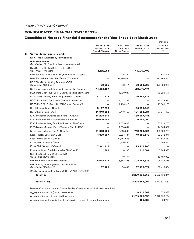## **CONSOLIDATED FINANCIAL STATEMENTS**

## **Consolidated Notes to Financial Statements for the Year Ended 31st March 2014**

|                                                                                      |                                                         |                                           |                                      | Amount in ₹                   |
|--------------------------------------------------------------------------------------|---------------------------------------------------------|-------------------------------------------|--------------------------------------|-------------------------------|
|                                                                                      | As at 31st<br><b>March 2014</b><br><b>No. of Shares</b> | As at 31st<br>March 2013<br>No. of Shares | As at 31st<br><b>March 2014</b><br>₹ | As at 31st<br>March 2013<br>₹ |
| 17. Current Investments (Contd.)                                                     |                                                         |                                           |                                      |                               |
| Non -Trade , Unquoted, fully paid-up                                                 |                                                         |                                           |                                      |                               |
| <b>In Mutual Funds</b><br>(Face Value of ₹10 each, unless otherwise stated)          |                                                         |                                           |                                      |                               |
| Birla Sun Life Floating Rate Long Term-DDR<br>(Face Value ₹100 each)                 | 1,129,063                                               |                                           | 113,352,493                          |                               |
| Birla Sun Life Cash Plus -DDR (Face Value ₹100 each)                                 |                                                         | 926,469                                   |                                      | 92,827,546                    |
| Birla Sunlife Fixed Term Plan-Series ET - Growth                                     |                                                         | 21,296,534                                |                                      | 212,965,340                   |
| DSP BlackRock Liquidity Fund-Inst.-DDR<br>(Face Value ₹1000 each)                    | 89,655                                                  | 378,714                                   | 89,683,203                           | 378,833,966                   |
| DSP BlackRock Short Term Fund Regular Plan- Growth                                   | 11,252,127                                              |                                           | 224,673,474                          |                               |
| DWS Insta Cash Plus Fund - DDR (Face Value ₹100 each)                                |                                                         | 1,700,037                                 |                                      | 170,520,541                   |
| DWS Short Maturity Fund - Regular Plan - Growth                                      | 8,101,478                                               |                                           | 170,650,337                          |                               |
| HDFC FMP 370D April 2012(1)-Growth-Series XXI                                        |                                                         | 11,021,399                                |                                      | 110,213,990                   |
| HDFC FMP 391D March 2012(1)-Growth Series XXI                                        |                                                         | 1,784,913                                 |                                      | 17,849,130                    |
| HDFC Income Fund - Growth                                                            | 5,117,276                                               |                                           | 140,696,443                          |                               |
| HDFC Liquid Fund - DDR                                                               | 11,949,393                                              | 13,440,752                                | 121,862,234                          | 137,071,480                   |
| ICICI Prudential Dynamic Bond Fund - (Growth)                                        | 11,208,615                                              |                                           | 150,297,441                          |                               |
| ICICI Prudential Fixed Maturity Plan-Series 68                                       | 10,000,000                                              |                                           | 100,000,000                          |                               |
| ICICI Prudential Long Term Plan Premium Plus-Cumul                                   |                                                         | 11,523,403                                |                                      | 137,228,750                   |
| IDFC Money Manager Fund - Treasury Plan A - DDR                                      |                                                         | 11,386,844                                |                                      | 114,664,377                   |
| Kotak Bond Scheme Plan A - Growth                                                    | 21,903,566                                              | 9,565,503                                 | 742,783,504                          | 323,338,723                   |
| Kotak Floater Long Term-DDR                                                          | 4,869,657                                               | 16,234,734                                | 49,085,170                           | 163,642,871                   |
| Kotak FMP Series 80-Growth                                                           |                                                         | 37,751,658                                |                                      | 377,516,580                   |
| Kotak FMP Series 89-Growth                                                           |                                                         | 4,270,835                                 |                                      | 42,708,350                    |
| Kotak FMP Series 106-Growth                                                          | 7,341,116                                               |                                           | 73,411,160                           |                               |
| Pramerica Liquid Fund (Face Value ₹1000 each)                                        | 1,369                                                   | 6,200                                     | 1,812,084                            | 7,704,396                     |
| SBI Ultra Short Term Debt Fund-DDR<br>(Face Value ₹1000 each)                        |                                                         | 10,474                                    |                                      | 10,487,092                    |
| UTI Bond Fund-Growth Plan-Regular                                                    | 5,544,223                                               | 5,544,223                                 | 194,145,538                          | 194,145,538                   |
| UTI Treasury Advantage Fund-Inst. Plan-DDR<br>(Face Value ₹1000 each)                | 97,429                                                  | 80,402                                    | 97,476,574                           | 80,419,604                    |
| (Market Value as on 31st March 2014 is ₹2,33,18,29,389/-)                            |                                                         |                                           |                                      |                               |
| Total (B)                                                                            |                                                         |                                           | 2,269,929,655                        | 2,572,138,274                 |
|                                                                                      |                                                         |                                           |                                      |                               |
| Total (A+B)                                                                          |                                                         |                                           | 2,278,842,004                        | 2,573,811,662                 |
| Basis of Valuation - Lower of Cost or Market Value on an individual investment basis |                                                         |                                           |                                      |                               |
| Aggregate Amount of Quoted Investments                                               |                                                         |                                           | 8,912,349                            | 1,673,388                     |
| Aggregate Amount of Unquoted Investments                                             |                                                         |                                           | 2,269,929,655                        | 2,572,138,274                 |
| Aggregate amount of Adjustments to Carrying amount of Current Investments            |                                                         |                                           | 406,588                              | 64,219                        |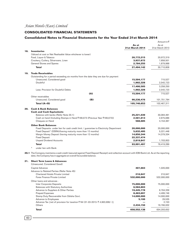## **CONSOLIDATED FINANCIAL STATEMENTS**

### **Consolidated Notes to Financial Statements for the Year Ended 31st March 2014**

|     |                                                                                        |                        | Amount in ₹     |
|-----|----------------------------------------------------------------------------------------|------------------------|-----------------|
|     |                                                                                        | As at                  | As at           |
|     |                                                                                        | <b>31st March 2014</b> | 31st March 2013 |
| 18. | <b>Inventories</b>                                                                     |                        |                 |
|     | (Valued at cost or Net Realisable Value whichever is lower)                            |                        |                 |
|     | Food, Liquor & Tobacco                                                                 | 20,772,215             | 20,972,319      |
|     | Crockery, Cutlery, Silverware, Linen                                                   | 3,937,672              | 7,858,501       |
|     | <b>General Stores and Spares</b>                                                       | 2,784,255              | 1,879,988       |
|     | <b>Total</b>                                                                           | 27,494,142             | 30,710,808      |
| 19. | <b>Trade Receivables</b>                                                               |                        |                 |
|     | Outstanding for a period exceeding six months from the date they are due for payment   |                        |                 |
|     | Unsecured, Considered good                                                             | 15,504,177             | 715,527         |
|     | Doubtful                                                                               | 1,902,328              | 2,542,723       |
|     |                                                                                        | 17,406,505             | 3,258,250       |
|     | Less: Provision for Doubtful Debts                                                     | 1,902,328              | 2,542,723       |
|     | (A)                                                                                    | 15,504,177             | 715,527         |
|     | Other receivables                                                                      |                        |                 |
|     | Unsecured, Considered good<br>(B)                                                      | 90,236,476             | 101,751,784     |
|     | Total $(A+B)$                                                                          | 105,740,653            | 102,467,311     |
| 20. | <b>Cash &amp; Bank Balances</b>                                                        |                        |                 |
|     | <b>Cash and Cash Equivalents</b>                                                       |                        |                 |
|     | Balance with banks (Refer Note 20.1)                                                   | 25,221,039             | 30,084,481      |
|     | Cash on hand (Including Stamps in Hand ₹189,673 (Previous Year ₹189,673))              | 2,561,613              | 2,875,686       |
|     | Cheques on Hand                                                                        | 568,685                | 4,154,387       |
|     | <b>Other Bank Balances</b>                                                             |                        |                 |
|     | Fixed Deposits- under lien for cash credit limit / guarantee to Electricity Department | 20,000,000             | 20,000,000      |
|     | Fixed Deposit* (DSRA)(having maturity more than 12 months)                             | 5,632,495              | 5,221,448       |
|     | Margin Money Deposit (having maturity more than 12 months)                             | 14,850,344             | 14,379,334      |
|     | <b>Fixed Deposit</b>                                                                   | 22,337,474             |                 |
|     | <b>Unpaid Dividend Accounts</b>                                                        | 2,819,847              | 1,703,953       |
|     | <b>Total</b>                                                                           | 93,991,497             | 78,419,289      |
|     | $\star$<br>under lien with Bank                                                        |                        |                 |
|     |                                                                                        |                        |                 |

**20.1** The Company maintains a cash credit (secured against Fixed Deposit Receipt) and collection account with IDBI Bank Ltd. As at the reporting date, the Company has in aggregate an overall favourable balance.

## **21. Short Term Loans & Advances** (Unsecured, Considered Good) Capital Advance **407,663** 1,020,000 Advance to Related Parties (Refer Note 45) Chartered Hotels Private Limited **210,947** 210,947 Forex Finance Private Limited **532,000,000** 532,000,000 Other loans and advances - Inter Corporate Deposits **75,000,000** 75,000,000 Balances with Statutory Authorities **6,584,803** — Advance to Suppliers & Other Parties **19,445,778** 8,764,339 Prepaid Expenses **8,463,697** 4,499,746 Stamp Duty Recoverable from Odisha Govt. **14,000,000** 14,000,000 14,000,000 Advance to Employees **5,100** 29,535 Advance Tax {net of provision for taxation ₹ Nil (31-03-2013: ₹ 4,963,908/-)} – – 2,153 Others **2,434,150** 18,766,932 **Total 658,552,138** 654,293,652 60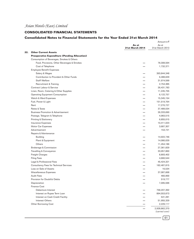## **CONSOLIDATED FINANCIAL STATEMENTS**

## **Consolidated Notes to Financial Statements for the Year Ended 31st March 2014**

|                                                      | As at<br><b>31st March 2014</b> | Amount in₹<br>As at<br>31st March 2013 |
|------------------------------------------------------|---------------------------------|----------------------------------------|
| <b>Other Current Assets</b><br>22.                   |                                 |                                        |
| <b>Preoperative Expenditure (Pending Allocation)</b> |                                 |                                        |
| Consumption of Beverages, Smokes & Others            |                                 |                                        |
| Food, Provisions, Other Beverages & Smokes           |                                 | 78,308,594                             |
| Cost of Telephone                                    |                                 | 1,732,371                              |
| <b>Employee Benefit Expenses</b>                     |                                 |                                        |
| Salary & Wages                                       |                                 | 393,844,348                            |
| Contribution to Provident & Other Funds              |                                 | 6,488,629                              |
| <b>Staff Welfare</b>                                 |                                 | 31,974,599                             |
| Recruitment & Training                               |                                 | 2,754,385                              |
| Contract Labour & Service                            |                                 | 26,431,783                             |
| Linen, Room, Catering & Other Supplies               |                                 | 11,245,755                             |
| <b>Operating Equipment Consumption</b>               |                                 | 6,122,757                              |
| Watch & Ward Expenses                                |                                 | 15,345,154                             |
| Fuel, Power & Light                                  |                                 | 151,519,764                            |
| Rent                                                 |                                 | 17,270,727                             |
| Rates & Taxes                                        |                                 | 37,489,034                             |
| <b>Business Promotion &amp; Advertisement</b>        |                                 | 26,333,690                             |
| Postage, Telegram & Telephone                        |                                 | 4,983,515                              |
| Printing & Stationery                                |                                 | 6,855,015                              |
| Insurance Expenses                                   |                                 | 10,411,023                             |
| Motor Car Expenses                                   |                                 | 3,687,307                              |
| Advertisement                                        |                                 | 153,721                                |
| Repairs & Maintenance                                |                                 |                                        |
| <b>Building</b>                                      |                                 | 14,922,746                             |
| Plant & Equipment                                    |                                 | 14,080,029                             |
| Others                                               |                                 | 11,454,186                             |
| Brokerage & Commission                               |                                 | 27,361,829                             |
| Travelling & Conveyance                              |                                 | 33,957,860                             |
| Freight Charges                                      |                                 | 8,893,402                              |
| <b>Filing Fees</b>                                   |                                 | 4,660,544                              |
| Legal & Professional Fees                            |                                 | 45,424,321                             |
| <b>Consultancy Fees for Technical Services</b>       |                                 | 182,487,815                            |
| Loss on Sale of Assets                               |                                 | 16,534                                 |
| Miscellaneous Expenses                               |                                 | 37,087,668                             |
| <b>Audit Fees</b>                                    |                                 | 460,900                                |
| Provision for Doubtful Debts                         |                                 | 519,777                                |
| Depreciation                                         |                                 | 7,095,596                              |
| <b>Finance Cost</b>                                  |                                 |                                        |
| Debenture Interest                                   |                                 | 758,207,392                            |
| Interest on Rupee Term Loan                          |                                 | 894,553,873                            |
| Interest on Cash Credit Facility                     |                                 | 541,281                                |
| Interest-Others                                      |                                 | 51,955,329                             |
| <b>Other Borrowing Cost</b>                          |                                 | 2,229,117                              |
|                                                      |                                 | 2,928,862,370<br>(carried over)        |

 $\boxed{61}$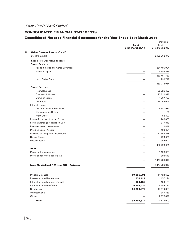## **CONSOLIDATED FINANCIAL STATEMENTS**

## **Consolidated Notes to Financial Statements for the Year Ended 31st March 2014**

|     |                                            | As at                  | Amount in ₹<br>As at |
|-----|--------------------------------------------|------------------------|----------------------|
|     |                                            | <b>31st March 2014</b> | 31st March 2013      |
| 22. | Other Current Assets (Contd.)              |                        |                      |
|     | Brought forward                            |                        | 2,928,862,372        |
|     | <b>Less: Pre-Operative Income</b>          |                        |                      |
|     | Sale of Products                           |                        |                      |
|     | Foods, Smokes and Other Beverages          |                        | 254,495,924          |
|     | Wines & Liquor                             |                        | 4,955,829            |
|     |                                            |                        | 259,451,753          |
|     | Less: Excise Duty                          |                        | 239,719              |
|     |                                            |                        | 259,212,034          |
|     | Sale of Services                           |                        |                      |
|     | Room Revenue                               |                        | 158,826,450          |
|     | Banquets & Others                          |                        | 27,812,828           |
|     | Communication                              |                        | 4,567,738            |
|     | On others                                  |                        | 14,066,046           |
|     | Interest (Gross)                           |                        |                      |
|     | On Term Deposit from Bank                  |                        | 4,587,971            |
|     | On Income Tax Refund                       |                        | 130                  |
|     | From Others                                |                        | 52,400               |
|     | Income from sale of tender forms           |                        | 203,000              |
|     | Foreign Exchange Fluctuation Gain          |                        | 347,813              |
|     | Profit on sale of Investments              |                        | 2,489                |
|     | Profit on sale of Assets                   |                        | 190,624              |
|     | Dividend on Long Term Investments          |                        | 11,669,558           |
|     | Sale of Scraps                             |                        | 220,000              |
|     | Miscellaneous                              |                        | 964,000              |
|     |                                            |                        | 482,723,081          |
|     | Add:                                       |                        |                      |
|     | Provision for Income Tax                   |                        | 1,198,908            |
|     | Provision for Fringe Benefit Tax           |                        | 398,613              |
|     |                                            |                        | 2,447,736,810        |
|     | Less: Capitalised / Written Off / Adjusted |                        | 2,447,736,810        |
|     |                                            |                        |                      |
|     | <b>Prepaid Expenses</b>                    | 10,385,891             | 14,423,652           |
|     | Interest accrued but not due               | 1,859,424              | 157,124              |
|     | Interest accrued on Term Deposit           | 153,158                | 153,158              |
|     | Interest accrued on Others                 | 5,609,424              | 4,654,787            |
|     | Service Tax                                | 14,790,975             | 17,679,868           |
|     | Vat Receivable                             |                        | 389,563              |
|     | Others                                     |                        | 2,976,877            |
|     | <b>Total</b>                               | 32,798,872             | 40,435,029           |
|     |                                            |                        |                      |

 $\boxed{62}$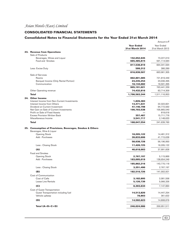## **CONSOLIDATED FINANCIAL STATEMENTS**

## **Consolidated Notes to Financial Statements for the Year Ended 31st March 2014**

|                                                                  |                                             | Amount in ₹                   |
|------------------------------------------------------------------|---------------------------------------------|-------------------------------|
|                                                                  | <b>Year Ended</b><br><b>31st March 2014</b> | Year Ended<br>31st March 2013 |
| 23. Revenue from Operations                                      |                                             |                               |
| Sale of Products                                                 |                                             |                               |
| Beverages, Wines and Liquor                                      | 152,052,945                                 | 73,227,010                    |
| Food and Smokes                                                  | 665,485,874                                 | 591,114,584                   |
|                                                                  | 817,538,819                                 | 664,341,594                   |
| Less: Excise Duty                                                | 599,312                                     | 380,289                       |
|                                                                  | 816,939,507                                 | 663,961,305                   |
| Sale of Services                                                 |                                             |                               |
| Rooms<br>Banquet Income (Only Rental Portion)                    | 862,801,085<br>24,245,254                   | 721,819,449<br>23,030,495     |
| Communication                                                    | 18,144,682                                  | 18,591,395                    |
|                                                                  | 905,191,021                                 | 763,441,339                   |
| Other Operating revenue                                          | 74,432,816                                  | 83,714,309                    |
| Total                                                            | 1,796,563,344                               | 1,511,116,953                 |
|                                                                  |                                             |                               |
| 24. Other Income<br>Interest Income from Non-Current Investments | 1,826,383                                   |                               |
| Interest Income from Others                                      | 14,471,631                                  | 22,322,601                    |
| Dividend on Current Investment                                   | 47,146,798                                  | 94,772,592                    |
| Net Gain on Sale of Current Investments                          | 100,703,538                                 | 105,865,540                   |
| Profit on Sale of Fixed Assets                                   |                                             | 818,618                       |
| <b>Excess Provision Written Back</b>                             | 357,487                                     | 15,711,776                    |
| Miscellaneous Income                                             | 3,541,717                                   | 2,148,633                     |
| Total                                                            | 168,047,554                                 | 241,639,760                   |
| 25. Consumption of Provisions, Beverages, Smokes & Others        |                                             |                               |
| Beverages, Wine & Liquor<br><b>Opening Stock</b>                 | 18,205,122                                  | 14,481,312                    |
| Add: Purchases                                                   | 39,833,606                                  | 41,715,638                    |
|                                                                  |                                             |                               |
|                                                                  | 58,038,728                                  | 56,196,950                    |
| Less: Closing Stock                                              | 17,420,725                                  | 18,205,122                    |
| (A)                                                              | 40,618,003                                  | 37,991,828                    |
| Food and Smokes                                                  |                                             |                               |
| <b>Opening Stock</b>                                             | 2,767,197                                   | 5,115,869                     |
| Add: Purchases                                                   | 183,095,019                                 | 138,654,249                   |
|                                                                  | 185,862,216                                 | 143,770,118                   |
| Less: Closing Stock                                              | 3,351,490                                   | 2,767,197                     |
| (B)                                                              | 182,510,726                                 | 141,002,921                   |
| Cost of Communication                                            |                                             |                               |
| Cost of Calls                                                    | 3,182,895                                   | 2,081,558                     |
| Lease Line Rentals                                               | 5,120,739                                   | 5,066,326                     |
| (C)                                                              | 8,303,634                                   | 7,147,884                     |
| Cost of Guest Transportation                                     |                                             |                               |
| Guest Transportation including fuel                              | 14,513,820                                  | 14,447,254                    |
| Vehicle upkeep                                                   | 78,803                                      | 361,622                       |
| (D)                                                              | 14,592,623                                  | 14,808,876                    |
|                                                                  |                                             |                               |
| Total $(A+B+C+D)$                                                | 246,024,986                                 | 200,951,511                   |
|                                                                  |                                             |                               |

 $\boxed{63}$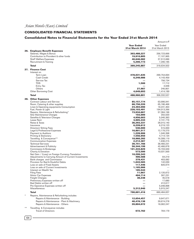## **CONSOLIDATED FINANCIAL STATEMENTS**

### **Consolidated Notes to Financial Statements for the Year Ended 31st March 2014**

|         |                                                                                      | <b>Year Ended</b><br><b>31st March 2014</b> | Amount in ₹<br>Year Ended<br>31st March 2013 |
|---------|--------------------------------------------------------------------------------------|---------------------------------------------|----------------------------------------------|
|         | 26. Employee Benefit Expenses<br>Salaries, Wages & Bonus                             | 303,488,227                                 | 256,723,666                                  |
|         | Contribution to Provident & other funds                                              | 19,910,805                                  | 17,107,965                                   |
|         | <b>Staff Welfare Expenses</b>                                                        | 40,646,082                                  | 37,512,686                                   |
|         | <b>Recruitment &amp; Training</b>                                                    | 5,200,773                                   | 7,290,185                                    |
|         | <b>Total</b>                                                                         | 369,245,887                                 | 318,634,502                                  |
|         | 27. Finance Cost                                                                     |                                             |                                              |
|         | Interest on                                                                          |                                             |                                              |
|         | Term Loan                                                                            | 478,031,635                                 | 299,754,694                                  |
|         | Cash Credit                                                                          | 6,249,986                                   | 4,143,459                                    |
|         | Service Tax<br><b>TDS</b>                                                            |                                             | 756,734                                      |
|         | Entry Tax                                                                            | 1,500                                       | 17,712<br>4,948                              |
|         | Others                                                                               | 27,987                                      | 240,801                                      |
|         | <b>Other Borrowing Cost</b>                                                          | 4,649,693                                   | 1,414,189                                    |
|         | Total                                                                                | 488,960,801                                 | 306,332,537                                  |
|         |                                                                                      |                                             |                                              |
|         | 28. Other Expenses<br><b>Contract Labour and Service</b>                             | 85,157,774                                  | 63,996,941                                   |
|         | Room, Catering & other supplies                                                      | 68,756,220                                  | 65,186,466                                   |
|         | Linen & Operating equipments Consumption                                             | 24,394,090                                  | 18,241,464                                   |
|         | Fuel, Power & Light                                                                  | 228,103,491                                 | 194,013,266                                  |
|         | Repairs, Maintenance & Refurbishing*                                                 | 73,934,667                                  | 57,384,196                                   |
|         | Site Maintenance Charges                                                             | 103,000                                     | 202,020                                      |
|         | Satellite & Television Charges<br>Lease Rent                                         | 4,956,003<br>3,905,334                      | 5,040,383<br>2,741,776                       |
|         | Rates & Taxes                                                                        | 36,293,337                                  | 28,015,140                                   |
|         | Insurance                                                                            | 6,228,612                                   | 6,219,123                                    |
|         | <b>Directors' Sitting Fees</b>                                                       | 540,000                                     | 515,000                                      |
|         | Legal & Professional Expenses                                                        | 16,801,517                                  | 12,179,270                                   |
|         | Payment to Auditors                                                                  | 1,228,906                                   | 1,040,398                                    |
|         | <b>Printing &amp; Stationery</b>                                                     | 7,556,950                                   | 4,714,134                                    |
|         | Travelling & Conveyance**<br><b>Communication Expenses</b>                           | 18,960,392<br>2,212,387                     | 16,308,119<br>1,636,215                      |
|         | <b>Technical Services</b>                                                            | 39,751,766                                  | 38,460,231                                   |
|         | Advertisement & Publicity                                                            | 50,344,199                                  | 42,466,878                                   |
|         | Commission & Brokerage                                                               | 101,433,829                                 | 76,703,949                                   |
|         | Charity & Donation                                                                   | 573,500                                     | 10,031,500                                   |
|         | Net Gain / (Loss) on Foreign Currency Translation                                    | 10,299,343                                  |                                              |
|         | Adjustments to Carrying Amount of Current Investments<br>Bank charges and Commission | 406,588<br>379,431                          | 64,219<br>403,082                            |
|         | Provision for Bad & Doubtful Debts                                                   | 1,043,565                                   | 142,030                                      |
|         | Loss on sale of Fixed Assets                                                         | 117,446                                     | 820,974                                      |
|         | Loss on sale of Current Investments                                                  | 1,165,966                                   |                                              |
|         | Interest on Wealth Tax                                                               | 185,544                                     |                                              |
|         | <b>Filing Fees</b>                                                                   | 11,667                                      | 2,120,872                                    |
|         | Motor Car Expenses<br>Freight Charges                                                | 404,714<br>38,238                           | 397,231<br>45,518                            |
|         | Preliminary Expenses written off                                                     |                                             | 17,680                                       |
|         | Bad Debts written off                                                                |                                             | 412,617                                      |
|         | Pre Operative Expenses written off                                                   |                                             | 5,048,898                                    |
|         | Miscellaneous                                                                        | 5,312,940                                   | 5,915,247                                    |
|         | <b>Total</b>                                                                         | 790,601,416                                 | 660,484,837                                  |
| $\star$ | Repairs, Maintenance & Refurbishing includes                                         |                                             |                                              |
|         | Repairs & Maintenance - Building                                                     | 12,654,457                                  | 9,647,671                                    |
|         | Repairs & Maintenance - Plant & Machinery                                            | 40,476,138                                  | 29,674,278                                   |
|         | Repairs & Maintenance - Others                                                       | 20,804,072                                  | 18,062,247                                   |
| $***$   | Travelling & Conveyance includes<br><b>Travel of Directors</b>                       | 672,762                                     | 764,179                                      |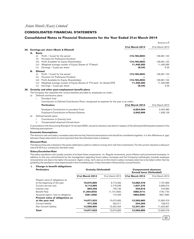## **CONSOLIDATED FINANCIAL STATEMENTS**

#### **Consolidated Notes to Financial Statements for the Year Ended 31st March 2014**

|       |    |                                                                              |                        | Amount in ₹     |
|-------|----|------------------------------------------------------------------------------|------------------------|-----------------|
|       |    |                                                                              | <b>31st March 2014</b> | 31st March 2013 |
| 29. . |    | <b>Earnings per share (Basic &amp; Diluted)</b>                              |                        |                 |
|       | А. | Basic                                                                        |                        |                 |
|       |    | (i)<br>Profit $/$ (Loss) for the period                                      | (74, 765, 085)         | 106,961,152     |
|       |    | Provision for Preference Dividend<br>(ii)                                    |                        |                 |
|       |    | (iii)<br>Profit Available for Equity Shareholders                            | (74, 765, 085)         | 106,961,152     |
|       |    | Weighted average number of Equity Shares of ₹10each<br>(iv)                  | 11,440,585             | 11,440,585      |
|       |    | (v)<br>Earnings $/$ (Loss) per share                                         | (6.54)                 | 9.35            |
|       | в. | <b>Diluted</b>                                                               |                        |                 |
|       |    | (i)<br>Profit $\angle$ (Loss) for the period                                 | (74, 765, 085)         | 106.961.152     |
|       |    | Provision for Preference Dividend<br>(ii)                                    |                        |                 |
|       |    | (iii)<br>Profit Available for Equity Shareholders                            | (74, 765, 085)         | 106,961,152     |
|       |    | Weighted average number of Equity Shares of ₹10 each for diluted EPS<br>(iv) | 11,440,585             | 11,440,585      |
|       |    | (v)<br>Earnings $/$ (Loss) per share                                         | (6.54)                 | 9.35            |
| 3υ    |    | Cratuity and other nost employment henefit plane                             |                        |                 |

#### **30. Gratuity and other post-employment benefit plans**

The Company has classified the various benefits provided to employees as under:-

- a) Defined contribution plans
	- i. Provident fund

Contribution to Defined Contribution Plans, recognized as expense for the year is as under:-

| <b>Particulars</b>                        | <b>31st March 2014</b> | 31st March 2013 |
|-------------------------------------------|------------------------|-----------------|
| Employer's Contribution to provident Fund | 6.824.504              | 6.453.480       |
| Employer's Contribution to Pension Scheme | 2.042.009              | 1.938.128       |

#### b) Defined benefit plans

i. Contribution to Gratuity fund

ii. Compensated absences Earned leave

In accordance with Accounting Standard 15 (revised 2005), actuarial valuation was done in respect of the aforesaid defined plans based on the following assumptions: -

#### **Economic Assumptions**

The discount rate and salary increases assumed are key financial assumptions and should be considered together; it is the difference or 'gap' between these rates which is more important than the individual rates in isolation.

#### **Discount Rate**

The discounting rate is based on the gross redemption yield on medium to long-term risk free investments. For the current valuation a discount rate of 8.50 % p.a. compound, has been used.

#### **Salary Escalation Rate**

The salary escalation rate usually consists of at least three components, viz. Regular increments, price inflation and promotional increases. In addition to this any commitments by the management regarding future salary increases and the Company's philosophy towards employee remuneration are also to be taken into account. Again a long- term view as to the trend in salary increase rates has to be taken rather than be guided by the escalation rates experienced in the immediate past, if they have been influenced by unusual factors.

#### **i. Change in benefit obligations:**

| <b>Gratuity (Unfunded)</b> |                 | <b>Compensated absences</b><br><b>Earned leave (Unfunded)</b> |                 |  |
|----------------------------|-----------------|---------------------------------------------------------------|-----------------|--|
| <b>31st March 2014</b>     | 31st March 2013 | <b>31st March 2014</b>                                        | 31st March 2013 |  |
|                            |                 |                                                               |                 |  |
| 10,675,665                 | 8,773,362       | 12,082,479                                                    | 7,707,869       |  |
| 4,113,605                  | 2.778.040       | 1.637.370                                                     | 5,669,074       |  |
| 904.256                    | 745.736         | 334.616                                                       | 318.082         |  |
| (1.354.935)                | (1.731.893)     | (685, 571)                                                    | (745, 178)      |  |
| (261, 558)                 | 110.420         | (803,029)                                                     | (867, 368)      |  |
|                            |                 |                                                               |                 |  |
| 14,077,033                 | 10,675,665      | 12,565,865                                                    | 12,082,479      |  |
| 477,338                    | 353.211         | 224.304                                                       | 158,572         |  |
| 13,599,695                 | 10,322,454      | 12,341,561                                                    | 11,923,907      |  |
| 14,077,033                 | 10,675,665      | 12,565,865                                                    | 12,082,479      |  |
|                            |                 |                                                               |                 |  |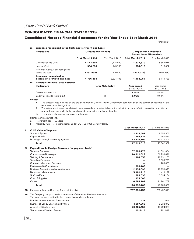## **CONSOLIDATED FINANCIAL STATEMENTS**

### **Consolidated Notes to Financial Statements for the Year Ended 31st March 2014**

Amount in `

**31st March 2014** 31st March 2013

### **ii. Expenses recognised in the Statement of Profit and Loss :**

|      | <b>Particulars</b>                                                   |                        | <b>Gratuity (Unfunded)</b> |                          | <b>Compensated absences</b><br><b>Earned leave (Unfunded)</b> |  |
|------|----------------------------------------------------------------------|------------------------|----------------------------|--------------------------|---------------------------------------------------------------|--|
|      |                                                                      | <b>31st March 2014</b> | 31st March 2013            | <b>31st March 2014</b>   | 31st March 2013                                               |  |
|      | Current Service Cost                                                 | 4,113,605              | 2.778.040                  | 1,637,370                | 5,669,074                                                     |  |
|      | Interest Cost                                                        | 904.256                | 745.736                    | 334.616                  | 318.082                                                       |  |
|      | Actuarial (Gain) / loss recognized<br>during the year                | (261, 558)             | 110.420                    | (803.029)                | (867, 368)                                                    |  |
|      | <b>Expenses recognised in</b><br><b>Statement of Profit and Loss</b> | 4,756,303              | 3.634.196                  | 1,168,957                | 5,119,788                                                     |  |
| iii. | <b>Principal Actuarial assumptions:</b>                              |                        |                            |                          |                                                               |  |
|      | <b>Particulars</b>                                                   |                        | <b>Refer Note below</b>    | Year ended<br>31.03.2014 | Year ended<br>31.03.2013                                      |  |
|      | Discount rate (p.a.)                                                 |                        |                            | 8.50%                    | 8.50%                                                         |  |
|      | Salary Escalation Rate (p.a.)                                        |                        | 2                          | 8.00%                    | 8.00%                                                         |  |

#### **Notes:**

1. The discount rate is based on the prevailing market yields of Indian Government securities as at the balance sheet date for the estimated term of obligations.

2. The estimates of rate of escalation in salary considered in actuarial valuation, take into account inflation, seniority, promotion and other relevant factors including supply and demand in the employment market.

3. The gratuity plan and earned leave is unfunded.

Demographic assumptions:

- a. Retirement age : 58 years
- b. Mortality rate : Published rates under LIC (1994-96) mortality table.

| JIST MATCH ZVI4 |                                                                                      |                                                                                                                                                                             |
|-----------------|--------------------------------------------------------------------------------------|-----------------------------------------------------------------------------------------------------------------------------------------------------------------------------|
|                 | 31. C.I.F. Value of Imports:                                                         |                                                                                                                                                                             |
| 2,419,681       | Stores & Spares                                                                      |                                                                                                                                                                             |
| 1.169.738       | Capital Goods                                                                        |                                                                                                                                                                             |
| 13,930,196      | Beverages through canalizing agencies                                                |                                                                                                                                                                             |
| 17,519,616      | <b>Total</b>                                                                         |                                                                                                                                                                             |
|                 | <b>Expenditure in Foreign Currency (on payment basis)</b>                            | 32.                                                                                                                                                                         |
| 37,399,770      | <b>Technical Services</b>                                                            |                                                                                                                                                                             |
| 70,711,329      | Commission & Brokerage                                                               |                                                                                                                                                                             |
| 1.704.853       | Training & Recruitment                                                               |                                                                                                                                                                             |
|                 | <b>Travelling Expenses</b>                                                           |                                                                                                                                                                             |
|                 | <b>Contract Labour and Services</b>                                                  |                                                                                                                                                                             |
| 999.763         | Professional & Consultancy                                                           |                                                                                                                                                                             |
| 2,733,895       | Business Promotion and Advertisement                                                 |                                                                                                                                                                             |
| 5,191,218       | Repair and Maintenance                                                               |                                                                                                                                                                             |
| 328.630         | <b>Staff Welfare</b>                                                                 |                                                                                                                                                                             |
| 173,000         | Cost of Supplies                                                                     |                                                                                                                                                                             |
| 6,693,182       | Others                                                                               |                                                                                                                                                                             |
| 126,357,160     | <b>Total</b>                                                                         |                                                                                                                                                                             |
| 757,651,153     | Earnings in Foreign Currency (on receipt basis)                                      | 33.                                                                                                                                                                         |
|                 | <b>34.</b> The Company has paid dividend in respect of shares held by Non-Residents. |                                                                                                                                                                             |
|                 |                                                                                      |                                                                                                                                                                             |
|                 |                                                                                      |                                                                                                                                                                             |
|                 |                                                                                      |                                                                                                                                                                             |
| 20,285,453      |                                                                                      |                                                                                                                                                                             |
| 2012-13         | Year to which Dividend Relates                                                       |                                                                                                                                                                             |
|                 | 627<br>4,507,862                                                                     | The total amount remitted in this respect is given herein below:-<br>Number of Non Resident Shareholders<br>Number of Equity Shares held by them<br>Amount of Dividend Paid |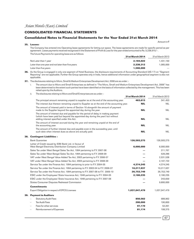## **CONSOLIDATED FINANCIAL STATEMENTS**

### **Consolidated Notes to Financial Statements for the Year Ended 31st March 2014**

| 35. Leases: |  |  |  |
|-------------|--|--|--|

The Company has entered into Operating lease agreements for letting out space. The lease agreements are made for specific period as per agreement. Lease payments received recognized in the Statement of Profit & Loss for the year ended amounted to Rs. 5,238,915/-. The future Payments for operating lease are as follows: **31 St March 2014** 31 Section 2016

|                                                   | 31 st March 2014 | 31st March 2013 |
|---------------------------------------------------|------------------|-----------------|
| Not Later than 1 year                             | 2.184.022        | 1,431,150       |
| Later than one year and not later than five years | 2.338.312        | 1,085,000       |
| Later than five years                             | 1.590.000        |                 |

**36.** As the Group is engaged in only one segment of Hotel Business, the disclosure requirements of Accounting Standard (AS-17) on "Segment Reporting" are not applicable. Further the Group operates only in India, hence additional information under geographical segment is also not applicable.

**37.** The disclosures relating to Micro, Small & Medium Enterprises Development Act, 2006 are as under :-

i. The amount due to Micro and Small Enterprises as defined in "The Micro, Small and Medium Enterprises Development Act, 2006" has been determined to the extent such parties have been identified on the basis of information collected by the management. This has been relied upon by the Auditors.

ii. The disclosures relating to Micro and Small Enterprises are as under :-

|     |                                                                                                                                                                                                                  | <b>31st March 2014</b> | 31st March 2013 |  |
|-----|------------------------------------------------------------------------------------------------------------------------------------------------------------------------------------------------------------------|------------------------|-----------------|--|
|     | The principal amount remaining unpaid to supplier as at the end of the accounting year.                                                                                                                          | 463.615                | 341,453         |  |
|     | The interest due thereon remaining unpaid to Supplier as at the end of the accounting year.                                                                                                                      | <b>NIL</b>             | <b>NIL</b>      |  |
|     | The amount of interest paid in terms of Section 16 alongwith the amount of payment<br>made to the Supplier beyond the appointed day during the year.                                                             | <b>NIL</b>             | <b>NIL</b>      |  |
|     | The amount of interest due and payable for the period of delay in making payment<br>(which have been paid but beyond the appointed day during the year) but without<br>adding interest specified under this Act. | <b>NIL</b>             | <b>NIL</b>      |  |
|     | The amount of interest accrued during the year and remaining unpaid at the end of<br>the accounting year.                                                                                                        | <b>NIL</b>             | <b>NIL</b>      |  |
|     | The amount of further interest due and payable even in the succeeding year, until<br>such date when interest dues as above are actually paid.                                                                    | <b>NIL</b>             | <b>NIL</b>      |  |
| 38. | <b>Contingent Liabilities:</b>                                                                                                                                                                                   |                        |                 |  |
|     | <b>Bank Guarantee</b>                                                                                                                                                                                            | 126,593,275            | 126,593,275     |  |
|     | Letter of Credit issued by IDBI Bank Ltd. in favour of<br>West Bengal Electricity Distribution Company Limited                                                                                                   | 6,000,000              | 6,000,000       |  |
|     | Sales Tax under West Bengal Sales Tax Act, 1994 pertaining to F.Y. 2007-08                                                                                                                                       |                        | 211,767         |  |
|     | Sales Tax under West Bengal Sales Tax Act, 1994 pertaining to F.Y. 2008-09                                                                                                                                       |                        | 528,286         |  |
|     | VAT under West Bengal Value Added Tax Act, 2003 pertaining to F.Y. 2006-07                                                                                                                                       |                        | 2,531,538       |  |
|     | VAT under West Bengal Value Added Tax Act, 2003 pertaining to F.Y. 2008-09                                                                                                                                       |                        | 2,197,722       |  |
|     | Service Tax under the Finance Act, 1994 pertaining to prior to F.Y. 2004-05                                                                                                                                      | 4,374,245              | 4,374,245       |  |
|     | Service Tax under the Finance Act, 1994 pertaining to F.Y. 2003-04 to F.Y. 2006-07                                                                                                                               | 10,217,937             | 10,217,937      |  |
|     | Service Tax under the Finance Act, 1994 pertaining to F.Y. 2007-08 to F.Y. 2009-10                                                                                                                               | 26,753,749             | 26,753,749      |  |
|     | ESIC under the Employees' State Insurance Act, 1948 pertaining to F.Y. 2004-05                                                                                                                                   | 2,180,235              | 2,180,235       |  |
|     | ESIC under the Employees' State Insurance Act, 1948 pertaining to F.Y. 2007-08                                                                                                                                   |                        | 243,659         |  |
|     | States Consumer Disputes Redressal Commission                                                                                                                                                                    |                        | 9,800,000       |  |
|     | <b>Commitments</b>                                                                                                                                                                                               |                        |                 |  |
|     | Export Obligation in respect of EPCG Licenses                                                                                                                                                                    | 1,037,047,479          | 1,037,047,479   |  |
| 39. | <b>Payment to Auditors</b>                                                                                                                                                                                       |                        |                 |  |
|     | <b>Statutory Audit Fees</b>                                                                                                                                                                                      | 850,562                | 688,962         |  |
|     | <b>Tax Audit Fees</b>                                                                                                                                                                                            | 200,000                | 190,800         |  |
|     | Fees for other services                                                                                                                                                                                          | 97.170                 | 52,261          |  |
|     | Reimbursement of Expenses                                                                                                                                                                                        | 81,174                 | 108,375         |  |
|     |                                                                                                                                                                                                                  |                        |                 |  |

Amount in  $\bar{\tau}$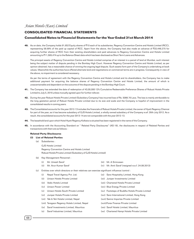### **CONSOLIDATED FINANCIAL STATEMENTS**

### **Consolidated Notes to Financial Statements for the Year Ended 31st March 2014**

40. As on date, the Company holds 91,652 Equity shares of ₹10 each of its subsidiaries, Regency Convention Centre and Hotels Limited (RCC), representing 58.99% of the paid up capital of RCC. Apart from the above, the Company had also made an advance of ₹33,448,275 for acquiring further shares of RCC from their existing shareholders and paid advances to Regency Convention Centre and Hotels Limited amounting to  $\bar{z}$ 11,569,474 up to the Balance Sheet date which has been disclosed as Short Term Loans and Advances.

The principal assets of Regency Convention Centre and Hotels Limited comprise of an interest in a parcel of land at Mumbai, such interest being the subject matter of dispute pending in the Bombay High Court. However Regency Convention Centre and Hotels Limited, as per opinion obtained, has a reasonable chance of winning the ongoing legal dispute. Such assets form part of the Company's undertaking at book values. Meanwhile the authorities have offered alternate land and negotiations on commercial terms are in progress. Consequently in view of the above, no impairment is considered necessary.

As per the terms of agreement with the Regency Convention Centre and Hotels Limited and its shareholders, the Company has to make additional payment for acquiring the balance shares of Regency Convention Centre and Hotels Limited, the amount of which is unascertainable and dependent on the outcome of the dispute pending in the Bombay High Court.

- **41.** The Company has extended the date of redemption of 43,00,000 12% Cumulative Redeemable Preference Shares of Robust Hotels Private Limited to July 5, 2016 unless mutually agreed upon for further rollover.
- **42.** During the year Robust Hotels Private Limited (Subsidiary Company) has incurred loss of Rs. 5088.76 Lacs. The loss is mainly attributable to the long gestation period of Robust Hotels Private Limited due to its size and scale and the Company is hopeful of improvement in the consolidated results in coming years.
- **43.** The Consolidated accounts for the year 2012-13 includes the financials of Robust Hotels Private Limited, the owner of Hyatt Regency Chennai for part of the year, as it has become subsidiary of GJS Hotels Limited, a wholly owned subsidiary of the Company w.ef. 26th July 2012. As a result, the consolidated accounts for the year 2013-14 are not comparable with the year 2012-13.
- **44.** The leasehold land upon which Hotel Hyatt Regency Kolkata is situated has been registered in the name of the Company.
- **45.** In accordance with the Accounting Standard on " Related Party Disclosures" (AS-18), the disclosures in respect of Related Parties and transactions with them are as follows: -

#### **Related Party Disclosures**

- **(i) List of Related Parties**
	- (a) Subsidiaries :

GJS Hotels Limited Regency Convention Centre and Hotels Limited Robust Hotels Private Limited (Subsidiary of GJS Hotels Limited)

- (b) Key Management Personnel :
	- (i) Mr. Umesh Saraf (iii) Mr. A Srinivasan
- - (ii) Mr. Arun Kumar Saraf (iv) Mr. Amit Saraf (resigned w.e.f. 24.08.2013)
- (c) Entities over which directors or their relatives can exercise significant influence/control :
	-
	-
	-
	-
	-
	-
	- (vii) Yak & Yeti Hotels Limited, Nepal (xvii) Samra Importex Private Limited
	- (viii) Taragaon Regency Hotels Limited, Nepal (xviii)Forex Finance Private Limited
	-
	-
- (i) Nepal Travel Agency Pvt. Ltd. (xi) Sara Hospitality Limited, Hong Kong
- (ii) Unison Hotels Private Limited (xii) Juniper Investments Limited
- (iii) Vedic Hotels Limited (xiii) Chartered Hotels Private Limited
- (iv) Unison Power Limited (xiv) Blue Energy Private Limited
- (v) Unison Hotels South Private Limited (xv) Footsteps of Buddha Hotels Private Limited
- (vi) Juniper Hotels Private Limited (xvi) Sara International Limited, Hong Kong
	-
	-
- (ix) Saraf Investments Limited, Mauritius (xix) Saraf Hotels Limited, Mauritius
- (x) Saraf Industries Limited, Mauritius (xx) Chartered Hampi Hotels Private Limited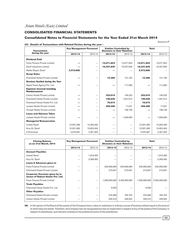## **CONSOLIDATED FINANCIAL STATEMENTS**

### **Consolidated Notes to Financial Statements for the Year Ended 31st March 2014**

|  | (ii) Details of Transactions with Related Parties during the year : |  |  |  |
|--|---------------------------------------------------------------------|--|--|--|
|  |                                                                     |  |  |  |

| <b>Transactions</b>                                        | <b>Key Management Personnel</b> |            | <b>Entities Controlled by</b><br><b>Directors or their Relatives</b> |            | <b>Total</b> |            |
|------------------------------------------------------------|---------------------------------|------------|----------------------------------------------------------------------|------------|--------------|------------|
| during the year                                            | 2013-14                         | 2012-13    | 2013-14                                                              | 2012-13    | 2013-14      | 2012-13    |
| <b>Dividend Paid</b>                                       |                                 |            |                                                                      |            |              |            |
| Forex Finance Private Limited                              |                                 |            | 14,071,824                                                           | 14,071,824 | 14,071,824   | 14,071,824 |
| Saraf Industries Limited                                   |                                 |            | 16,337,835                                                           | 16,337,835 | 16,337,835   | 16,337,835 |
| Radhe Shyam Saraf                                          | 2,573,685                       |            |                                                                      |            | 2,573,685    |            |
| <b>Scrap Sales</b>                                         |                                 |            |                                                                      |            |              |            |
| Chartered Hotels Private Limited                           |                                 |            | 12,366                                                               | 121.165    | 12,366       | 121,165    |
| <b>Services Availed during the Year</b>                    |                                 |            |                                                                      |            |              |            |
| Nepal Travel Agency Pvt. Ltd.                              |                                 |            |                                                                      | 117,960    |              | 117,960    |
| <b>Expenses Incurred including</b><br><b>Reimbursement</b> |                                 |            |                                                                      |            |              |            |
| Unison Hotels Private Limited                              |                                 |            | 333.010                                                              | 146.333    | 333.010      | 146,333    |
| <b>Chartered Hotels Private Limited</b>                    |                                 |            | 149.036                                                              | 1,557,614  | 149.036      | 1,557,614  |
| Chartered Hampi Hotels Pvt. Ltd.                           |                                 |            | 79,073                                                               |            | 79,073       |            |
| Juniper Hotels Private Limited                             |                                 |            | 328,309                                                              | 17,031     | 328,309      | 17,031     |
| Triumph Realty Private Limited                             |                                 |            |                                                                      | 198,748    |              | 198,748    |
| <b>Loans and Advance Taken</b>                             |                                 |            |                                                                      |            |              |            |
| Juniper Hotels Private Limited                             |                                 |            |                                                                      | 1,500,000  |              | 1,500,000  |
| <b>Managerial Remuneration</b>                             |                                 |            |                                                                      |            |              |            |
| Umesh Saraf                                                | 12,931,000                      | 14,203,455 |                                                                      |            | 12,931,000   | 14,203,455 |
| Arun Kr. Saraf                                             | 12,931,000                      | 15,653,455 |                                                                      |            | 12,931,000   | 15,653,455 |
| A Srinivasan                                               | 4,970,087                       | 4,361,004  |                                                                      |            | 4,970,087    | 4,361,004  |

| <b>Closing Balance</b><br>as on 31st March, 2014                           |         | <b>Key Management Personnel</b> | <b>Entities Controlled by</b><br><b>Directors or their Relatives</b> |               | <b>Total</b>  |               |
|----------------------------------------------------------------------------|---------|---------------------------------|----------------------------------------------------------------------|---------------|---------------|---------------|
|                                                                            | 2013-14 | 2012-13                         | 2013-14                                                              | 2012-13       | 2013-14       | 2012-13       |
| <b>Account Payables</b>                                                    |         |                                 |                                                                      |               |               |               |
| Umesh Saraf                                                                |         | 1,819,455                       |                                                                      |               |               | 1,819,455     |
| Arun Kr. Saraf                                                             |         | 3,269,455                       |                                                                      |               |               | 3,269,455     |
| <b>Loans &amp; Advances given to</b>                                       |         |                                 |                                                                      |               |               |               |
| Forex Finance Private Limited                                              | –       |                                 | 532,000,000                                                          | 532,000,000   | 532,000,000   | 532,000,000   |
| <b>Chartered Hotels Private Limited</b>                                    |         |                                 | 210,947                                                              | 210,947       | 210,947       | 210,947       |
| <b>Corporate Gurantee given by in</b><br>favour of Robust Hotels Pyt. Ltd. |         |                                 |                                                                      |               |               |               |
| Forex Finance Private Limited                                              |         |                                 | 1,500,000,000                                                        | 3,450,000,000 | 1,500,000,000 | 3,450,000,000 |
| <b>Trade Payables</b>                                                      |         |                                 |                                                                      |               |               |               |
| Chartered Hampi Hotels Pvt. Ltd.                                           |         |                                 | 9,529                                                                |               | 9,529         |               |
| <b>Other Payables</b>                                                      |         |                                 |                                                                      |               |               |               |
| <b>Chartered Hotels Private Limited</b>                                    |         |                                 | 270,386                                                              | 784,752       | 270,386       | 784,752       |
| Unison Hotels Private Limited                                              |         |                                 | 326,415                                                              | 428,502       | 326,415       | 428,502       |

**46.** In the opinion of the Board all the assets of the Company have a value on realization in ordinary course of business atleast equal to the amount at which they are stated. Therefore, the Company has not recognised any loss on impairment in respect of any of the assets of the Company. In respect of subsidiaries, such decision is based on the audited accounts of the subsidiaries.

Amount in  $\bar{z}$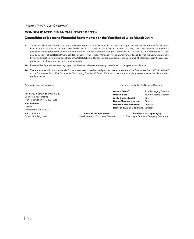## **CONSOLIDATED FINANCIAL STATEMENTS**

### **Consolidated Notes to Financial Statements for the Year Ended 31st March 2014**

- **47.** The Board of Directors of the Company at their meeting held on 26th November 2012 and 23rd May 2013 and in consideration of SEBI Circular Nos. CIR/CFD/DIL/5/2013 and CIR/CFD/DIL/8/2013 dated 4th February 2013 and 21st May 2013 respectively, approved the amalgamation of Forex Finance Private Limited, Promoter Body Corporate with the Company w.e.f. 1st April 2012 (appointed date). Post amalgamation, Robust Hotels Private Limited, owner of Hyatt Regency Chennai, will be a wholly owned subsidiary of the Company; partially by having direct holding and balance through GJS Hotels Limited (wholly owned subsidiary of the Company). The Company is in the process of obtaining regulatory approvals for the amalgamation.
- **48.** Previous Year figures have been regrouped / reclassified, wherever necessary to confirm to current year's classification.
- **49.** There is no other additional material information required to be disclosed pursuant to the provisions of the Companies Act, 1956, Schedule VI to the Companies Act, 1956, Companies (Accounting Standards) Rules, 2006 and other material applicable enactments, circulars, orders, notifications etc.

For **S. S. Kothari Mehta & Co.** Chartered Accountants Firm Registration No.: 000756N

**K K Tulshan** Partner Membership No. 085033

Date : 22nd May 2014 **Vice President - Corporate Finance** Chief Legal Officer & Company Secretary

As per our report of even date For and on behalf of the Board of Directors For and on behalf of the Board of Directors

Arun K Saraf **Joint Managing Director Umesh Saraf** Joint Managing Director **A. C. Chakrabortti** Director **Rama Shankar Jhawar** Director **Padam Kumar Khaitan** Director **Ramesh Kumar Chokhani** Director

Place : Kolkata **Bimal K Jhunjhunwala Saumen Chattopadhyay**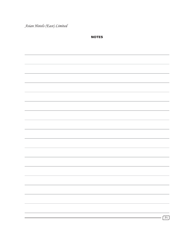*Asian Hotels (East) Limited*

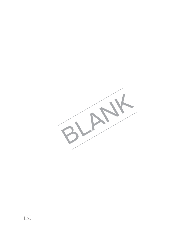

 $\boxed{72}$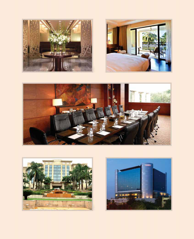







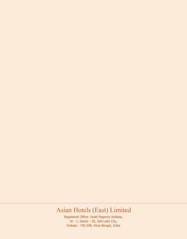## Asian Hotels (East) Limited

Registered Office: Hyatt Regency Kolkata, JA - 1, Sector - III, Salt Lake City, Kolkata - 700 098, West Bengal, India